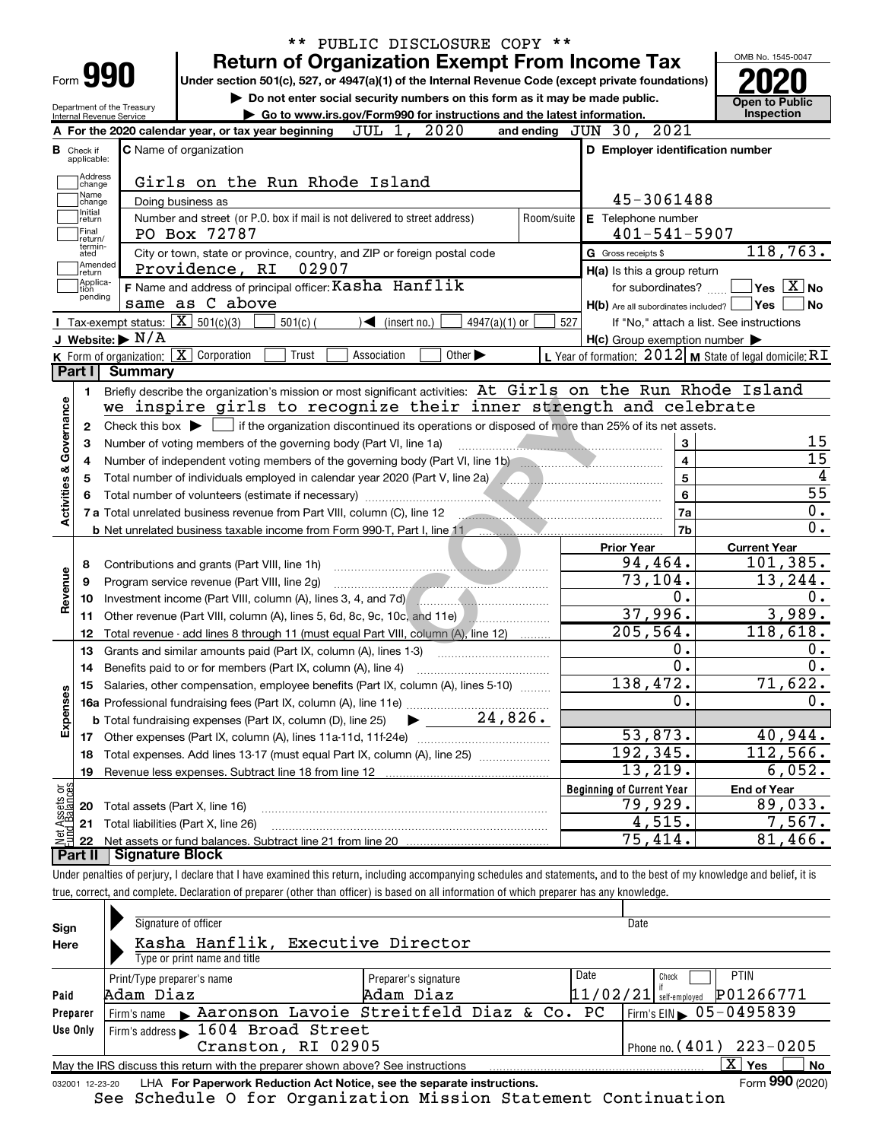|                                |                             | PUBLIC DISCLOSURE COPY **<br>$***$                                                                                                                                                                                              |                             |            |                                                         |                                                 |
|--------------------------------|-----------------------------|---------------------------------------------------------------------------------------------------------------------------------------------------------------------------------------------------------------------------------|-----------------------------|------------|---------------------------------------------------------|-------------------------------------------------|
|                                |                             | <b>Return of Organization Exempt From Income Tax</b>                                                                                                                                                                            |                             |            |                                                         | OMB No. 1545-0047                               |
|                                |                             | Form <b>990</b><br>Under section 501(c), 527, or 4947(a)(1) of the Internal Revenue Code (except private foundations)                                                                                                           |                             |            |                                                         |                                                 |
|                                |                             | Do not enter social security numbers on this form as it may be made public.                                                                                                                                                     |                             |            |                                                         | <b>Open to Public</b>                           |
|                                |                             | Department of the Treasury<br>Go to www.irs.gov/Form990 for instructions and the latest information.<br>Internal Revenue Service                                                                                                |                             |            |                                                         | Inspection                                      |
|                                |                             | JUL 1, 2020<br>A For the 2020 calendar year, or tax year beginning                                                                                                                                                              |                             |            | and ending JUN 30, 2021                                 |                                                 |
| в                              | Check if                    | <b>C</b> Name of organization                                                                                                                                                                                                   |                             |            | D Employer identification number                        |                                                 |
|                                | applicable:                 |                                                                                                                                                                                                                                 |                             |            |                                                         |                                                 |
|                                | Address<br>change           | Girls on the Run Rhode Island                                                                                                                                                                                                   |                             |            |                                                         |                                                 |
|                                | Name<br>change              | Doing business as                                                                                                                                                                                                               |                             |            | 45-3061488                                              |                                                 |
|                                | Initial<br>return           | Number and street (or P.O. box if mail is not delivered to street address)                                                                                                                                                      |                             | Room/suite | E Telephone number                                      |                                                 |
|                                | Final<br>return/            | PO Box 72787                                                                                                                                                                                                                    |                             |            | $401 - 541 - 5907$                                      |                                                 |
|                                | termin-<br>ated             | City or town, state or province, country, and ZIP or foreign postal code                                                                                                                                                        |                             |            | G Gross receipts \$                                     | $1\overline{18,763}$ .                          |
|                                | Amended<br>return           | Providence, RI<br>02907                                                                                                                                                                                                         |                             |            | H(a) Is this a group return                             |                                                 |
|                                | Applica-<br>tion<br>pending | F Name and address of principal officer: Kasha Hanflik                                                                                                                                                                          |                             |            | for subordinates?                                       | $\boxed{\phantom{1}}$ Yes $\boxed{\text{X}}$ No |
|                                |                             | same as C above                                                                                                                                                                                                                 |                             |            | $H(b)$ Are all subordinates included? $\Box$ Yes        | <b>No</b>                                       |
|                                |                             | <b>I</b> Tax-exempt status: $\boxed{\mathbf{X}}$ 501(c)(3)<br>$501(c)$ (<br>$\triangleleft$ (insert no.)                                                                                                                        | $4947(a)(1)$ or             | 527        |                                                         | If "No," attach a list. See instructions        |
|                                |                             | J Website: $\triangleright$ N/A                                                                                                                                                                                                 |                             |            | $H(c)$ Group exemption number $\blacktriangleright$     |                                                 |
|                                |                             | K Form of organization: X Corporation<br>Trust<br>Association                                                                                                                                                                   | Other $\blacktriangleright$ |            | L Year of formation: 2012 M State of legal domicile: RI |                                                 |
|                                | Part I                      | Summary                                                                                                                                                                                                                         |                             |            |                                                         |                                                 |
|                                | 1                           | Briefly describe the organization's mission or most significant activities: At Girls on the Run Rhode Island                                                                                                                    |                             |            |                                                         |                                                 |
|                                |                             | we inspire girls to recognize their inner strength and celebrate                                                                                                                                                                |                             |            |                                                         |                                                 |
|                                | 2                           | Check this box $\blacktriangleright$ $\blacksquare$ if the organization discontinued its operations or disposed of more than 25% of its net assets.                                                                             |                             |            |                                                         | 15                                              |
|                                | з                           | Number of voting members of the governing body (Part VI, line 1a)                                                                                                                                                               |                             |            | 3<br>$\overline{\mathbf{4}}$                            | $\overline{15}$                                 |
|                                | 4                           | Number of independent voting members of the governing body (Part VI, line 1b) manufactured in the manufactured<br>Total number of individuals employed in calendar year 2020 (Part V, line 2a) [[[[[[[[[[[[[[[[[[[[[[[]]]]]]]]] |                             |            | 5                                                       | $\overline{4}$                                  |
| Activities & Governance        |                             |                                                                                                                                                                                                                                 |                             |            | 6                                                       | $\overline{55}$                                 |
|                                |                             | 7 a Total unrelated business revenue from Part VIII, column (C), line 12                                                                                                                                                        |                             |            | 7a                                                      | $\overline{0}$ .                                |
|                                |                             | b Net unrelated business taxable income from Form 990 T, Part I, line 11                                                                                                                                                        |                             |            | 7b                                                      | $\overline{0}$ .                                |
|                                |                             |                                                                                                                                                                                                                                 |                             |            | <b>Prior Year</b>                                       | <b>Current Year</b>                             |
|                                | 8                           | Contributions and grants (Part VIII, line 1h)                                                                                                                                                                                   |                             |            | 94,464.                                                 | 101,385.                                        |
| Revenue                        | 9                           | Program service revenue (Part VIII, line 2g)                                                                                                                                                                                    |                             |            | 73,104.                                                 | 13,244.                                         |
|                                | 10                          | Investment income (Part VIII, column (A), lines 3, 4, and 7d)                                                                                                                                                                   |                             |            | 0.                                                      | 0.                                              |
|                                | 11                          | Other revenue (Part VIII, column (A), lines 5, 6d, 8c, 9c, 10c, and 11e)                                                                                                                                                        |                             |            | 37,996.                                                 | 3,989.                                          |
|                                | 12                          | Total revenue - add lines 8 through 11 (must equal Part VIII, column (A), line 12)                                                                                                                                              |                             |            | 205, 564.                                               | 118,618.                                        |
|                                | 13                          | Grants and similar amounts paid (Part IX, column (A), lines 1-3)                                                                                                                                                                |                             |            | 0.                                                      | 0.                                              |
|                                | 14                          | Benefits paid to or for members (Part IX, column (A), line 4)                                                                                                                                                                   |                             |            | $\overline{0}$ .                                        | $\overline{0}$ .                                |
|                                | 15                          | Salaries, other compensation, employee benefits (Part IX, column (A), lines 5-10)                                                                                                                                               |                             |            | 138,472.                                                | 71,622.                                         |
| Expenses                       |                             |                                                                                                                                                                                                                                 |                             |            | 0.                                                      | 0.                                              |
|                                |                             |                                                                                                                                                                                                                                 |                             |            |                                                         |                                                 |
|                                |                             |                                                                                                                                                                                                                                 |                             |            | 53,873.                                                 | 40,944.                                         |
|                                | 18                          | Total expenses. Add lines 13-17 (must equal Part IX, column (A), line 25)                                                                                                                                                       |                             |            | 192,345.                                                | 112,566.                                        |
|                                | 19                          |                                                                                                                                                                                                                                 |                             |            | 13,219.                                                 | 6,052.                                          |
| Net Assets or<br>Fund Balances |                             |                                                                                                                                                                                                                                 |                             |            | <b>Beginning of Current Year</b>                        | <b>End of Year</b>                              |
|                                | 20                          | Total assets (Part X, line 16)                                                                                                                                                                                                  |                             |            | 79,929.                                                 | 89,033.                                         |
|                                | 21                          | Total liabilities (Part X, line 26)                                                                                                                                                                                             |                             |            | 4,515.                                                  | 7,567.                                          |
|                                | 22                          |                                                                                                                                                                                                                                 |                             |            | $\overline{75}$ , 414.                                  | 81<br>,466.                                     |
|                                | Part II                     | Signature Block                                                                                                                                                                                                                 |                             |            |                                                         |                                                 |
|                                |                             | Under penalties of perjury, I declare that I have examined this return, including accompanying schedules and statements, and to the best of my knowledge and belief, it is                                                      |                             |            |                                                         |                                                 |

true, correct, and complete. Declaration of preparer (other than officer) is based on all information of which preparer has any knowledge.

| Sign<br>Here     | Signature of officer<br>Kasha Hanflik, Executive Director<br>Type or print name and title                                                                 |                                   |      | Date                                                                                                        |
|------------------|-----------------------------------------------------------------------------------------------------------------------------------------------------------|-----------------------------------|------|-------------------------------------------------------------------------------------------------------------|
| Paid<br>Preparer | Print/Type preparer's name<br>Adam Diaz<br>Aaronson Lavoie Streitfeld Diaz & Co. PC<br>Firm's name                                                        | Preparer's signature<br>Adam Diaz | Date | <b>PTIN</b><br>Check<br>P01266771<br>$11/02/21$ self-employed<br>$I$ Firm's EIN $\triangleright$ 05-0495839 |
| Use Only         | Firm's address $\blacktriangleright$ 1604 Broad Street<br>Cranston, RI 02905                                                                              |                                   |      | Phone no. $(401)$ $223 - 0205$                                                                              |
| 032001 12-23-20  | May the IRS discuss this return with the preparer shown above? See instructions<br>LHA For Paperwork Reduction Act Notice, see the separate instructions. |                                   |      | $X \mid Y$ es<br>No<br>Form 990 (2020)                                                                      |

See Schedule O for Organization Mission Statement Continuation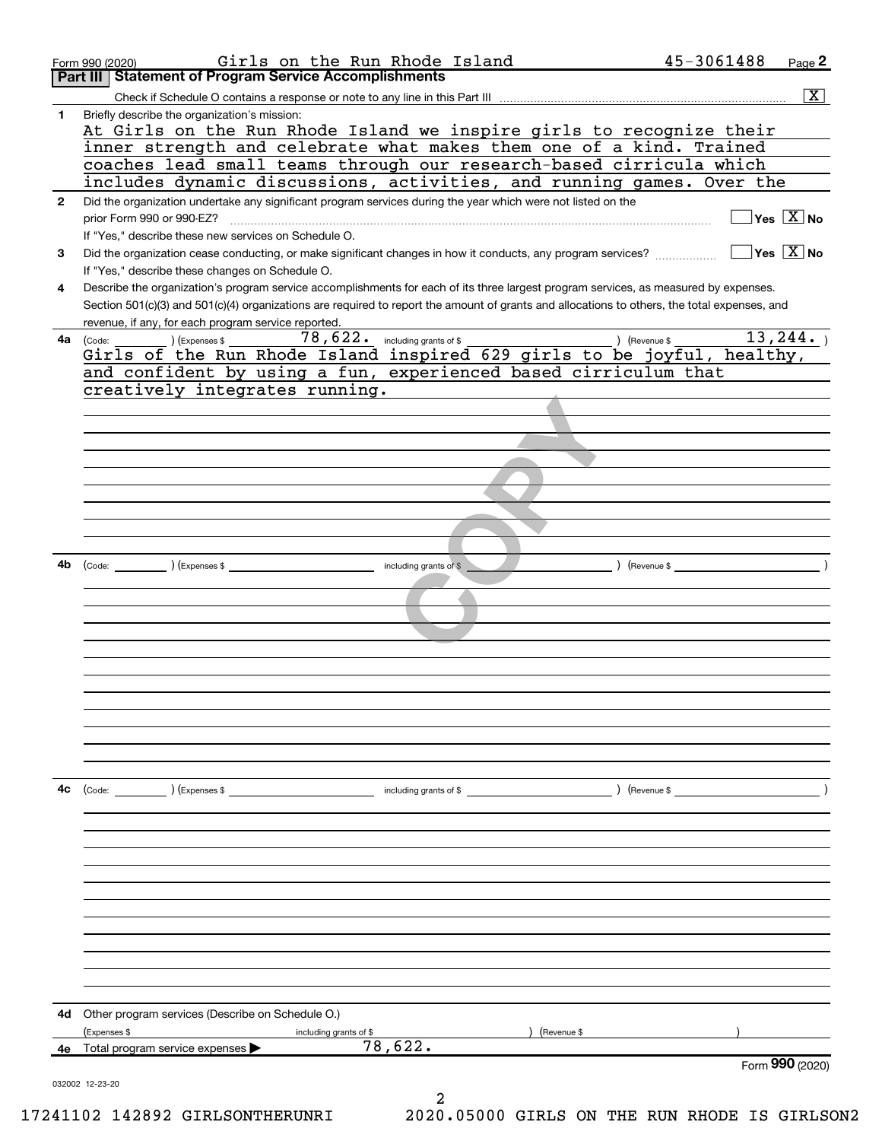|              | Form 990 (2020)                                                 | Girls on the Run Rhode Island                                                                                | 45-3061488                                                                                                                                   | Page 2                                    |
|--------------|-----------------------------------------------------------------|--------------------------------------------------------------------------------------------------------------|----------------------------------------------------------------------------------------------------------------------------------------------|-------------------------------------------|
|              | <b>Statement of Program Service Accomplishments</b><br>Part III |                                                                                                              |                                                                                                                                              |                                           |
|              |                                                                 |                                                                                                              |                                                                                                                                              | $\overline{\mathbf{x}}$                   |
| 1            | Briefly describe the organization's mission:                    |                                                                                                              |                                                                                                                                              |                                           |
|              |                                                                 |                                                                                                              | At Girls on the Run Rhode Island we inspire girls to recognize their                                                                         |                                           |
|              |                                                                 |                                                                                                              | inner strength and celebrate what makes them one of a kind. Trained                                                                          |                                           |
|              |                                                                 |                                                                                                              | coaches lead small teams through our research-based cirricula which                                                                          |                                           |
|              |                                                                 |                                                                                                              | includes dynamic discussions, activities, and running games. Over the                                                                        |                                           |
| $\mathbf{2}$ |                                                                 | Did the organization undertake any significant program services during the year which were not listed on the |                                                                                                                                              |                                           |
|              | prior Form 990 or 990-EZ?                                       |                                                                                                              |                                                                                                                                              | $\overline{\mathsf{Yes} \ \mathbb{X}}$ No |
|              | If "Yes," describe these new services on Schedule O.            |                                                                                                              |                                                                                                                                              |                                           |
| 3            |                                                                 | Did the organization cease conducting, or make significant changes in how it conducts, any program services? |                                                                                                                                              | $\sqrt{}$ Yes $\sqrt{}$ X $\sqrt{}$ No    |
|              | If "Yes," describe these changes on Schedule O.                 |                                                                                                              |                                                                                                                                              |                                           |
| 4            |                                                                 |                                                                                                              | Describe the organization's program service accomplishments for each of its three largest program services, as measured by expenses.         |                                           |
|              |                                                                 |                                                                                                              | Section 501(c)(3) and 501(c)(4) organizations are required to report the amount of grants and allocations to others, the total expenses, and |                                           |
|              | revenue, if any, for each program service reported.             | $78,622$ $\cdot$ including grants of \$                                                                      | ) (Revenue \$                                                                                                                                | 13, 244.                                  |
| 4a           | $(Ex)$ (Expenses \$<br>(Code:                                   |                                                                                                              | Girls of the Run Rhode Island inspired 629 girls to be joyful, healthy,                                                                      |                                           |
|              |                                                                 | and confident by using a fun, experienced based cirriculum that                                              |                                                                                                                                              |                                           |
|              | creatively integrates running.                                  |                                                                                                              |                                                                                                                                              |                                           |
|              |                                                                 |                                                                                                              |                                                                                                                                              |                                           |
|              |                                                                 |                                                                                                              |                                                                                                                                              |                                           |
|              |                                                                 |                                                                                                              |                                                                                                                                              |                                           |
|              |                                                                 |                                                                                                              |                                                                                                                                              |                                           |
|              |                                                                 |                                                                                                              |                                                                                                                                              |                                           |
|              |                                                                 |                                                                                                              |                                                                                                                                              |                                           |
|              |                                                                 |                                                                                                              |                                                                                                                                              |                                           |
|              |                                                                 |                                                                                                              |                                                                                                                                              |                                           |
|              |                                                                 |                                                                                                              |                                                                                                                                              |                                           |
|              |                                                                 |                                                                                                              |                                                                                                                                              |                                           |
|              |                                                                 | including grants of \$                                                                                       | $($ Revenue \$                                                                                                                               |                                           |
|              |                                                                 |                                                                                                              |                                                                                                                                              |                                           |
|              |                                                                 |                                                                                                              |                                                                                                                                              |                                           |
|              |                                                                 |                                                                                                              |                                                                                                                                              |                                           |
|              |                                                                 |                                                                                                              |                                                                                                                                              |                                           |
|              |                                                                 |                                                                                                              |                                                                                                                                              |                                           |
|              |                                                                 |                                                                                                              |                                                                                                                                              |                                           |
|              |                                                                 |                                                                                                              |                                                                                                                                              |                                           |
|              |                                                                 |                                                                                                              |                                                                                                                                              |                                           |
|              |                                                                 |                                                                                                              |                                                                                                                                              |                                           |
|              |                                                                 |                                                                                                              |                                                                                                                                              |                                           |
|              |                                                                 |                                                                                                              |                                                                                                                                              |                                           |
| 4с           |                                                                 | $(\text{Code:})$ $(\text{Expenses $})$ $(\text{Expenses $})$                                                 | ) (Revenue \$                                                                                                                                |                                           |
|              |                                                                 |                                                                                                              |                                                                                                                                              |                                           |
|              |                                                                 |                                                                                                              |                                                                                                                                              |                                           |
|              |                                                                 |                                                                                                              |                                                                                                                                              |                                           |
|              |                                                                 |                                                                                                              |                                                                                                                                              |                                           |
|              |                                                                 |                                                                                                              |                                                                                                                                              |                                           |
|              |                                                                 |                                                                                                              |                                                                                                                                              |                                           |
|              |                                                                 |                                                                                                              |                                                                                                                                              |                                           |
|              |                                                                 |                                                                                                              |                                                                                                                                              |                                           |
|              |                                                                 |                                                                                                              |                                                                                                                                              |                                           |
|              |                                                                 |                                                                                                              |                                                                                                                                              |                                           |
|              |                                                                 |                                                                                                              |                                                                                                                                              |                                           |
|              |                                                                 |                                                                                                              |                                                                                                                                              |                                           |
| 4d           | Other program services (Describe on Schedule O.)                |                                                                                                              |                                                                                                                                              |                                           |
|              | (Expenses \$                                                    | including grants of \$                                                                                       | Revenue \$                                                                                                                                   |                                           |
|              | 4e Total program service expenses $\blacktriangleright$         | 78,622.                                                                                                      |                                                                                                                                              |                                           |
|              |                                                                 |                                                                                                              |                                                                                                                                              | Form 990 (2020)                           |
|              | 032002 12-23-20                                                 |                                                                                                              |                                                                                                                                              |                                           |
|              |                                                                 | 2                                                                                                            |                                                                                                                                              |                                           |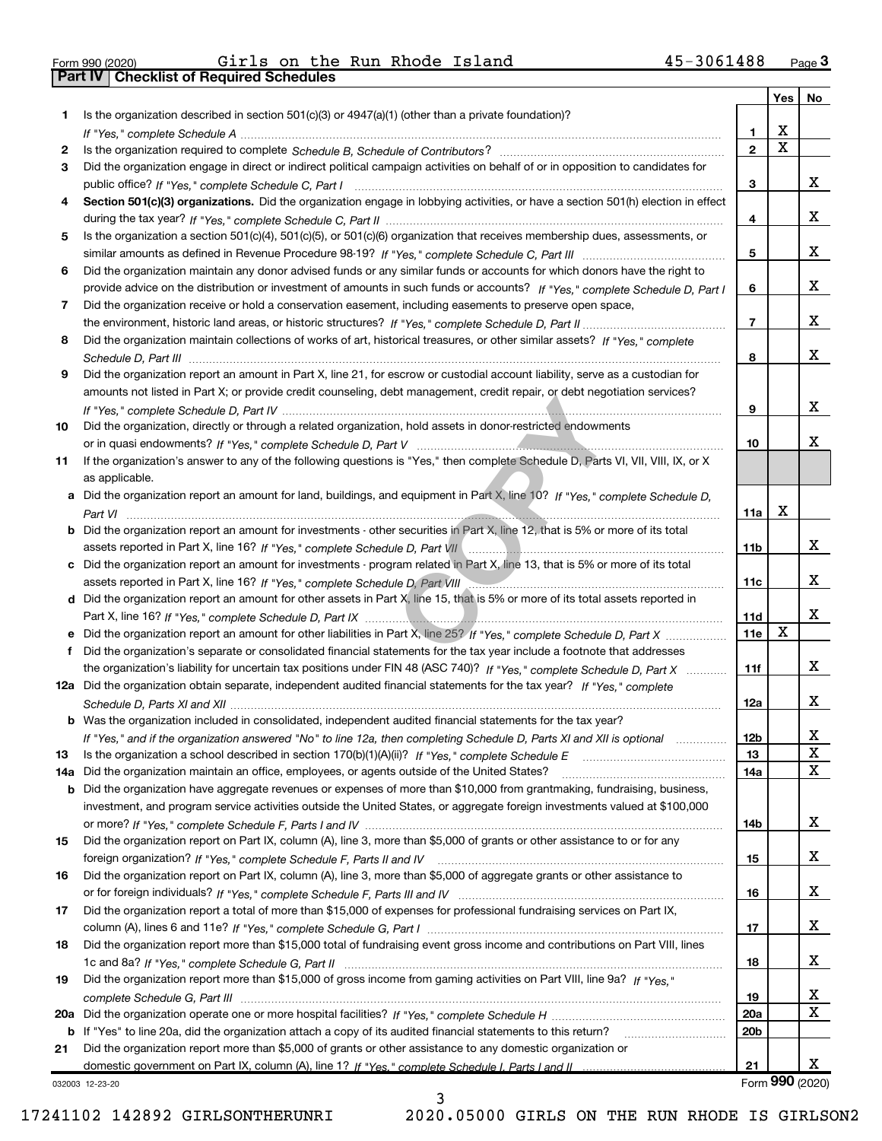|  | Form 990 (2020). |
|--|------------------|

Part IV | Checklist of Required Schedules

 $_{\rm Form}$   $990$  (2020) Girls on the Run Rhode Island  $45$ -3061488  $_{\rm Page}$ Girls on the Run Rhode Island 45-3061488

|     |                                                                                                                                       |                 | Yes | No              |
|-----|---------------------------------------------------------------------------------------------------------------------------------------|-----------------|-----|-----------------|
| 1   | Is the organization described in section 501(c)(3) or 4947(a)(1) (other than a private foundation)?                                   |                 |     |                 |
|     |                                                                                                                                       | 1               | X   |                 |
| 2   |                                                                                                                                       | $\mathbf{2}$    | x   |                 |
| 3   | Did the organization engage in direct or indirect political campaign activities on behalf of or in opposition to candidates for       |                 |     |                 |
|     |                                                                                                                                       | 3               |     | X.              |
| 4   | Section 501(c)(3) organizations. Did the organization engage in lobbying activities, or have a section 501(h) election in effect      |                 |     |                 |
|     |                                                                                                                                       | 4               |     | x               |
| 5   | Is the organization a section 501(c)(4), 501(c)(5), or 501(c)(6) organization that receives membership dues, assessments, or          |                 |     |                 |
|     |                                                                                                                                       | 5               |     | x               |
| 6   | Did the organization maintain any donor advised funds or any similar funds or accounts for which donors have the right to             |                 |     |                 |
|     | provide advice on the distribution or investment of amounts in such funds or accounts? If "Yes," complete Schedule D, Part I          | 6               |     | X.              |
| 7   | Did the organization receive or hold a conservation easement, including easements to preserve open space,                             |                 |     |                 |
|     |                                                                                                                                       | 7               |     | x               |
| 8   | Did the organization maintain collections of works of art, historical treasures, or other similar assets? If "Yes," complete          |                 |     |                 |
|     |                                                                                                                                       | 8               |     | x               |
| 9   | Did the organization report an amount in Part X, line 21, for escrow or custodial account liability, serve as a custodian for         |                 |     |                 |
|     | amounts not listed in Part X; or provide credit counseling, debt management, credit repair, or debt negotiation services?             |                 |     |                 |
|     |                                                                                                                                       | 9               |     | x               |
| 10  | Did the organization, directly or through a related organization, hold assets in donor-restricted endowments                          |                 |     |                 |
|     |                                                                                                                                       | 10              |     | x               |
| 11  | If the organization's answer to any of the following questions is "Yes," then complete Schedule D, Parts VI, VII, VIII, IX, or X      |                 |     |                 |
|     | as applicable.                                                                                                                        |                 |     |                 |
|     | a Did the organization report an amount for land, buildings, and equipment in Part X, line 10? If "Yes," complete Schedule D,         |                 | х   |                 |
|     |                                                                                                                                       | 11a             |     |                 |
|     | <b>b</b> Did the organization report an amount for investments - other securities in Part X, line 12, that is 5% or more of its total | 11 <sub>b</sub> |     | x               |
|     |                                                                                                                                       |                 |     |                 |
|     | c Did the organization report an amount for investments - program related in Part X, line 13, that is 5% or more of its total         | 11c             |     | X.              |
|     | d Did the organization report an amount for other assets in Part X, line 15, that is 5% or more of its total assets reported in       |                 |     |                 |
|     |                                                                                                                                       | <b>11d</b>      |     | x               |
| е   | Did the organization report an amount for other liabilities in Part X, line 25? If "Yes," complete Schedule D, Part X                 | 11e             | x   |                 |
| f   | Did the organization's separate or consolidated financial statements for the tax year include a footnote that addresses               |                 |     |                 |
|     | the organization's liability for uncertain tax positions under FIN 48 (ASC 740)? If "Yes," complete Schedule D, Part X                | 11f             |     | x               |
|     | 12a Did the organization obtain separate, independent audited financial statements for the tax year? If "Yes," complete               |                 |     |                 |
|     |                                                                                                                                       | 12a             |     | X.              |
|     | <b>b</b> Was the organization included in consolidated, independent audited financial statements for the tax year?                    |                 |     |                 |
|     | If "Yes," and if the organization answered "No" to line 12a, then completing Schedule D, Parts XI and XII is optional                 | 12 <sub>b</sub> |     | X               |
| 13  | Is the organization a school described in section 170(b)(1)(A)(ii)? If "Yes," complete Schedule E                                     | 13              |     | X               |
| 14a | Did the organization maintain an office, employees, or agents outside of the United States?                                           | 14a             |     | x               |
|     | <b>b</b> Did the organization have aggregate revenues or expenses of more than \$10,000 from grantmaking, fundraising, business,      |                 |     |                 |
|     | investment, and program service activities outside the United States, or aggregate foreign investments valued at \$100,000            |                 |     |                 |
|     |                                                                                                                                       | 14b             |     | X.              |
| 15  | Did the organization report on Part IX, column (A), line 3, more than \$5,000 of grants or other assistance to or for any             |                 |     |                 |
|     |                                                                                                                                       | 15              |     | X.              |
| 16  | Did the organization report on Part IX, column (A), line 3, more than \$5,000 of aggregate grants or other assistance to              |                 |     |                 |
|     |                                                                                                                                       | 16              |     | X.              |
| 17  | Did the organization report a total of more than \$15,000 of expenses for professional fundraising services on Part IX,               |                 |     |                 |
|     |                                                                                                                                       | 17              |     | X.              |
| 18  | Did the organization report more than \$15,000 total of fundraising event gross income and contributions on Part VIII, lines          |                 |     |                 |
|     |                                                                                                                                       | 18              |     | X.              |
| 19  | Did the organization report more than \$15,000 of gross income from gaming activities on Part VIII, line 9a? If "Yes."                |                 |     |                 |
|     |                                                                                                                                       | 19              |     | x               |
|     |                                                                                                                                       | 20a             |     | x               |
|     | b If "Yes" to line 20a, did the organization attach a copy of its audited financial statements to this return?                        | 20 <sub>b</sub> |     |                 |
| 21  | Did the organization report more than \$5,000 of grants or other assistance to any domestic organization or                           |                 |     |                 |
|     |                                                                                                                                       | 21              |     | X               |
|     | 032003 12-23-20                                                                                                                       |                 |     | Form 990 (2020) |

032003 12-23-20

17241102 142892 GIRLSONTHERUNRI 2020.05000 GIRLS ON THE RUN RHODE IS GIRLSON2

3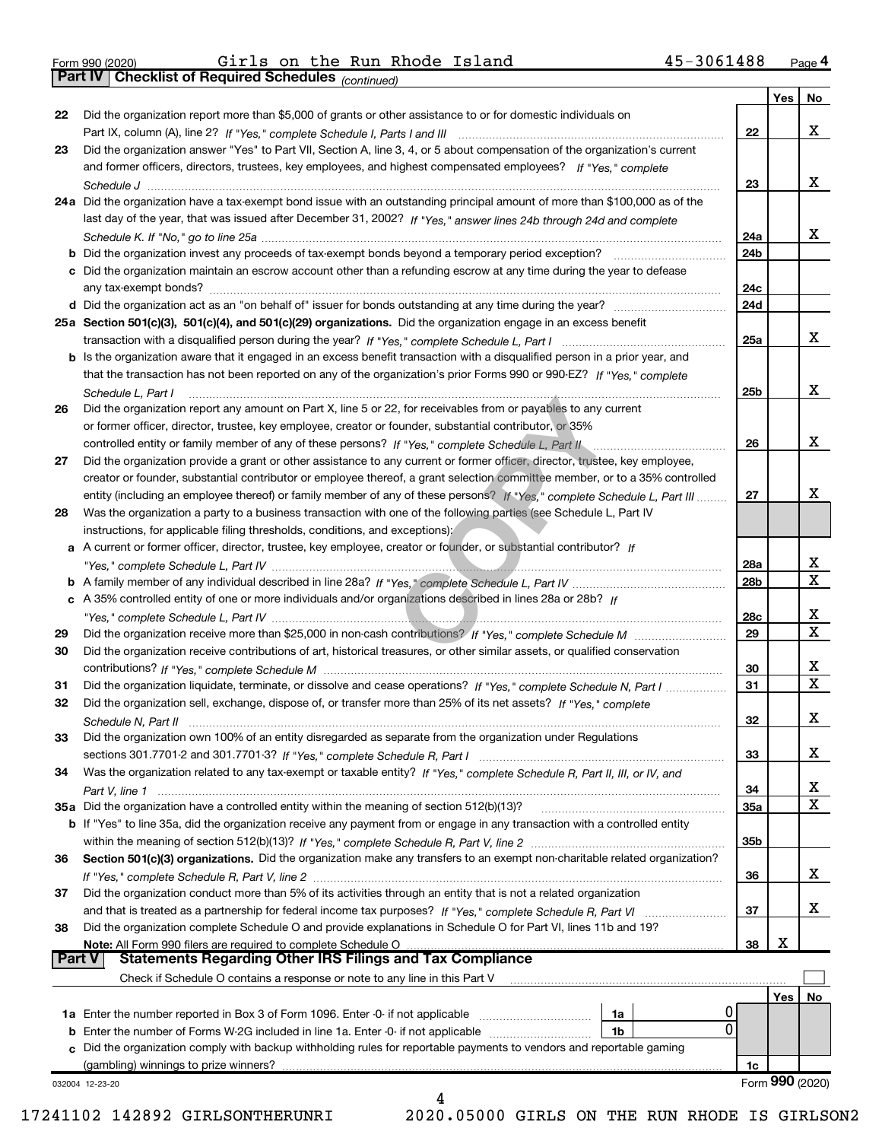|  | Form 990 (2020) |
|--|-----------------|

Part IV | Checklist of Required Schedules

 $_{\rm Form}$   $990$  (2020) Girls on the Run Rhode Island  $45$ -3061488  $_{\rm Page}$ Girls on the Run Rhode Island 45-3061488

(continued)

|               |                                                                                                                              |            | Yes | No              |
|---------------|------------------------------------------------------------------------------------------------------------------------------|------------|-----|-----------------|
| 22            | Did the organization report more than \$5,000 of grants or other assistance to or for domestic individuals on                |            |     |                 |
|               |                                                                                                                              | 22         |     | x               |
| 23            | Did the organization answer "Yes" to Part VII, Section A, line 3, 4, or 5 about compensation of the organization's current   |            |     |                 |
|               | and former officers, directors, trustees, key employees, and highest compensated employees? If "Yes," complete               |            |     |                 |
|               |                                                                                                                              | 23         |     | x               |
|               | 24a Did the organization have a tax-exempt bond issue with an outstanding principal amount of more than \$100,000 as of the  |            |     |                 |
|               | last day of the year, that was issued after December 31, 2002? If "Yes," answer lines 24b through 24d and complete           |            |     |                 |
|               |                                                                                                                              | 24a        |     | х               |
|               | <b>b</b> Did the organization invest any proceeds of tax-exempt bonds beyond a temporary period exception?                   | 24b        |     |                 |
|               | c Did the organization maintain an escrow account other than a refunding escrow at any time during the year to defease       |            |     |                 |
|               | any tax-exempt bonds?                                                                                                        | 24c        |     |                 |
|               | d Did the organization act as an "on behalf of" issuer for bonds outstanding at any time during the year?                    | 24d        |     |                 |
|               | 25a Section 501(c)(3), 501(c)(4), and 501(c)(29) organizations. Did the organization engage in an excess benefit             |            |     |                 |
|               |                                                                                                                              | 25a        |     | x               |
|               | b Is the organization aware that it engaged in an excess benefit transaction with a disqualified person in a prior year, and |            |     |                 |
|               | that the transaction has not been reported on any of the organization's prior Forms 990 or 990-EZ? If "Yes," complete        |            |     |                 |
|               | Schedule L, Part I                                                                                                           | 25b        |     | x               |
| 26            | Did the organization report any amount on Part X, line 5 or 22, for receivables from or payables to any current              |            |     |                 |
|               | or former officer, director, trustee, key employee, creator or founder, substantial contributor, or 35%                      |            |     |                 |
|               | controlled entity or family member of any of these persons? If "Yes," complete Schedule L, Part II                           | 26         |     | x               |
| 27            | Did the organization provide a grant or other assistance to any current or former officer, director, trustee, key employee,  |            |     |                 |
|               | creator or founder, substantial contributor or employee thereof, a grant selection committee member, or to a 35% controlled  |            |     |                 |
|               | entity (including an employee thereof) or family member of any of these persons? If "Yes." complete Schedule L. Part III     | 27         |     | х               |
| 28            | Was the organization a party to a business transaction with one of the following parties (see Schedule L, Part IV            |            |     |                 |
|               | instructions, for applicable filing thresholds, conditions, and exceptions):                                                 |            |     |                 |
|               | a A current or former officer, director, trustee, key employee, creator or founder, or substantial contributor? If           |            |     |                 |
|               |                                                                                                                              | 28a        |     | x               |
|               |                                                                                                                              | 28b        |     | X               |
|               | c A 35% controlled entity of one or more individuals and/or organizations described in lines 28a or 28b? If                  |            |     |                 |
|               |                                                                                                                              | 28c        |     | x               |
|               |                                                                                                                              | 29         |     | $\mathbf X$     |
| 29            |                                                                                                                              |            |     |                 |
| 30            | Did the organization receive contributions of art, historical treasures, or other similar assets, or qualified conservation  |            |     | x               |
|               |                                                                                                                              | 30         |     | $\mathbf X$     |
| 31            | Did the organization liquidate, terminate, or dissolve and cease operations? If "Yes," complete Schedule N, Part I           | 31         |     |                 |
| 32            | Did the organization sell, exchange, dispose of, or transfer more than 25% of its net assets? If "Yes," complete             |            |     |                 |
|               | Schedule N, Part II                                                                                                          | 32         |     | X               |
| 33            | Did the organization own 100% of an entity disregarded as separate from the organization under Regulations                   |            |     |                 |
|               |                                                                                                                              | 33         |     | х               |
| 34            | Was the organization related to any tax-exempt or taxable entity? If "Yes," complete Schedule R, Part II, III, or IV, and    |            |     |                 |
|               |                                                                                                                              | 34         |     | х               |
|               | 35a Did the organization have a controlled entity within the meaning of section 512(b)(13)?                                  | <b>35a</b> |     | X               |
|               | b If "Yes" to line 35a, did the organization receive any payment from or engage in any transaction with a controlled entity  |            |     |                 |
|               |                                                                                                                              | 35b        |     |                 |
| 36            | Section 501(c)(3) organizations. Did the organization make any transfers to an exempt non-charitable related organization?   |            |     |                 |
|               |                                                                                                                              | 36         |     | X               |
| 37            | Did the organization conduct more than 5% of its activities through an entity that is not a related organization             |            |     |                 |
|               | and that is treated as a partnership for federal income tax purposes? If "Yes," complete Schedule R, Part VI                 | 37         |     | х               |
| 38            | Did the organization complete Schedule O and provide explanations in Schedule O for Part VI, lines 11b and 19?               |            |     |                 |
|               | Note: All Form 990 filers are required to complete Schedule O                                                                | 38         | X   |                 |
| <b>Part V</b> | <b>Statements Regarding Other IRS Filings and Tax Compliance</b>                                                             |            |     |                 |
|               | Check if Schedule O contains a response or note to any line in this Part V                                                   |            |     |                 |
|               |                                                                                                                              |            | Yes | No              |
|               | 1a Enter the number reported in Box 3 of Form 1096. Enter -0- if not applicable<br>1a                                        |            |     |                 |
|               | 0<br><b>b</b> Enter the number of Forms W-2G included in line 1a. Enter -0- if not applicable<br>1b                          |            |     |                 |
|               | c Did the organization comply with backup withholding rules for reportable payments to vendors and reportable gaming         |            |     |                 |
|               | (gambling) winnings to prize winners?                                                                                        | 1c         |     |                 |
|               | 032004 12-23-20                                                                                                              |            |     | Form 990 (2020) |
|               | 4                                                                                                                            |            |     |                 |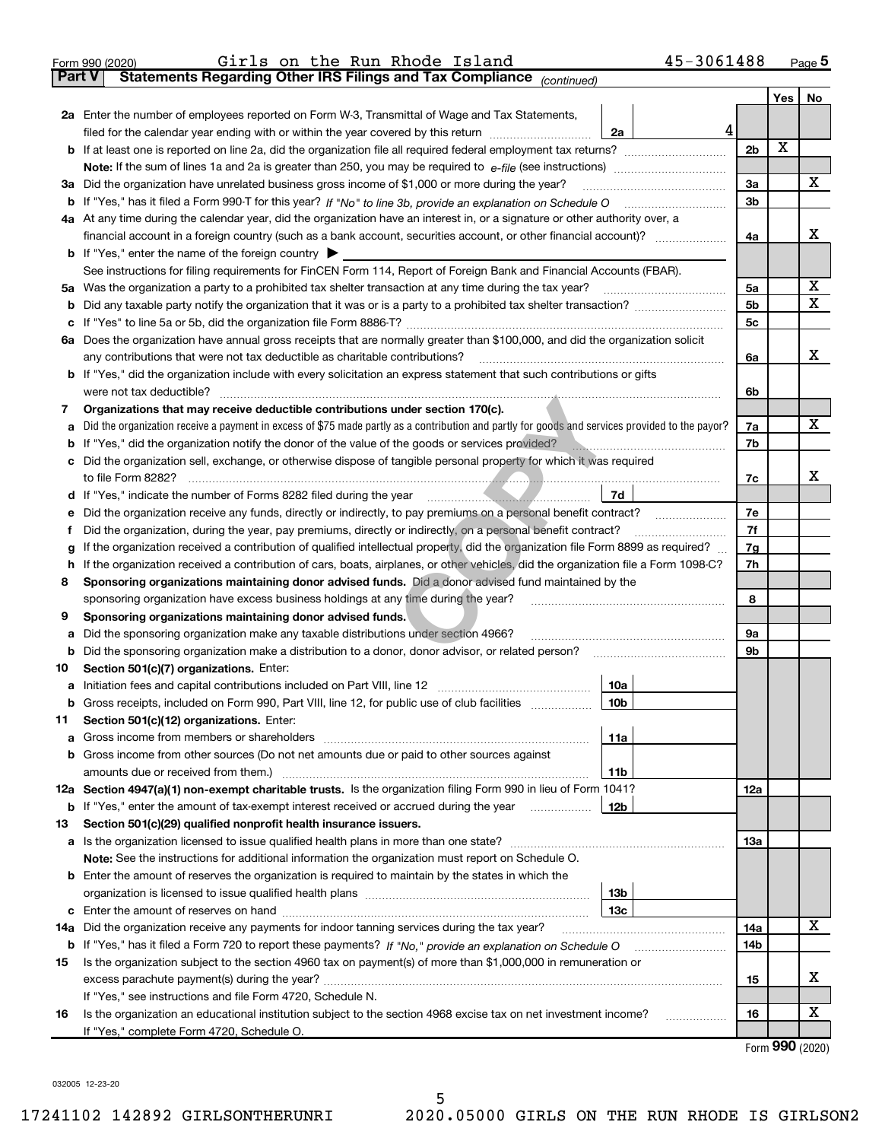|               | 45-3061488<br>Girls on the Run Rhode Island<br>Form 990 (2020)                                                                                  |                |     | Page $5$        |
|---------------|-------------------------------------------------------------------------------------------------------------------------------------------------|----------------|-----|-----------------|
| <b>Part V</b> | Statements Regarding Other IRS Filings and Tax Compliance (continued)                                                                           |                |     |                 |
|               |                                                                                                                                                 |                | Yes | No              |
|               | 2a Enter the number of employees reported on Form W-3, Transmittal of Wage and Tax Statements,                                                  |                |     |                 |
|               | 4<br>filed for the calendar year ending with or within the year covered by this return<br>2a                                                    |                |     |                 |
| b             |                                                                                                                                                 | 2 <sub>b</sub> | X   |                 |
|               |                                                                                                                                                 |                |     |                 |
| За            | Did the organization have unrelated business gross income of \$1,000 or more during the year?                                                   | 3a             |     | х               |
| b             |                                                                                                                                                 | 3 <sub>b</sub> |     |                 |
|               | 4a At any time during the calendar year, did the organization have an interest in, or a signature or other authority over, a                    |                |     |                 |
|               | financial account in a foreign country (such as a bank account, securities account, or other financial account)?                                | 4a             |     | x               |
|               | <b>b</b> If "Yes," enter the name of the foreign country $\triangleright$                                                                       |                |     |                 |
|               | See instructions for filing requirements for FinCEN Form 114, Report of Foreign Bank and Financial Accounts (FBAR).                             |                |     |                 |
| 5a            | Was the organization a party to a prohibited tax shelter transaction at any time during the tax year?                                           | 5a             |     | х               |
| b             |                                                                                                                                                 | 5 <sub>b</sub> |     | х               |
| с             |                                                                                                                                                 | 5с             |     |                 |
| 6а            | Does the organization have annual gross receipts that are normally greater than \$100,000, and did the organization solicit                     |                |     |                 |
|               | any contributions that were not tax deductible as charitable contributions?                                                                     | 6a             |     | x               |
| b             | If "Yes," did the organization include with every solicitation an express statement that such contributions or gifts                            |                |     |                 |
|               | were not tax deductible?                                                                                                                        | 6b             |     |                 |
| 7             | Organizations that may receive deductible contributions under section 170(c).                                                                   |                |     |                 |
| а             | Did the organization receive a payment in excess of \$75 made partly as a contribution and partly for goods and services provided to the payor? | 7a             |     | x               |
| b             | If "Yes," did the organization notify the donor of the value of the goods or services provided?                                                 | 7b             |     |                 |
| с             | Did the organization sell, exchange, or otherwise dispose of tangible personal property for which it was required                               |                |     |                 |
|               |                                                                                                                                                 | 7c             |     | х               |
| d             | 7d<br>If "Yes," indicate the number of Forms 8282 filed during the year manufactured material control of                                        |                |     |                 |
| е             | Did the organization receive any funds, directly or indirectly, to pay premiums on a personal benefit contract?                                 | 7e             |     |                 |
| f             | Did the organization, during the year, pay premiums, directly or indirectly, on a personal benefit contract?                                    | 7f             |     |                 |
| g             | If the organization received a contribution of qualified intellectual property, did the organization file Form 8899 as required?                | 7g             |     |                 |
| h             | If the organization received a contribution of cars, boats, airplanes, or other vehicles, did the organization file a Form 1098-C?              | 7h             |     |                 |
| 8             | Sponsoring organizations maintaining donor advised funds. Did a donor advised fund maintained by the                                            |                |     |                 |
|               | sponsoring organization have excess business holdings at any time during the year?                                                              | 8              |     |                 |
| 9             | Sponsoring organizations maintaining donor advised funds.                                                                                       |                |     |                 |
| а             | Did the sponsoring organization make any taxable distributions under section 4966?                                                              | <b>9a</b>      |     |                 |
| b             | Did the sponsoring organization make a distribution to a donor, donor advisor, or related person?                                               | 9b             |     |                 |
| 10            | Section 501(c)(7) organizations. Enter:                                                                                                         |                |     |                 |
| а             | 10a                                                                                                                                             |                |     |                 |
| b             | Gross receipts, included on Form 990, Part VIII, line 12, for public use of club facilities<br>10 <sub>b</sub>                                  |                |     |                 |
| 11            | Section 501(c)(12) organizations. Enter:                                                                                                        |                |     |                 |
| a             | <b>11a</b><br>Gross income from members or shareholders                                                                                         |                |     |                 |
| b             | Gross income from other sources (Do not net amounts due or paid to other sources against                                                        |                |     |                 |
|               | amounts due or received from them.)<br>11b                                                                                                      |                |     |                 |
|               | 12a Section 4947(a)(1) non-exempt charitable trusts. Is the organization filing Form 990 in lieu of Form 1041?                                  | 12a            |     |                 |
| b             | 12 <sub>b</sub><br>If "Yes," enter the amount of tax-exempt interest received or accrued during the year                                        |                |     |                 |
| 13            | Section 501(c)(29) qualified nonprofit health insurance issuers.                                                                                |                |     |                 |
| а             | Is the organization licensed to issue qualified health plans in more than one state?                                                            | 13a            |     |                 |
|               | Note: See the instructions for additional information the organization must report on Schedule O.                                               |                |     |                 |
| b             | Enter the amount of reserves the organization is required to maintain by the states in which the                                                |                |     |                 |
|               | 13 <sub>b</sub>                                                                                                                                 |                |     |                 |
| с             | 13 <sub>c</sub>                                                                                                                                 |                |     |                 |
| 14a           | Did the organization receive any payments for indoor tanning services during the tax year?                                                      | 14a            |     | х               |
|               | <b>b</b> If "Yes," has it filed a Form 720 to report these payments? If "No," provide an explanation on Schedule O                              | 14b            |     |                 |
| 15            | Is the organization subject to the section 4960 tax on payment(s) of more than \$1,000,000 in remuneration or                                   |                |     |                 |
|               |                                                                                                                                                 | 15             |     | х               |
|               | If "Yes," see instructions and file Form 4720, Schedule N.                                                                                      |                |     |                 |
| 16            | Is the organization an educational institution subject to the section 4968 excise tax on net investment income?                                 | 16             |     | х               |
|               | If "Yes," complete Form 4720, Schedule O.                                                                                                       |                |     |                 |
|               |                                                                                                                                                 |                |     | Form 990 (2020) |

032005 12-23-20

5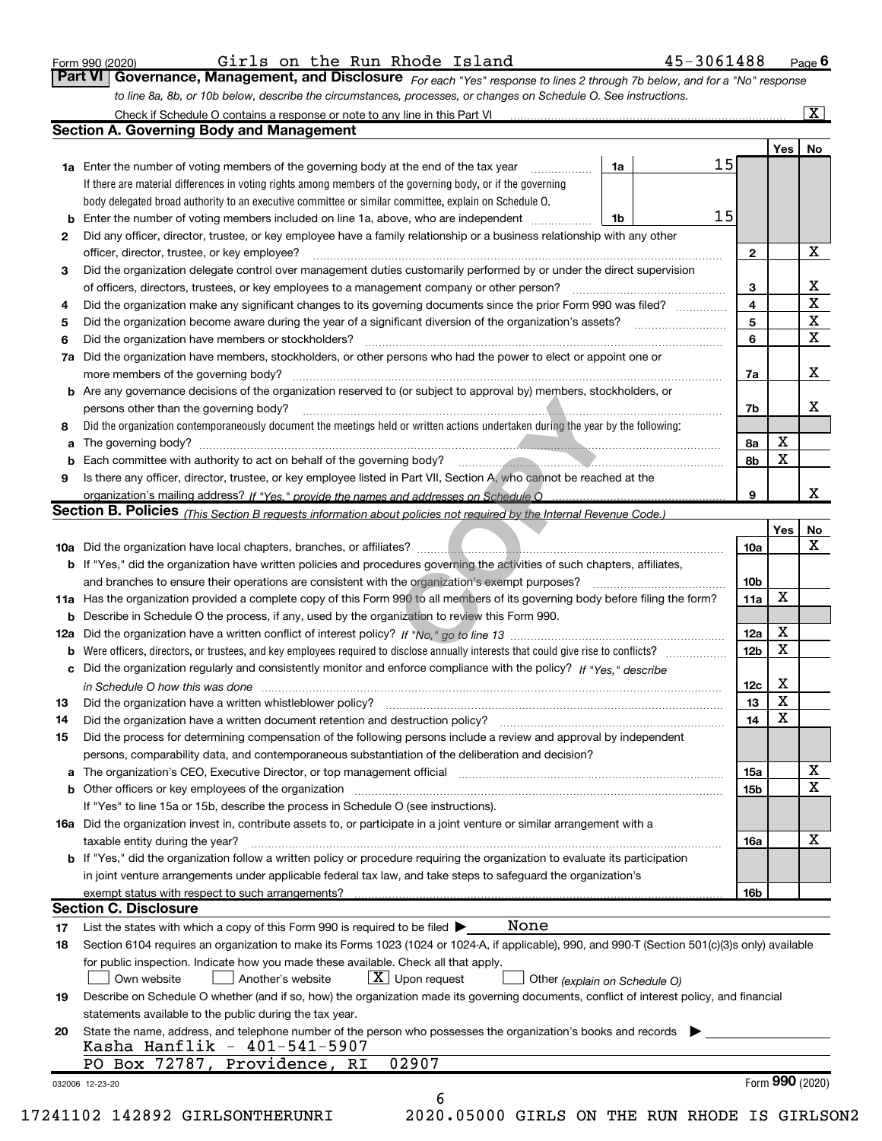|  | Form 990 (2020) |
|--|-----------------|
|  |                 |

Form 990 (2020)  $6$  Girls on the Run Rhode Island  $45-3061488$  Page

 $Page$ <sup>6</sup>

| Form 990 (2020) |  |  |  | Giris on the Run Rhode Island                                                                                    | 45-3061488                                                                                                                           | Pao |
|-----------------|--|--|--|------------------------------------------------------------------------------------------------------------------|--------------------------------------------------------------------------------------------------------------------------------------|-----|
|                 |  |  |  |                                                                                                                  | <b>Part VI   Governance, Management, and Disclosure</b> For each "Yes" response to lines 2 through 7b below, and for a "No" response |     |
|                 |  |  |  | to line 8a, 8b, or 10b below, describe the circumstances, processes, or changes on Schedule O. See instructions. |                                                                                                                                      |     |

|    |                                                                                                                                                                               |    |    |                 | Yes <sub>1</sub> | No              |
|----|-------------------------------------------------------------------------------------------------------------------------------------------------------------------------------|----|----|-----------------|------------------|-----------------|
|    | <b>1a</b> Enter the number of voting members of the governing body at the end of the tax year <i>manumum</i>                                                                  | 1a | 15 |                 |                  |                 |
|    | If there are material differences in voting rights among members of the governing body, or if the governing                                                                   |    |    |                 |                  |                 |
|    | body delegated broad authority to an executive committee or similar committee, explain on Schedule O.                                                                         |    |    |                 |                  |                 |
| b  | Enter the number of voting members included on line 1a, above, who are independent                                                                                            | 1b | 15 |                 |                  |                 |
| 2  | Did any officer, director, trustee, or key employee have a family relationship or a business relationship with any other                                                      |    |    |                 |                  |                 |
|    | officer, director, trustee, or key employee?                                                                                                                                  |    |    | $\mathbf{2}$    |                  | X               |
| 3  | Did the organization delegate control over management duties customarily performed by or under the direct supervision                                                         |    |    |                 |                  |                 |
|    |                                                                                                                                                                               |    |    | 3               |                  | X               |
| 4  | Did the organization make any significant changes to its governing documents since the prior Form 990 was filed?                                                              |    |    | 4               |                  | $\mathbf X$     |
| 5  |                                                                                                                                                                               |    |    | 5               |                  | X               |
| 6  | Did the organization have members or stockholders?                                                                                                                            |    |    | 6               |                  | $\mathbf X$     |
| 7a | Did the organization have members, stockholders, or other persons who had the power to elect or appoint one or                                                                |    |    |                 |                  |                 |
|    |                                                                                                                                                                               |    |    | 7a              |                  | X               |
|    | <b>b</b> Are any governance decisions of the organization reserved to (or subject to approval by) members, stockholders, or                                                   |    |    |                 |                  |                 |
|    | persons other than the governing body?                                                                                                                                        |    |    | 7b              |                  | X               |
| 8  | Did the organization contemporaneously document the meetings held or written actions undertaken during the year by the following:                                             |    |    |                 |                  |                 |
| a  |                                                                                                                                                                               |    |    | 8a              | X                |                 |
| b  |                                                                                                                                                                               |    |    | 8b              | X                |                 |
| 9  | Is there any officer, director, trustee, or key employee listed in Part VII, Section A, who cannot be reached at the                                                          |    |    |                 |                  |                 |
|    |                                                                                                                                                                               |    |    | 9               |                  | х               |
|    | <b>Section B. Policies</b> (This Section B requests information about policies not required by the Internal Revenue Code.)                                                    |    |    |                 |                  |                 |
|    |                                                                                                                                                                               |    |    |                 | Yes              | No              |
|    |                                                                                                                                                                               |    |    | 10a             |                  | X               |
|    | <b>b</b> If "Yes," did the organization have written policies and procedures governing the activities of such chapters, affiliates,                                           |    |    |                 |                  |                 |
|    |                                                                                                                                                                               |    |    | 10b             |                  |                 |
|    | 11a Has the organization provided a complete copy of this Form 990 to all members of its governing body before filing the form?                                               |    |    | 11a             | X                |                 |
|    | <b>b</b> Describe in Schedule O the process, if any, used by the organization to review this Form 990.                                                                        |    |    |                 |                  |                 |
|    |                                                                                                                                                                               |    |    | 12a             | X                |                 |
| b  |                                                                                                                                                                               |    |    | 12b             | X                |                 |
|    | Did the organization regularly and consistently monitor and enforce compliance with the policy? If "Yes," describe                                                            |    |    |                 |                  |                 |
| c  |                                                                                                                                                                               |    |    |                 | X                |                 |
|    | in Schedule O how this was done material contracts and the state of the state of the state of the state of the                                                                |    |    | 12c<br>13       | X                |                 |
| 13 |                                                                                                                                                                               |    |    | 14              | X                |                 |
| 14 | Did the organization have a written document retention and destruction policy? manufactured and the organization have a written document retention and destruction policy?    |    |    |                 |                  |                 |
| 15 | Did the process for determining compensation of the following persons include a review and approval by independent                                                            |    |    |                 |                  |                 |
|    | persons, comparability data, and contemporaneous substantiation of the deliberation and decision?                                                                             |    |    |                 |                  |                 |
| а  | The organization's CEO, Executive Director, or top management official manufactured content content of the organization's CEO, Executive Director, or top management official |    |    | 15a             |                  | X               |
|    | <b>b</b> Other officers or key employees of the organization                                                                                                                  |    |    | 15 <sub>b</sub> |                  | X               |
|    | If "Yes" to line 15a or 15b, describe the process in Schedule O (see instructions).                                                                                           |    |    |                 |                  |                 |
|    | 16a Did the organization invest in, contribute assets to, or participate in a joint venture or similar arrangement with a                                                     |    |    |                 |                  |                 |
|    | taxable entity during the year?                                                                                                                                               |    |    | 16a             |                  | X               |
|    | b If "Yes," did the organization follow a written policy or procedure requiring the organization to evaluate its participation                                                |    |    |                 |                  |                 |
|    | in joint venture arrangements under applicable federal tax law, and take steps to safeguard the organization's                                                                |    |    |                 |                  |                 |
|    | exempt status with respect to such arrangements?                                                                                                                              |    |    | 16b             |                  |                 |
|    | <b>Section C. Disclosure</b>                                                                                                                                                  |    |    |                 |                  |                 |
| 17 | None<br>List the states with which a copy of this Form 990 is required to be filed $\blacktriangleright$                                                                      |    |    |                 |                  |                 |
| 18 | Section 6104 requires an organization to make its Forms 1023 (1024 or 1024-A, if applicable), 990, and 990-T (Section 501(c)(3)s only) available                              |    |    |                 |                  |                 |
|    | for public inspection. Indicate how you made these available. Check all that apply.                                                                                           |    |    |                 |                  |                 |
|    | $X$ Upon request<br>Another's website<br>Own website<br>Other (explain on Schedule O)                                                                                         |    |    |                 |                  |                 |
| 19 | Describe on Schedule O whether (and if so, how) the organization made its governing documents, conflict of interest policy, and financial                                     |    |    |                 |                  |                 |
|    | statements available to the public during the tax year.                                                                                                                       |    |    |                 |                  |                 |
| 20 | State the name, address, and telephone number of the person who possesses the organization's books and records                                                                |    |    |                 |                  |                 |
|    | Kasha Hanflik - 401-541-5907                                                                                                                                                  |    |    |                 |                  |                 |
|    | PO Box 72787, Providence, RI<br>02907                                                                                                                                         |    |    |                 |                  |                 |
|    |                                                                                                                                                                               |    |    |                 |                  | Form 990 (2020) |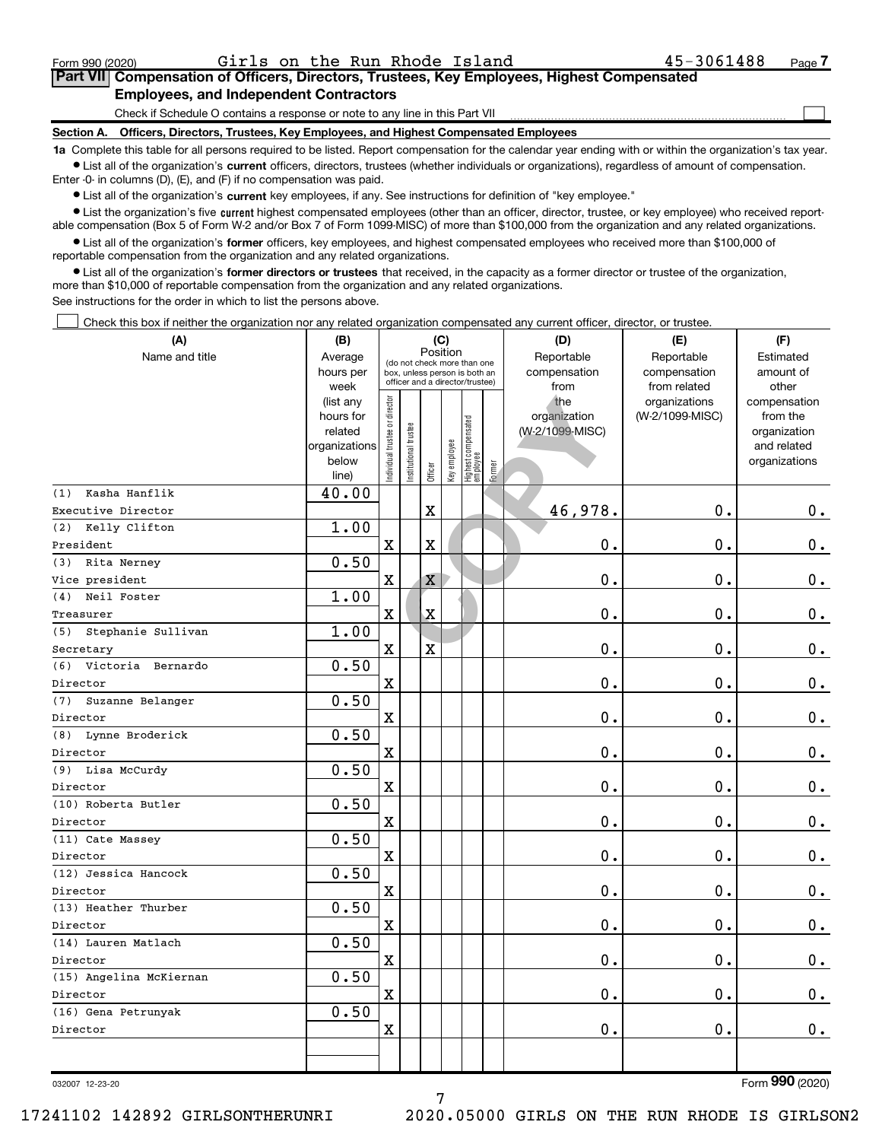$\perp$ 

### Part VII Compensation of Officers, Directors, Trustees, Key Employees, Highest Compensated Employees, and Independent Contractors

Check if Schedule O contains a response or note to any line in this Part VII

Section A. Officers, Directors, Trustees, Key Employees, and Highest Compensated Employees

1a Complete this table for all persons required to be listed. Report compensation for the calendar year ending with or within the organization's tax year. Ist all of the organization's current officers, directors, trustees (whether individuals or organizations), regardless of amount of compensation.

Enter -0- in columns (D), (E), and (F) if no compensation was paid.

**•** List all of the organization's current key employees, if any. See instructions for definition of "key employee."

● List the organization's five current highest compensated employees (other than an officer, director, trustee, or key employee) who received reportable compensation (Box 5 of Form W-2 and/or Box 7 of Form 1099-MISC) of more than \$100,000 from the organization and any related organizations.

List all of the organization's former officers, key employees, and highest compensated employees who received more than \$100,000 of reportable compensation from the organization and any related organizations.

• List all of the organization's former directors or trustees that received, in the capacity as a former director or trustee of the organization, more than \$10,000 of reportable compensation from the organization and any related organizations.

See instructions for the order in which to list the persons above.

Check this box if neither the organization nor any related organization compensated any current officer, director, or trustee.

| (A)                     | (B)                    |                               |                       | (C)                     |              |                                                                  |        | (D)             | (E)                              | (F)                      |
|-------------------------|------------------------|-------------------------------|-----------------------|-------------------------|--------------|------------------------------------------------------------------|--------|-----------------|----------------------------------|--------------------------|
| Name and title          | Average                |                               |                       | Position                |              | (do not check more than one                                      |        | Reportable      | Reportable                       | Estimated                |
|                         | hours per              |                               |                       |                         |              | box, unless person is both an<br>officer and a director/trustee) |        | compensation    | compensation                     | amount of                |
|                         | week                   |                               |                       |                         |              |                                                                  |        | from<br>the     | from related                     | other                    |
|                         | (list any<br>hours for |                               |                       |                         |              |                                                                  |        | organization    | organizations<br>(W-2/1099-MISC) | compensation<br>from the |
|                         | related                |                               |                       |                         |              |                                                                  |        | (W-2/1099-MISC) |                                  | organization             |
|                         | organizations          |                               |                       |                         |              |                                                                  |        |                 |                                  | and related              |
|                         | below                  | ndividual trustee or director | Institutional trustee |                         | Key employee |                                                                  |        |                 |                                  | organizations            |
|                         | line)                  |                               |                       | Officer                 |              | Highest compensated<br> employee                                 | Former |                 |                                  |                          |
| Kasha Hanflik<br>(1)    | 40.00                  |                               |                       |                         |              |                                                                  |        |                 |                                  |                          |
| Executive Director      |                        |                               |                       | $\mathbf X$             |              |                                                                  |        | 46,978.         | $\mathbf 0$ .                    | $0_{.}$                  |
| (2) Kelly Clifton       | 1.00                   |                               |                       |                         |              |                                                                  |        |                 |                                  |                          |
| President               |                        | $\mathbf X$                   |                       | $\mathbf X$             |              |                                                                  |        | 0.              | $\mathbf 0$ .                    | 0.                       |
| (3) Rita Nerney         | 0.50                   |                               |                       |                         |              |                                                                  |        |                 |                                  |                          |
| Vice president          |                        | $\rm X$                       |                       | X                       |              |                                                                  |        | 0.              | $\mathbf 0$ .                    | 0.                       |
| (4) Neil Foster         | 1.00                   |                               |                       |                         |              |                                                                  |        |                 |                                  |                          |
| Treasurer               |                        | $\overline{\mathbf{X}}$       |                       | $\mathbf X$             |              |                                                                  |        | 0.              | 0.                               | $\mathbf 0$ .            |
| (5) Stephanie Sullivan  | 1.00                   |                               |                       |                         |              |                                                                  |        |                 |                                  |                          |
| Secretary               |                        | $\rm X$                       |                       | $\overline{\mathbf{x}}$ |              |                                                                  |        | 0.              | 0.                               | $\mathbf 0$ .            |
| (6) Victoria Bernardo   | 0.50                   |                               |                       |                         |              |                                                                  |        |                 |                                  |                          |
| Director                |                        | $\mathbf X$                   |                       |                         |              |                                                                  |        | 0.              | 0.                               | $\mathbf 0$ .            |
| (7) Suzanne Belanger    | 0.50                   |                               |                       |                         |              |                                                                  |        |                 |                                  |                          |
| Director                |                        | $\rm X$                       |                       |                         |              |                                                                  |        | 0.              | 0.                               | $\mathbf 0$ .            |
| (8) Lynne Broderick     | 0.50                   |                               |                       |                         |              |                                                                  |        |                 |                                  |                          |
| Director                |                        | $\overline{\mathbf{X}}$       |                       |                         |              |                                                                  |        | 0.              | 0.                               | $\mathbf 0$ .            |
| (9) Lisa McCurdy        | 0.50                   |                               |                       |                         |              |                                                                  |        |                 |                                  |                          |
| Director                |                        | $\overline{\textbf{X}}$       |                       |                         |              |                                                                  |        | 0.              | 0.                               | $\mathbf 0$ .            |
| (10) Roberta Butler     | 0.50                   |                               |                       |                         |              |                                                                  |        |                 |                                  |                          |
| Director                |                        | $\mathbf X$                   |                       |                         |              |                                                                  |        | 0.              | 0.                               | $\mathbf 0$ .            |
| (11) Cate Massey        | 0.50                   |                               |                       |                         |              |                                                                  |        |                 |                                  |                          |
| Director                |                        | $\overline{\textbf{X}}$       |                       |                         |              |                                                                  |        | 0.              | 0.                               | $0$ .                    |
| (12) Jessica Hancock    | 0.50                   |                               |                       |                         |              |                                                                  |        |                 |                                  |                          |
| Director                |                        | $\overline{\mathbf{X}}$       |                       |                         |              |                                                                  |        | 0.              | 0.                               | $\mathbf 0$ .            |
| (13) Heather Thurber    | 0.50                   |                               |                       |                         |              |                                                                  |        |                 |                                  |                          |
| Director                |                        | $\overline{\textbf{X}}$       |                       |                         |              |                                                                  |        | 0.              | 0.                               | $\mathbf 0$ .            |
| (14) Lauren Matlach     | 0.50                   |                               |                       |                         |              |                                                                  |        |                 |                                  |                          |
| Director                |                        | $\overline{\textbf{X}}$       |                       |                         |              |                                                                  |        | 0.              | 0.                               | $\mathbf 0$ .            |
| (15) Angelina McKiernan | 0.50                   |                               |                       |                         |              |                                                                  |        |                 |                                  |                          |
| Director                |                        | $\overline{\textbf{X}}$       |                       |                         |              |                                                                  |        | 0.              | 0.                               | 0.                       |
| (16) Gena Petrunyak     | 0.50                   |                               |                       |                         |              |                                                                  |        |                 |                                  |                          |
| Director                |                        | $\overline{\textbf{X}}$       |                       |                         |              |                                                                  |        | 0.              | 0.                               | $0$ .                    |
|                         |                        |                               |                       |                         |              |                                                                  |        |                 |                                  |                          |
|                         |                        |                               |                       |                         |              |                                                                  |        |                 |                                  |                          |

7

032007 12-23-20

Form 990 (2020)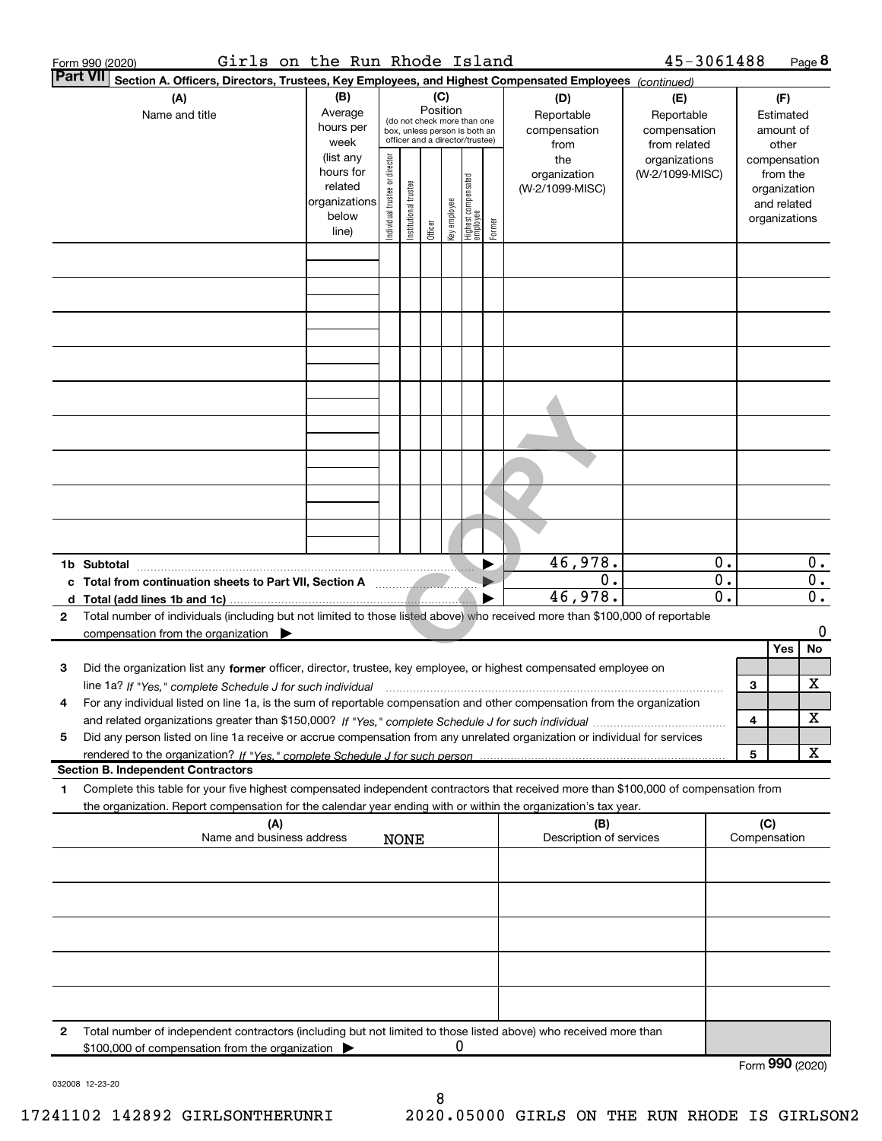| Girls on the Run Rhode Island<br>Form 990 (2020)                                                                                                                                                                                                                  |                                                                      |                                                                                                             |                       |         |              |                                 |        |                                           | 45-3061488                                        |                                            |                                               |                                        | Page 8                                                 |
|-------------------------------------------------------------------------------------------------------------------------------------------------------------------------------------------------------------------------------------------------------------------|----------------------------------------------------------------------|-------------------------------------------------------------------------------------------------------------|-----------------------|---------|--------------|---------------------------------|--------|-------------------------------------------|---------------------------------------------------|--------------------------------------------|-----------------------------------------------|----------------------------------------|--------------------------------------------------------|
| Part VII<br>Section A. Officers, Directors, Trustees, Key Employees, and Highest Compensated Employees (continued)                                                                                                                                                |                                                                      |                                                                                                             |                       | (C)     |              |                                 |        |                                           |                                                   |                                            |                                               |                                        |                                                        |
| (A)<br>Name and title                                                                                                                                                                                                                                             | (B)<br>Average<br>hours per<br>week                                  | Position<br>(do not check more than one<br>box, unless person is both an<br>officer and a director/trustee) |                       |         |              |                                 |        | (D)<br>Reportable<br>compensation<br>from | (E)<br>Reportable<br>compensation<br>from related |                                            |                                               | (F)<br>Estimated<br>amount of<br>other |                                                        |
|                                                                                                                                                                                                                                                                   | (list any<br>hours for<br>related<br>organizations<br>below<br>line) | Individual trustee or director                                                                              | Institutional trustee | Officer | key employee | Highest compensated<br>employee | Former | the<br>organization<br>(W-2/1099-MISC)    | organizations<br>(W-2/1099-MISC)                  |                                            | compensation<br>organization<br>organizations | from the<br>and related                |                                                        |
|                                                                                                                                                                                                                                                                   |                                                                      |                                                                                                             |                       |         |              |                                 |        |                                           |                                                   |                                            |                                               |                                        |                                                        |
|                                                                                                                                                                                                                                                                   |                                                                      |                                                                                                             |                       |         |              |                                 |        |                                           |                                                   |                                            |                                               |                                        |                                                        |
|                                                                                                                                                                                                                                                                   |                                                                      |                                                                                                             |                       |         |              |                                 |        |                                           |                                                   |                                            |                                               |                                        |                                                        |
|                                                                                                                                                                                                                                                                   |                                                                      |                                                                                                             |                       |         |              |                                 |        |                                           |                                                   |                                            |                                               |                                        |                                                        |
|                                                                                                                                                                                                                                                                   |                                                                      |                                                                                                             |                       |         |              |                                 |        |                                           |                                                   |                                            |                                               |                                        |                                                        |
|                                                                                                                                                                                                                                                                   |                                                                      |                                                                                                             |                       |         |              |                                 |        |                                           |                                                   |                                            |                                               |                                        |                                                        |
|                                                                                                                                                                                                                                                                   |                                                                      |                                                                                                             |                       |         |              |                                 |        |                                           |                                                   |                                            |                                               |                                        |                                                        |
| 1b Subtotal                                                                                                                                                                                                                                                       |                                                                      |                                                                                                             |                       |         |              |                                 |        | 46,978.<br>0.<br>46,978.                  |                                                   | 0.<br>$\overline{0}$ .<br>$\overline{0}$ . |                                               |                                        | $0$ .<br>$\overline{0}$ .<br>$\overline{\mathbf{0}}$ . |
| Total number of individuals (including but not limited to those listed above) who received more than \$100,000 of reportable<br>2<br>compensation from the organization $\blacktriangleright$                                                                     |                                                                      |                                                                                                             |                       |         |              |                                 |        |                                           |                                                   |                                            |                                               |                                        | 0                                                      |
| Did the organization list any former officer, director, trustee, key employee, or highest compensated employee on<br>з<br>line 1a? If "Yes," complete Schedule J for such individual manufactured contained and the Yes," complete Schedule J for such individual |                                                                      |                                                                                                             |                       |         |              |                                 |        |                                           |                                                   |                                            | 3                                             | Yes                                    | No<br>X                                                |
| For any individual listed on line 1a, is the sum of reportable compensation and other compensation from the organization<br>4                                                                                                                                     |                                                                      |                                                                                                             |                       |         |              |                                 |        |                                           |                                                   |                                            | 4                                             |                                        | х                                                      |
| Did any person listed on line 1a receive or accrue compensation from any unrelated organization or individual for services<br>5<br>rendered to the organization? If "Yes." complete Schedule J for such person<br><b>Section B. Independent Contractors</b>       |                                                                      |                                                                                                             |                       |         |              |                                 |        |                                           |                                                   |                                            | 5                                             |                                        | X                                                      |
| Complete this table for your five highest compensated independent contractors that received more than \$100,000 of compensation from<br>1<br>the organization. Report compensation for the calendar year ending with or within the organization's tax year.       |                                                                      |                                                                                                             |                       |         |              |                                 |        |                                           |                                                   |                                            |                                               |                                        |                                                        |
| (A)<br>Name and business address                                                                                                                                                                                                                                  |                                                                      | <b>NONE</b>                                                                                                 |                       |         |              |                                 |        | (B)<br>Description of services            |                                                   |                                            | (C)<br>Compensation                           |                                        |                                                        |
|                                                                                                                                                                                                                                                                   |                                                                      |                                                                                                             |                       |         |              |                                 |        |                                           |                                                   |                                            |                                               |                                        |                                                        |
|                                                                                                                                                                                                                                                                   |                                                                      |                                                                                                             |                       |         |              |                                 |        |                                           |                                                   |                                            |                                               |                                        |                                                        |
|                                                                                                                                                                                                                                                                   |                                                                      |                                                                                                             |                       |         |              |                                 |        |                                           |                                                   |                                            |                                               |                                        |                                                        |
| Total number of independent contractors (including but not limited to those listed above) who received more than<br>$\mathbf{2}$                                                                                                                                  |                                                                      |                                                                                                             |                       |         |              |                                 |        |                                           |                                                   |                                            |                                               |                                        |                                                        |
| \$100,000 of compensation from the organization                                                                                                                                                                                                                   |                                                                      |                                                                                                             |                       |         | U            |                                 |        |                                           |                                                   |                                            | $F_{\text{arm}}$ 990 (2020)                   |                                        |                                                        |

032008 12-23-20

Form 990 (2020)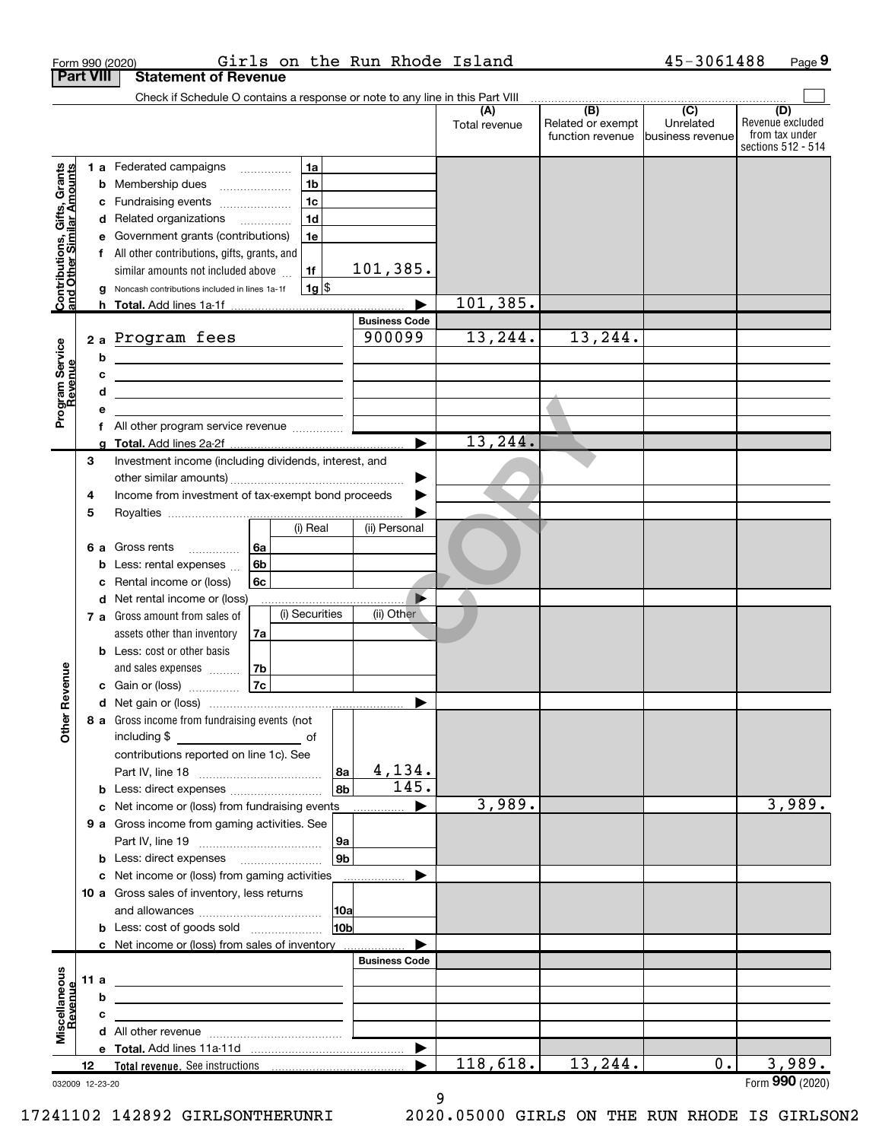|                                                           | <b>Part VIII</b> |        | Girls on the Run Rhode Island<br>Form 990 (2020)<br><b>Statement of Revenue</b>                                                                                                                                                               |                                |                      |                                              | 45-3061488                                         | Page 9                                                          |
|-----------------------------------------------------------|------------------|--------|-----------------------------------------------------------------------------------------------------------------------------------------------------------------------------------------------------------------------------------------------|--------------------------------|----------------------|----------------------------------------------|----------------------------------------------------|-----------------------------------------------------------------|
|                                                           |                  |        | Check if Schedule O contains a response or note to any line in this Part VIII                                                                                                                                                                 |                                |                      |                                              |                                                    |                                                                 |
|                                                           |                  |        |                                                                                                                                                                                                                                               |                                | (A)<br>Total revenue | (B)<br>Related or exempt<br>function revenue | $\overline{(C)}$<br>Unrelated<br>Ibusiness revenue | (D)<br>Revenue excluded<br>from tax under<br>sections 512 - 514 |
|                                                           |                  |        | <b>1 a</b> Federated campaigns<br>1a                                                                                                                                                                                                          |                                |                      |                                              |                                                    |                                                                 |
| Contributions, Gifts, Grants<br>and Other Similar Amounts |                  |        | 1 <sub>b</sub><br><b>b</b> Membership dues                                                                                                                                                                                                    |                                |                      |                                              |                                                    |                                                                 |
|                                                           |                  | с      | 1 <sub>c</sub><br>Fundraising events<br>1 <sub>d</sub><br>d Related organizations                                                                                                                                                             |                                |                      |                                              |                                                    |                                                                 |
|                                                           |                  |        | Government grants (contributions)<br>1e                                                                                                                                                                                                       |                                |                      |                                              |                                                    |                                                                 |
|                                                           |                  |        | f All other contributions, gifts, grants, and                                                                                                                                                                                                 |                                |                      |                                              |                                                    |                                                                 |
|                                                           |                  |        | similar amounts not included above<br>1f                                                                                                                                                                                                      | 101,385.                       |                      |                                              |                                                    |                                                                 |
|                                                           |                  |        | $1g$ \$<br>g Noncash contributions included in lines 1a-1f                                                                                                                                                                                    |                                |                      |                                              |                                                    |                                                                 |
|                                                           |                  |        | h Total. Add lines 1a-1f                                                                                                                                                                                                                      |                                | 101, 385.            |                                              |                                                    |                                                                 |
|                                                           |                  |        |                                                                                                                                                                                                                                               | <b>Business Code</b><br>900099 |                      |                                              |                                                    |                                                                 |
| Program Service<br>Revenue                                |                  |        | 2a Program fees                                                                                                                                                                                                                               |                                | 13,244.              | 13,244.                                      |                                                    |                                                                 |
|                                                           |                  | b<br>C | <u> 1989 - Andrea Albert III, politik eta politik eta politik eta politik eta politik eta politik eta politik e</u><br><u> 1980 - Jan Sterling and Sterling and Sterling and Sterling and Sterling and Sterling and Sterling and Sterling</u> |                                |                      |                                              |                                                    |                                                                 |
|                                                           |                  | d      | <u> 1989 - Johann Barbara, martxa alemaniar a</u>                                                                                                                                                                                             |                                |                      |                                              |                                                    |                                                                 |
|                                                           |                  |        |                                                                                                                                                                                                                                               |                                |                      |                                              |                                                    |                                                                 |
|                                                           |                  | f      | All other program service revenue                                                                                                                                                                                                             |                                |                      |                                              |                                                    |                                                                 |
|                                                           |                  |        |                                                                                                                                                                                                                                               |                                | 13, 244.             |                                              |                                                    |                                                                 |
|                                                           | 3                |        | Investment income (including dividends, interest, and                                                                                                                                                                                         |                                |                      |                                              |                                                    |                                                                 |
|                                                           | 4                |        | Income from investment of tax-exempt bond proceeds                                                                                                                                                                                            | ▶                              |                      |                                              |                                                    |                                                                 |
|                                                           | 5                |        |                                                                                                                                                                                                                                               |                                |                      |                                              |                                                    |                                                                 |
|                                                           |                  |        | (i) Real                                                                                                                                                                                                                                      | (ii) Personal                  |                      |                                              |                                                    |                                                                 |
|                                                           | 6а               |        | 6a<br>Gross rents                                                                                                                                                                                                                             |                                |                      |                                              |                                                    |                                                                 |
|                                                           |                  | b      | 6b<br>Less: rental expenses                                                                                                                                                                                                                   |                                |                      |                                              |                                                    |                                                                 |
|                                                           |                  | c      | Rental income or (loss)<br>6с                                                                                                                                                                                                                 |                                |                      |                                              |                                                    |                                                                 |
|                                                           |                  |        | d Net rental income or (loss)                                                                                                                                                                                                                 |                                |                      |                                              |                                                    |                                                                 |
|                                                           |                  |        | (i) Securities<br>7 a Gross amount from sales of                                                                                                                                                                                              | (ii) Other                     |                      |                                              |                                                    |                                                                 |
|                                                           |                  |        | assets other than inventory<br>7a<br><b>b</b> Less: cost or other basis                                                                                                                                                                       |                                |                      |                                              |                                                    |                                                                 |
|                                                           |                  |        | and sales expenses<br>7b                                                                                                                                                                                                                      |                                |                      |                                              |                                                    |                                                                 |
| venue                                                     |                  |        | 7c<br>c Gain or (loss) $\ldots$                                                                                                                                                                                                               |                                |                      |                                              |                                                    |                                                                 |
|                                                           |                  |        |                                                                                                                                                                                                                                               |                                |                      |                                              |                                                    |                                                                 |
| Other Re                                                  |                  |        | 8 a Gross income from fundraising events (not                                                                                                                                                                                                 |                                |                      |                                              |                                                    |                                                                 |
|                                                           |                  |        | including \$                                                                                                                                                                                                                                  |                                |                      |                                              |                                                    |                                                                 |
|                                                           |                  |        | contributions reported on line 1c). See                                                                                                                                                                                                       |                                |                      |                                              |                                                    |                                                                 |
|                                                           |                  |        |                                                                                                                                                                                                                                               | 4,134.<br>8a<br>145.<br>8b     |                      |                                              |                                                    |                                                                 |
|                                                           |                  | с      | <b>b</b> Less: direct expenses <i></i><br>Net income or (loss) from fundraising events                                                                                                                                                        |                                | 3,989.               |                                              |                                                    | 3,989.                                                          |
|                                                           |                  |        | 9 a Gross income from gaming activities. See                                                                                                                                                                                                  |                                |                      |                                              |                                                    |                                                                 |
|                                                           |                  |        |                                                                                                                                                                                                                                               | 9a                             |                      |                                              |                                                    |                                                                 |
|                                                           |                  |        | <b>b</b> Less: direct expenses <b>manually</b>                                                                                                                                                                                                | 9b                             |                      |                                              |                                                    |                                                                 |
|                                                           |                  |        | c Net income or (loss) from gaming activities                                                                                                                                                                                                 |                                |                      |                                              |                                                    |                                                                 |
|                                                           |                  |        | 10 a Gross sales of inventory, less returns                                                                                                                                                                                                   |                                |                      |                                              |                                                    |                                                                 |
|                                                           |                  |        | <b>b</b> Less: cost of goods sold                                                                                                                                                                                                             | 10a<br>10b                     |                      |                                              |                                                    |                                                                 |
|                                                           |                  |        | c Net income or (loss) from sales of inventory                                                                                                                                                                                                |                                |                      |                                              |                                                    |                                                                 |
|                                                           |                  |        |                                                                                                                                                                                                                                               | <b>Business Code</b>           |                      |                                              |                                                    |                                                                 |
|                                                           | 11 a             |        | <u> 1989 - Andrea Andrew Maria (h. 1989).</u>                                                                                                                                                                                                 |                                |                      |                                              |                                                    |                                                                 |
|                                                           |                  | b      |                                                                                                                                                                                                                                               |                                |                      |                                              |                                                    |                                                                 |
| Miscellaneous<br>Revenue                                  |                  | C      |                                                                                                                                                                                                                                               |                                |                      |                                              |                                                    |                                                                 |
|                                                           |                  |        |                                                                                                                                                                                                                                               |                                |                      |                                              |                                                    |                                                                 |
|                                                           | 12               |        |                                                                                                                                                                                                                                               |                                | 118,618.             | 13,244.                                      | 0.                                                 | 3,989.                                                          |
| 032009 12-23-20                                           |                  |        |                                                                                                                                                                                                                                               |                                |                      |                                              |                                                    | Form 990 (2020)                                                 |

9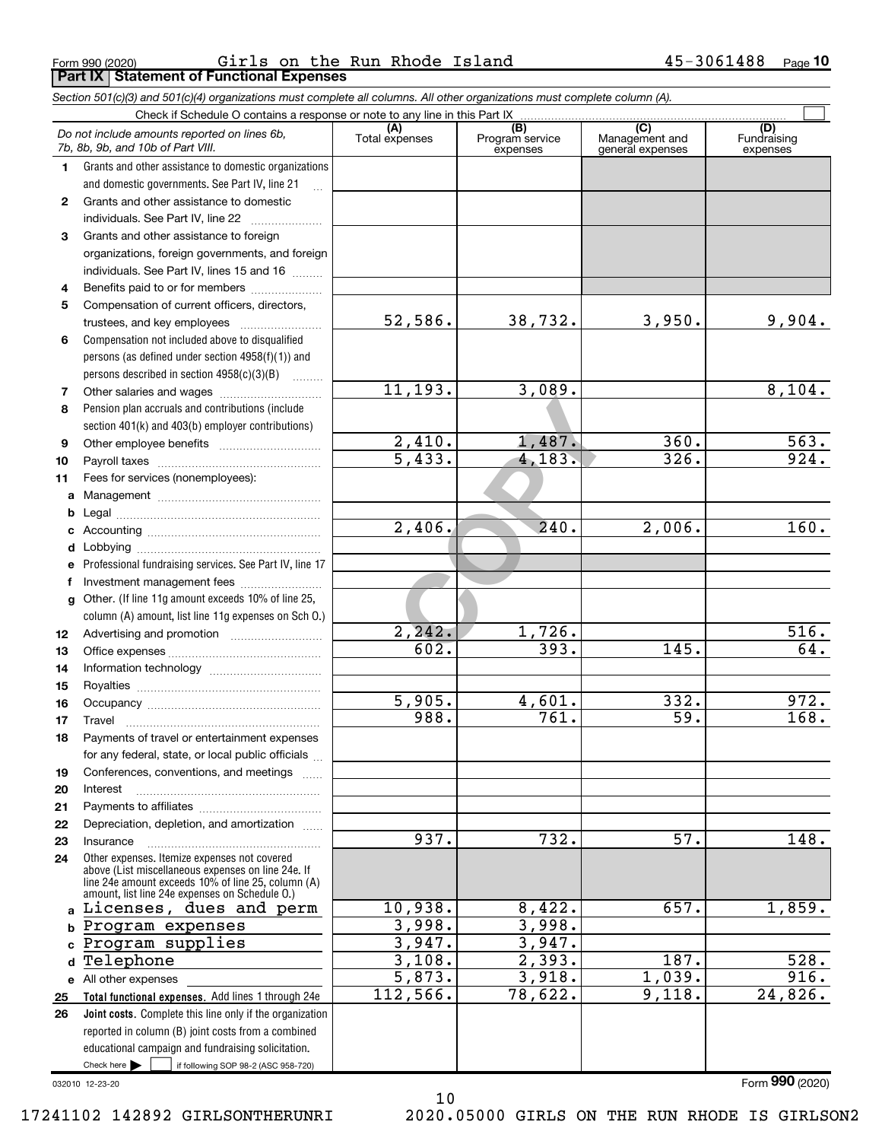Form 990 (2020) Girls on the Run Rhode Island 45-3061488 <sub>Page</sub><br>| **Part IX | Statement of Functional Expenses** Girls on the Run Rhode Island 45-3061488

|                  | Section 501(c)(3) and 501(c)(4) organizations must complete all columns. All other organizations must complete column (A).                                                                                 |                       |                                    |                                                      |                                |
|------------------|------------------------------------------------------------------------------------------------------------------------------------------------------------------------------------------------------------|-----------------------|------------------------------------|------------------------------------------------------|--------------------------------|
|                  | Check if Schedule O contains a response or note to any line in this Part IX                                                                                                                                |                       |                                    |                                                      |                                |
|                  | Do not include amounts reported on lines 6b,<br>7b, 8b, 9b, and 10b of Part VIII.                                                                                                                          | (A)<br>Total expenses | (B)<br>Program service<br>expenses | $\overline{C}$<br>Management and<br>general expenses | (D)<br>Fundraising<br>expenses |
| 1.               | Grants and other assistance to domestic organizations                                                                                                                                                      |                       |                                    |                                                      |                                |
|                  | and domestic governments. See Part IV, line 21                                                                                                                                                             |                       |                                    |                                                      |                                |
| $\mathbf{2}$     | Grants and other assistance to domestic                                                                                                                                                                    |                       |                                    |                                                      |                                |
|                  | individuals. See Part IV, line 22                                                                                                                                                                          |                       |                                    |                                                      |                                |
| 3                | Grants and other assistance to foreign                                                                                                                                                                     |                       |                                    |                                                      |                                |
|                  | organizations, foreign governments, and foreign                                                                                                                                                            |                       |                                    |                                                      |                                |
|                  | individuals. See Part IV, lines 15 and 16                                                                                                                                                                  |                       |                                    |                                                      |                                |
| 4                | Benefits paid to or for members                                                                                                                                                                            |                       |                                    |                                                      |                                |
| 5                | Compensation of current officers, directors,                                                                                                                                                               |                       |                                    |                                                      |                                |
|                  | trustees, and key employees                                                                                                                                                                                | 52,586.               | 38,732.                            | 3,950.                                               | 9,904.                         |
| 6                | Compensation not included above to disqualified                                                                                                                                                            |                       |                                    |                                                      |                                |
|                  | persons (as defined under section 4958(f)(1)) and                                                                                                                                                          |                       |                                    |                                                      |                                |
|                  | persons described in section 4958(c)(3)(B)                                                                                                                                                                 | 11, 193.              |                                    |                                                      | 8,104.                         |
| 7                |                                                                                                                                                                                                            |                       | 3,089.                             |                                                      |                                |
| 8                | Pension plan accruals and contributions (include                                                                                                                                                           |                       |                                    |                                                      |                                |
|                  | section 401(k) and 403(b) employer contributions)                                                                                                                                                          | 2,410.                | 1,487.                             | 360.                                                 | 563.                           |
| 9                |                                                                                                                                                                                                            | $\overline{5,433}$ .  | 4,183.                             | 326.                                                 | 924.                           |
| 10               |                                                                                                                                                                                                            |                       |                                    |                                                      |                                |
| 11               | Fees for services (nonemployees):                                                                                                                                                                          |                       |                                    |                                                      |                                |
| a                |                                                                                                                                                                                                            |                       |                                    |                                                      |                                |
| b<br>c           |                                                                                                                                                                                                            | $\overline{2,406}$ .  | 240.                               | 2,006.                                               | 160.                           |
| d                |                                                                                                                                                                                                            |                       |                                    |                                                      |                                |
| е                | Professional fundraising services. See Part IV, line 17                                                                                                                                                    |                       |                                    |                                                      |                                |
| f                | Investment management fees                                                                                                                                                                                 |                       |                                    |                                                      |                                |
| g                | Other. (If line 11g amount exceeds 10% of line 25,                                                                                                                                                         |                       |                                    |                                                      |                                |
|                  | column (A) amount, list line 11g expenses on Sch O.)                                                                                                                                                       |                       |                                    |                                                      |                                |
| 12 <sup>12</sup> |                                                                                                                                                                                                            | 2, 242.               | 1,726.                             |                                                      | 516.                           |
| 13               |                                                                                                                                                                                                            | 602.                  | 393.                               | 145.                                                 | 64.                            |
| 14               |                                                                                                                                                                                                            |                       |                                    |                                                      |                                |
| 15               |                                                                                                                                                                                                            |                       |                                    |                                                      |                                |
| 16               |                                                                                                                                                                                                            | 5,905.                | 4,601.                             | 332.                                                 | $\overline{972}$ .             |
| 17               |                                                                                                                                                                                                            | 988.                  | 761.                               | 59.                                                  | 168.                           |
| 18               | Payments of travel or entertainment expenses                                                                                                                                                               |                       |                                    |                                                      |                                |
|                  | for any federal, state, or local public officials                                                                                                                                                          |                       |                                    |                                                      |                                |
| 19               | Conferences, conventions, and meetings                                                                                                                                                                     |                       |                                    |                                                      |                                |
| 20               | Interest                                                                                                                                                                                                   |                       |                                    |                                                      |                                |
| 21               |                                                                                                                                                                                                            |                       |                                    |                                                      |                                |
| 22               | Depreciation, depletion, and amortization                                                                                                                                                                  |                       |                                    |                                                      |                                |
| 23               | Insurance                                                                                                                                                                                                  | 937.                  | 732.                               | 57.                                                  | 148.                           |
| 24               | Other expenses. Itemize expenses not covered<br>above (List miscellaneous expenses on line 24e. If<br>line 24e amount exceeds 10% of line 25, column (A)<br>amount, list line 24e expenses on Schedule O.) |                       |                                    |                                                      |                                |
|                  | a Licenses, dues and perm                                                                                                                                                                                  | 10,938.               | 8,422.                             | 657.                                                 | 1,859.                         |
| b                | Program expenses                                                                                                                                                                                           | 3,998.                | 3,998.                             |                                                      |                                |
| C.               | Program supplies                                                                                                                                                                                           | 3,947.                | 3,947.                             |                                                      |                                |
| d                | Telephone                                                                                                                                                                                                  | 3,108.                | 2,393.                             | 187.                                                 | 528.                           |
|                  | e All other expenses                                                                                                                                                                                       | 5,873.                | 3,918.                             | 1,039.                                               | 916.                           |
| 25               | Total functional expenses. Add lines 1 through 24e                                                                                                                                                         | 112,566.              | 78,622.                            | 9,118.                                               | 24,826.                        |
| 26               | <b>Joint costs.</b> Complete this line only if the organization                                                                                                                                            |                       |                                    |                                                      |                                |
|                  | reported in column (B) joint costs from a combined                                                                                                                                                         |                       |                                    |                                                      |                                |
|                  | educational campaign and fundraising solicitation.                                                                                                                                                         |                       |                                    |                                                      |                                |
|                  | Check here $\blacktriangleright$<br>if following SOP 98-2 (ASC 958-720)                                                                                                                                    |                       |                                    |                                                      |                                |

032010 12-23-20

Form 990 (2020)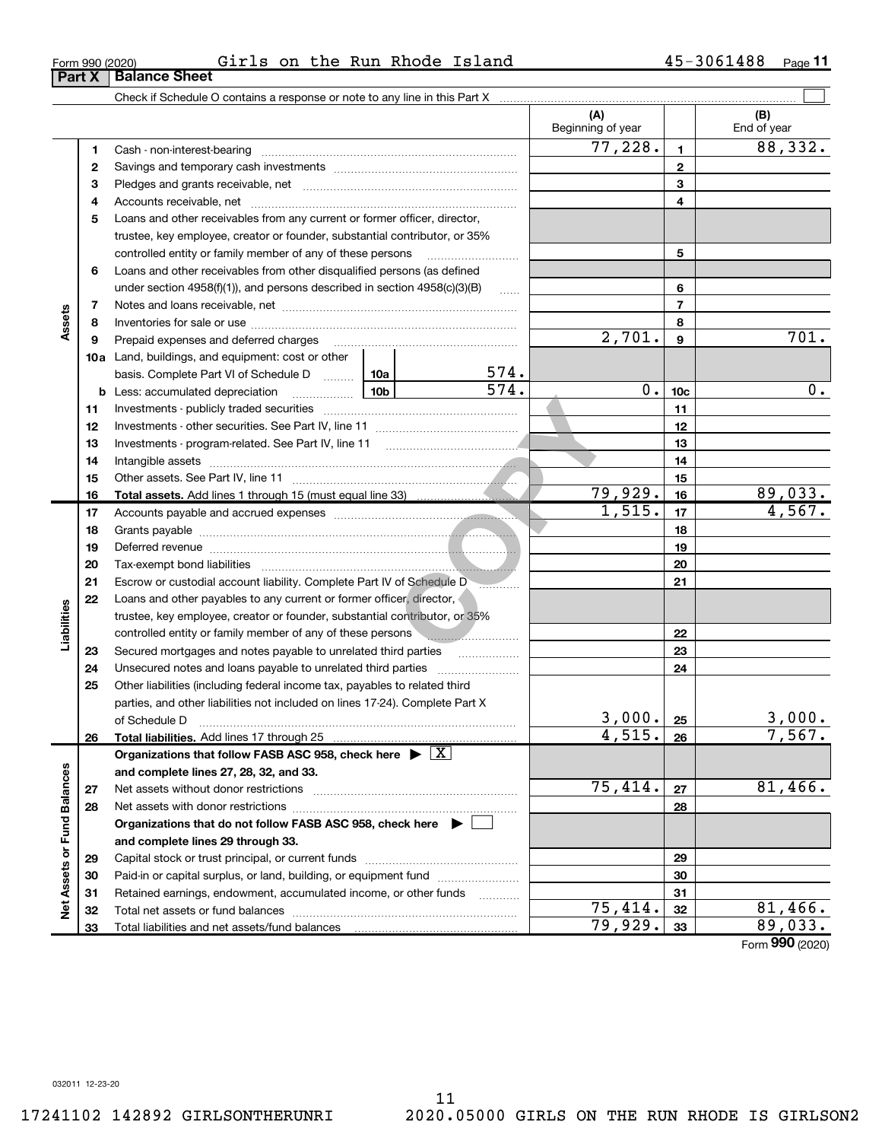Total liabilities and net assets/fund balances

(A) (B) 1 2 3 4 5 6 7 8 9 10c 11 12 13 14 15 16 17 18 19 20 21 22 23 24 25 26 basis. Complete Part VI of Schedule D ......... 10a Total assets. Add lines 1 through 15 (must equal line 33) Total liabilities. Add lines 17 through 25 Organizations that follow FASB ASC 958, check here  $\blacktriangleright \; \boxed{{\rm X}}$ Check if Schedule O contains a response or note to any line in this Part X Beginning of year  $\vert$  | End of year Cash - non-interest-bearing ~~~~~~~~~~~~~~~~~~~~~~~~~ Savings and temporary cash investments [ \\times\\sqrt(\) \\times\\sqrt(\) \times\\sqrt(\) \times\\sqrt(\) \ti trustee, key employee, creator or founder, substantial contributor, or 35% controlled entity or family member of any of these persons ............................ under section  $4958(f)(1)$ , and persons described in section  $4958(c)(3)(B)$ Notes and loans receivable, net **with the contract of the contract of the contract of the contract of the contra** Inventories for sale or use ~~~~~~~~~~~~~~~~~~~~~~~~~~ Prepaid expenses and deferred charges ~~~~~~~~~~~~~~~~~~ Investments - publicly traded securities ~~~~~~~~~~~~~~~~~~~ Investments - other securities. See Part IV, line 11 ~~~~~~~~~~~~~~ Investments - program-related. See Part IV, line 11 [2010] [2010] [2010] [2010] [2010] [2010] [2010] [2010] [2 Intangible assets ~~~~~~~~~~~~~~~~~~~~~~~~~~~~~~ Other assets. See Part IV, line 11 ~~~~~~~~~~~~~~~~~~~~~~ Accounts payable and accrued expenses ~~~~~~~~~~~~~~~~~~ Grants payable **communication** contract the contract of the contract of the contract of the contract of the contract of the contract of the contract of the contract of the contract of the contract of the contract of the co Deferred revenue ~~~~~~~~~~~~~~~~~~~~~~~~~~~~~~ Tax-exempt bond liabilities ~~~~~~~~~~~~~~~~~~~~~~~~~ Escrow or custodial account liability. Complete Part IV of Schedule D Loans and other payables to any current or former officer, director, trustee, key employee, creator or founder, substantial contributor, or 35% controlled entity or family member of any of these persons Secured mortgages and notes payable to unrelated third parties  $\ldots$ Other liabilities (including federal income tax, payables to related third parties, and other liabilities not included on lines 17-24). Complete Part X of Schedule D ~~~~~~~~~~~~~~~~~~~~~~~~~~~~~~~ 1, 515.<br>
(1, 515.<br>
(1, 515.<br>
(1, 515.<br>
(1, Sepertempt)<br>
(1, Sepertempt)<br>
(1, Sepertempt)<br>
(1, Sepertempt)<br>
(1, Sepertempt)<br>
(1, Sepertempt)<br>
(1, Sepertempt)<br>
(1, Sepertempt)<br>
(1, Sepertempt)<br>
(1, Sepertempt)<br>
(1, Sepertemp  $77,228.$  1 88,332. 574.

1 2 3 Pledges and grants receivable, net ~~~~~~~~~~~~~~~~~~~~~ 4 5 Loans and other receivables from any current or former officer, director, 6 7 8 9 10a Land, buildings, and equipment: cost or other 11 12 13 14 15 16 17 18 19 20 21 22 23 24 25 26 27 28 29 30 31 32 **b** Less: accumulated depreciation *\_\_\_\_\_\_\_\_\_\_\_\_\_\_* 10b and complete lines 27, 28, 32, and 33. 27 28 Organizations that do not follow FASB ASC 958, check here  $\;\blacktriangleright\;\blacksquare$ and complete lines 29 through 33. 29 30 31 32 Net Assets or Fund Balances Accounts receivable, net ~~~~~~~~~~~~~~~~~~~~~~~~~~ Loans and other receivables from other disqualified persons (as defined Unsecured notes and loans payable to unrelated third parties ............... Net assets without donor restrictions ~~~~~~~~~~~~~~~~~~~~ Net assets with donor restrictions ~~~~~~~~~~~~~~~~~~~~~~ Capital stock or trust principal, or current funds ~~~~~~~~~~~~~~~ Paid-in or capital surplus, or land, building, or equipment fund *willerconnection* Retained earnings, endowment, accumulated income, or other funds Total net assets or fund balances ~~~~~~~~~~~~~~~~~~~~~~ 2,701. 701.  $574.$  0. 10c 0. 0. 79,929. 89,033.  $1,515.$   $17$   $4,567.$  $3,000$ .  $25$   $3,000$ .  $4,515.$  26 7,567.  $75,414. |z_7|$  81,466.  $75,414.$   $32$  81,466.

 $\Box$ 

Form 990 (2020)

33

79,929. 89,033.

### 11 17241102 142892 GIRLSONTHERUNRI 2020.05000 GIRLS ON THE RUN RHODE IS GIRLSON2

032011 12-23-20

33

Assets

**Liabilities** 

Assets or Fund Balances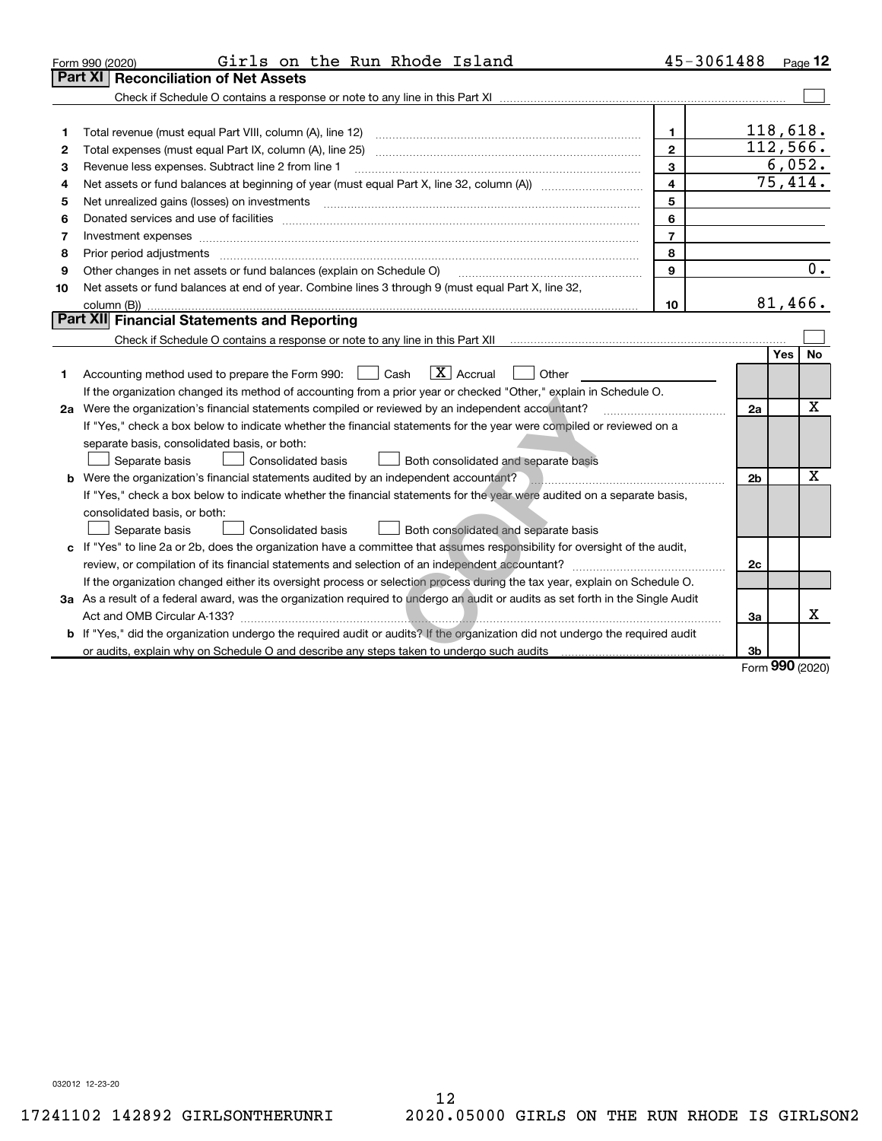|    | Girls on the Run Rhode Island<br>Form 990 (2020)                                                                                     | 45-3061488              |                |                    | Page 12          |
|----|--------------------------------------------------------------------------------------------------------------------------------------|-------------------------|----------------|--------------------|------------------|
|    | Part XI<br><b>Reconciliation of Net Assets</b>                                                                                       |                         |                |                    |                  |
|    |                                                                                                                                      |                         |                |                    |                  |
|    |                                                                                                                                      |                         |                |                    |                  |
| 1  |                                                                                                                                      | 1                       |                | 118,618.           |                  |
| 2  |                                                                                                                                      | $\overline{2}$          |                |                    | 112,566.         |
| 3  | Revenue less expenses. Subtract line 2 from line 1                                                                                   | $\mathbf{3}$            |                |                    | 6,052.           |
| 4  |                                                                                                                                      | $\overline{\mathbf{4}}$ |                |                    | 75,414.          |
| 5  |                                                                                                                                      | 5                       |                |                    |                  |
| 6  |                                                                                                                                      | 6                       |                |                    |                  |
| 7  | Investment expenses www.communication.com/www.communication.com/www.communication.com/www.communication.com                          | $\overline{7}$          |                |                    |                  |
| 8  | Prior period adjustments www.communication.communication.com/news/communication.com/news/communication.com/news/                     | 8                       |                |                    |                  |
| 9  | Other changes in net assets or fund balances (explain on Schedule O)                                                                 | $\mathbf{9}$            |                |                    | $\overline{0}$ . |
| 10 | Net assets or fund balances at end of year. Combine lines 3 through 9 (must equal Part X, line 32,                                   |                         |                |                    |                  |
|    |                                                                                                                                      | 10                      |                | 81,466.            |                  |
|    | Part XII Financial Statements and Reporting                                                                                          |                         |                |                    |                  |
|    |                                                                                                                                      |                         |                |                    |                  |
|    |                                                                                                                                      |                         |                | Yes                | <b>No</b>        |
| 1. | $\boxed{\mathbf{X}}$ Accrual<br>Accounting method used to prepare the Form 990: [16] Cash<br>Other                                   |                         |                |                    |                  |
|    | If the organization changed its method of accounting from a prior year or checked "Other," explain in Schedule O.                    |                         |                |                    |                  |
|    | 2a Were the organization's financial statements compiled or reviewed by an independent accountant?                                   |                         | 2a             |                    | $\mathbf X$      |
|    | If "Yes," check a box below to indicate whether the financial statements for the year were compiled or reviewed on a                 |                         |                |                    |                  |
|    | separate basis, consolidated basis, or both:                                                                                         |                         |                |                    |                  |
|    | Separate basis<br>Consolidated basis<br>Both consolidated and separate basis                                                         |                         |                |                    |                  |
|    | <b>b</b> Were the organization's financial statements audited by an independent accountant?                                          |                         | 2 <sub>b</sub> |                    | $\mathbf X$      |
|    | If "Yes," check a box below to indicate whether the financial statements for the year were audited on a separate basis,              |                         |                |                    |                  |
|    | consolidated basis, or both:                                                                                                         |                         |                |                    |                  |
|    | Consolidated basis<br>Both consolidated and separate basis<br>Separate basis                                                         |                         |                |                    |                  |
|    | c If "Yes" to line 2a or 2b, does the organization have a committee that assumes responsibility for oversight of the audit,          |                         |                |                    |                  |
|    |                                                                                                                                      |                         | 2c             |                    |                  |
|    | If the organization changed either its oversight process or selection process during the tax year, explain on Schedule O.            |                         |                |                    |                  |
|    | 3a As a result of a federal award, was the organization required to undergo an audit or audits as set forth in the Single Audit      |                         |                |                    |                  |
|    | Act and OMB Circular A-133?                                                                                                          |                         | За             |                    | x                |
|    | <b>b</b> If "Yes," did the organization undergo the required audit or audits? If the organization did not undergo the required audit |                         |                |                    |                  |
|    |                                                                                                                                      |                         | 3b             |                    |                  |
|    |                                                                                                                                      |                         |                | $000 \text{ days}$ |                  |

Form 990 (2020)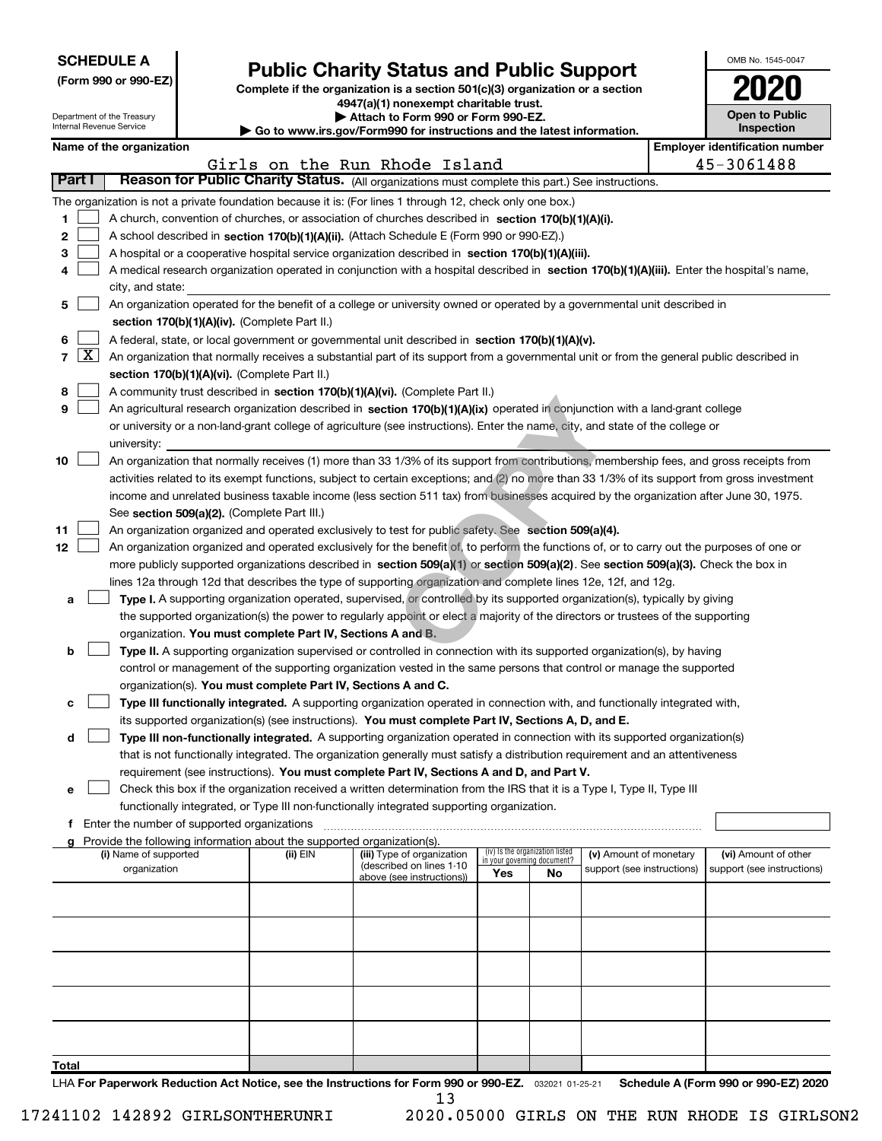| <b>SCHEDULE A</b> |  |
|-------------------|--|
|-------------------|--|

| (Form 990 or 990-EZ) |  |  |  |  |
|----------------------|--|--|--|--|
|----------------------|--|--|--|--|

# Public Charity Status and Public Support<br>
omplete if the organization is a section 501(c)(3) organization or a section<br>  $\overline{\text{2020}}$

(Form 990 or 990-EZ) Complete if the organization is a section 501(c)(3) organization or a section 4947(a)(1) nonexempt charitable trust.

| Attach to Form 990 or Form 990-EZ. |  |  |  |
|------------------------------------|--|--|--|
|                                    |  |  |  |

OMB No. 1545-0047

|       | Department of the Treasury<br>Internal Revenue Service |                                                                                                  |  | an i ilonexempt chamable a usu<br>Attach to Form 990 or Form 990-EZ.   |                                                                                                                                                                                                                                                           |                             |                                 |                            |  |                                       |  |
|-------|--------------------------------------------------------|--------------------------------------------------------------------------------------------------|--|------------------------------------------------------------------------|-----------------------------------------------------------------------------------------------------------------------------------------------------------------------------------------------------------------------------------------------------------|-----------------------------|---------------------------------|----------------------------|--|---------------------------------------|--|
|       |                                                        |                                                                                                  |  |                                                                        | ► Go to www.irs.gov/Form990 for instructions and the latest information.                                                                                                                                                                                  |                             |                                 |                            |  | <b>Inspection</b>                     |  |
|       |                                                        | Name of the organization                                                                         |  |                                                                        |                                                                                                                                                                                                                                                           |                             |                                 |                            |  | <b>Employer identification number</b> |  |
|       | Part I                                                 |                                                                                                  |  |                                                                        | Girls on the Run Rhode Island<br>Reason for Public Charity Status. (All organizations must complete this part.) See instructions.                                                                                                                         |                             |                                 |                            |  | 45-3061488                            |  |
|       |                                                        |                                                                                                  |  |                                                                        |                                                                                                                                                                                                                                                           |                             |                                 |                            |  |                                       |  |
|       |                                                        |                                                                                                  |  |                                                                        | The organization is not a private foundation because it is: (For lines 1 through 12, check only one box.)                                                                                                                                                 |                             |                                 |                            |  |                                       |  |
| 1     |                                                        |                                                                                                  |  |                                                                        | A church, convention of churches, or association of churches described in section 170(b)(1)(A)(i).                                                                                                                                                        |                             |                                 |                            |  |                                       |  |
| 2     |                                                        |                                                                                                  |  |                                                                        | A school described in section 170(b)(1)(A)(ii). (Attach Schedule E (Form 990 or 990-EZ).)<br>A hospital or a cooperative hospital service organization described in section 170(b)(1)(A)(iii).                                                            |                             |                                 |                            |  |                                       |  |
| з     |                                                        |                                                                                                  |  |                                                                        | A medical research organization operated in conjunction with a hospital described in section 170(b)(1)(A)(iii). Enter the hospital's name,                                                                                                                |                             |                                 |                            |  |                                       |  |
| 4     |                                                        |                                                                                                  |  |                                                                        |                                                                                                                                                                                                                                                           |                             |                                 |                            |  |                                       |  |
| 5     |                                                        | city, and state:                                                                                 |  |                                                                        | An organization operated for the benefit of a college or university owned or operated by a governmental unit described in                                                                                                                                 |                             |                                 |                            |  |                                       |  |
|       |                                                        |                                                                                                  |  | section 170(b)(1)(A)(iv). (Complete Part II.)                          |                                                                                                                                                                                                                                                           |                             |                                 |                            |  |                                       |  |
| 6     |                                                        | A federal, state, or local government or governmental unit described in section 170(b)(1)(A)(v). |  |                                                                        |                                                                                                                                                                                                                                                           |                             |                                 |                            |  |                                       |  |
|       | $7 \vert X \vert$                                      |                                                                                                  |  |                                                                        | An organization that normally receives a substantial part of its support from a governmental unit or from the general public described in                                                                                                                 |                             |                                 |                            |  |                                       |  |
|       |                                                        |                                                                                                  |  | section 170(b)(1)(A)(vi). (Complete Part II.)                          |                                                                                                                                                                                                                                                           |                             |                                 |                            |  |                                       |  |
| 8     |                                                        |                                                                                                  |  |                                                                        | A community trust described in section 170(b)(1)(A)(vi). (Complete Part II.)                                                                                                                                                                              |                             |                                 |                            |  |                                       |  |
| 9     |                                                        |                                                                                                  |  |                                                                        | An agricultural research organization described in section 170(b)(1)(A)(ix) operated in conjunction with a land-grant college                                                                                                                             |                             |                                 |                            |  |                                       |  |
|       |                                                        |                                                                                                  |  |                                                                        | or university or a non-land-grant college of agriculture (see instructions). Enter the name, city, and state of the college or                                                                                                                            |                             |                                 |                            |  |                                       |  |
|       |                                                        | university:                                                                                      |  |                                                                        |                                                                                                                                                                                                                                                           |                             |                                 |                            |  |                                       |  |
| 10    |                                                        |                                                                                                  |  |                                                                        | An organization that normally receives (1) more than 33 1/3% of its support from contributions, membership fees, and gross receipts from                                                                                                                  |                             |                                 |                            |  |                                       |  |
|       |                                                        |                                                                                                  |  |                                                                        | activities related to its exempt functions, subject to certain exceptions; and (2) no more than 33 1/3% of its support from gross investment                                                                                                              |                             |                                 |                            |  |                                       |  |
|       |                                                        |                                                                                                  |  |                                                                        | income and unrelated business taxable income (less section 511 tax) from businesses acquired by the organization after June 30, 1975.                                                                                                                     |                             |                                 |                            |  |                                       |  |
|       |                                                        |                                                                                                  |  | See section 509(a)(2). (Complete Part III.)                            |                                                                                                                                                                                                                                                           |                             |                                 |                            |  |                                       |  |
| 11    |                                                        |                                                                                                  |  |                                                                        | An organization organized and operated exclusively to test for public safety. See section 509(a)(4).                                                                                                                                                      |                             |                                 |                            |  |                                       |  |
| 12    |                                                        |                                                                                                  |  |                                                                        | An organization organized and operated exclusively for the benefit of, to perform the functions of, or to carry out the purposes of one or                                                                                                                |                             |                                 |                            |  |                                       |  |
|       |                                                        |                                                                                                  |  |                                                                        | more publicly supported organizations described in section 509(a)(1) or section 509(a)(2). See section 509(a)(3). Check the box in                                                                                                                        |                             |                                 |                            |  |                                       |  |
|       |                                                        |                                                                                                  |  |                                                                        | lines 12a through 12d that describes the type of supporting organization and complete lines 12e, 12f, and 12g.                                                                                                                                            |                             |                                 |                            |  |                                       |  |
| а     |                                                        |                                                                                                  |  |                                                                        | Type I. A supporting organization operated, supervised, or controlled by its supported organization(s), typically by giving                                                                                                                               |                             |                                 |                            |  |                                       |  |
|       |                                                        |                                                                                                  |  |                                                                        | the supported organization(s) the power to regularly appoint or elect a majority of the directors or trustees of the supporting                                                                                                                           |                             |                                 |                            |  |                                       |  |
|       |                                                        |                                                                                                  |  | organization. You must complete Part IV, Sections A and B.             |                                                                                                                                                                                                                                                           |                             |                                 |                            |  |                                       |  |
| b     |                                                        |                                                                                                  |  |                                                                        | Type II. A supporting organization supervised or controlled in connection with its supported organization(s), by having                                                                                                                                   |                             |                                 |                            |  |                                       |  |
|       |                                                        |                                                                                                  |  |                                                                        | control or management of the supporting organization vested in the same persons that control or manage the supported                                                                                                                                      |                             |                                 |                            |  |                                       |  |
|       |                                                        |                                                                                                  |  | organization(s). You must complete Part IV, Sections A and C.          |                                                                                                                                                                                                                                                           |                             |                                 |                            |  |                                       |  |
| с     |                                                        |                                                                                                  |  |                                                                        | Type III functionally integrated. A supporting organization operated in connection with, and functionally integrated with,                                                                                                                                |                             |                                 |                            |  |                                       |  |
|       |                                                        |                                                                                                  |  |                                                                        | its supported organization(s) (see instructions). You must complete Part IV, Sections A, D, and E.                                                                                                                                                        |                             |                                 |                            |  |                                       |  |
| d     |                                                        |                                                                                                  |  |                                                                        | Type III non-functionally integrated. A supporting organization operated in connection with its supported organization(s)<br>that is not functionally integrated. The organization generally must satisfy a distribution requirement and an attentiveness |                             |                                 |                            |  |                                       |  |
|       |                                                        |                                                                                                  |  |                                                                        | requirement (see instructions). You must complete Part IV, Sections A and D, and Part V.                                                                                                                                                                  |                             |                                 |                            |  |                                       |  |
| е     |                                                        |                                                                                                  |  |                                                                        | Check this box if the organization received a written determination from the IRS that it is a Type I, Type II, Type III                                                                                                                                   |                             |                                 |                            |  |                                       |  |
|       |                                                        |                                                                                                  |  |                                                                        | functionally integrated, or Type III non-functionally integrated supporting organization.                                                                                                                                                                 |                             |                                 |                            |  |                                       |  |
|       |                                                        | f Enter the number of supported organizations                                                    |  |                                                                        |                                                                                                                                                                                                                                                           |                             |                                 |                            |  |                                       |  |
|       |                                                        |                                                                                                  |  | Provide the following information about the supported organization(s). |                                                                                                                                                                                                                                                           |                             |                                 |                            |  |                                       |  |
|       |                                                        | (i) Name of supported                                                                            |  | (ii) EIN                                                               | (iii) Type of organization                                                                                                                                                                                                                                | in your governing document? | (iv) Is the organization listed | (v) Amount of monetary     |  | (vi) Amount of other                  |  |
|       |                                                        | organization                                                                                     |  |                                                                        | (described on lines 1-10<br>above (see instructions))                                                                                                                                                                                                     | Yes                         | No.                             | support (see instructions) |  | support (see instructions)            |  |
|       |                                                        |                                                                                                  |  |                                                                        |                                                                                                                                                                                                                                                           |                             |                                 |                            |  |                                       |  |
|       |                                                        |                                                                                                  |  |                                                                        |                                                                                                                                                                                                                                                           |                             |                                 |                            |  |                                       |  |
|       |                                                        |                                                                                                  |  |                                                                        |                                                                                                                                                                                                                                                           |                             |                                 |                            |  |                                       |  |
|       |                                                        |                                                                                                  |  |                                                                        |                                                                                                                                                                                                                                                           |                             |                                 |                            |  |                                       |  |
|       |                                                        |                                                                                                  |  |                                                                        |                                                                                                                                                                                                                                                           |                             |                                 |                            |  |                                       |  |
|       |                                                        |                                                                                                  |  |                                                                        |                                                                                                                                                                                                                                                           |                             |                                 |                            |  |                                       |  |
|       |                                                        |                                                                                                  |  |                                                                        |                                                                                                                                                                                                                                                           |                             |                                 |                            |  |                                       |  |
|       |                                                        |                                                                                                  |  |                                                                        |                                                                                                                                                                                                                                                           |                             |                                 |                            |  |                                       |  |
|       |                                                        |                                                                                                  |  |                                                                        |                                                                                                                                                                                                                                                           |                             |                                 |                            |  |                                       |  |
|       |                                                        |                                                                                                  |  |                                                                        |                                                                                                                                                                                                                                                           |                             |                                 |                            |  |                                       |  |
| Total |                                                        |                                                                                                  |  |                                                                        |                                                                                                                                                                                                                                                           |                             |                                 |                            |  |                                       |  |

LHA For Paperwork Reduction Act Notice, see the Instructions for Form 990 or 990-EZ. 032021 01-25-21 Schedule A (Form 990 or 990-EZ) 2020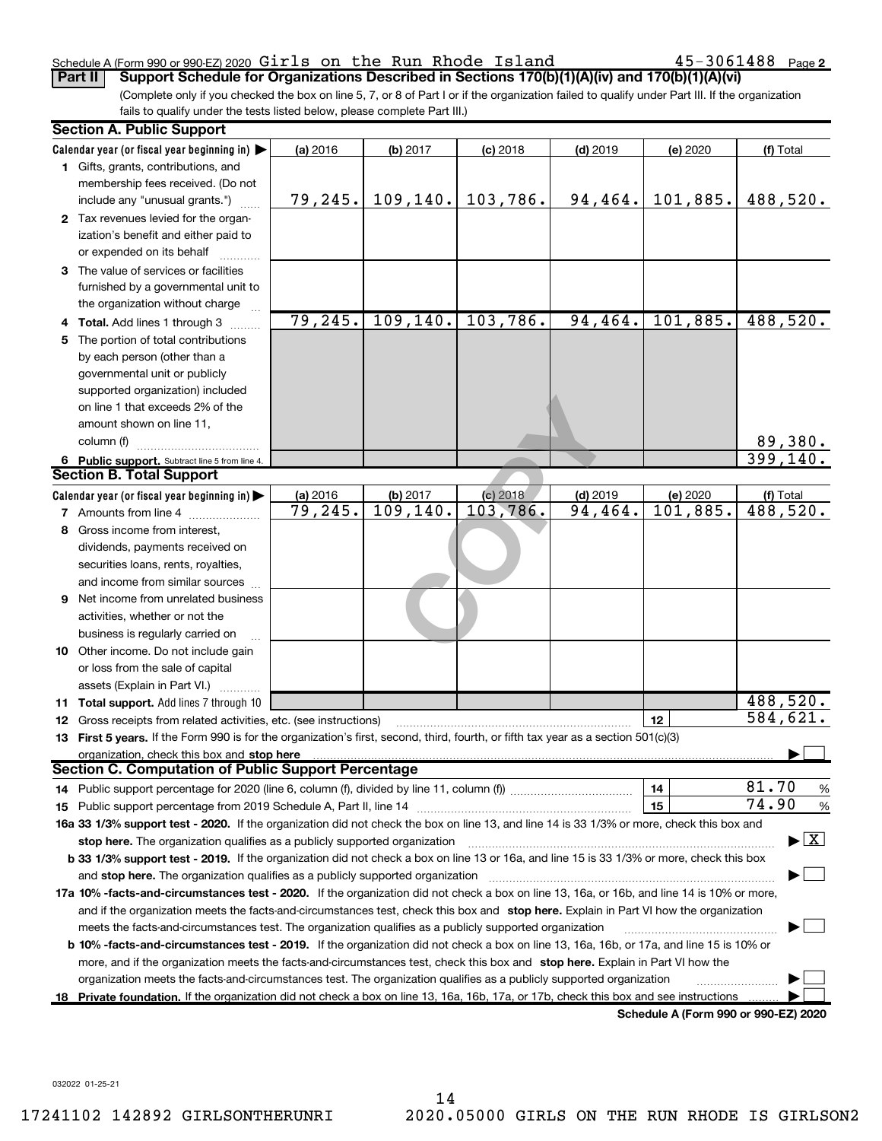#### Schedule A (Form 990 or 990-EZ) 2020  $\verb|Girls|$  on the Run Rhode Island  $\verb|45-3061488|$  Page Part II | Support Schedule for Organizations Described in Sections 170(b)(1)(A)(iv) and 170(b)(1)(A)(vi)

 $45 - 3061488$  Page 2

(Complete only if you checked the box on line 5, 7, or 8 of Part I or if the organization failed to qualify under Part III. If the organization fails to qualify under the tests listed below, please complete Part III.)

|    | <b>Section A. Public Support</b>                                                                                                           |          |           |            |            |                                      |                                          |
|----|--------------------------------------------------------------------------------------------------------------------------------------------|----------|-----------|------------|------------|--------------------------------------|------------------------------------------|
|    | Calendar year (or fiscal year beginning in) $\blacktriangleright$                                                                          | (a) 2016 | (b) 2017  | $(c)$ 2018 | $(d)$ 2019 | (e) 2020                             | (f) Total                                |
|    | 1 Gifts, grants, contributions, and                                                                                                        |          |           |            |            |                                      |                                          |
|    | membership fees received. (Do not                                                                                                          |          |           |            |            |                                      |                                          |
|    | include any "unusual grants.")                                                                                                             | 79, 245. | 109, 140. | 103,786.   | 94,464.    | 101,885.                             | 488,520.                                 |
|    | 2 Tax revenues levied for the organ-                                                                                                       |          |           |            |            |                                      |                                          |
|    | ization's benefit and either paid to                                                                                                       |          |           |            |            |                                      |                                          |
|    | or expended on its behalf                                                                                                                  |          |           |            |            |                                      |                                          |
|    | 3 The value of services or facilities                                                                                                      |          |           |            |            |                                      |                                          |
|    | furnished by a governmental unit to                                                                                                        |          |           |            |            |                                      |                                          |
|    | the organization without charge                                                                                                            |          |           |            |            |                                      |                                          |
|    | 4 Total. Add lines 1 through 3                                                                                                             | 79, 245. | 109, 140. | 103,786.   | 94, 464.   | 101,885.                             | 488,520.                                 |
| 5. | The portion of total contributions                                                                                                         |          |           |            |            |                                      |                                          |
|    | by each person (other than a                                                                                                               |          |           |            |            |                                      |                                          |
|    | governmental unit or publicly                                                                                                              |          |           |            |            |                                      |                                          |
|    | supported organization) included                                                                                                           |          |           |            |            |                                      |                                          |
|    | on line 1 that exceeds 2% of the                                                                                                           |          |           |            |            |                                      |                                          |
|    | amount shown on line 11,                                                                                                                   |          |           |            |            |                                      |                                          |
|    | column (f)                                                                                                                                 |          |           |            |            |                                      | 89,380.                                  |
|    | 6 Public support. Subtract line 5 from line 4.                                                                                             |          |           |            |            |                                      | 399, 140.                                |
|    | <b>Section B. Total Support</b>                                                                                                            |          |           |            |            |                                      |                                          |
|    | Calendar year (or fiscal year beginning in)                                                                                                | (a) 2016 | (b) 2017  | (c) 2018   | $(d)$ 2019 | (e) 2020                             | (f) Total                                |
|    | 7 Amounts from line 4                                                                                                                      | 79,245.  | 109, 140. | 103,786.   | 94,464.    | 101,885.                             | 488,520.                                 |
| 8  | Gross income from interest.                                                                                                                |          |           |            |            |                                      |                                          |
|    | dividends, payments received on                                                                                                            |          |           |            |            |                                      |                                          |
|    | securities loans, rents, royalties,                                                                                                        |          |           |            |            |                                      |                                          |
|    | and income from similar sources                                                                                                            |          |           |            |            |                                      |                                          |
| 9  | Net income from unrelated business                                                                                                         |          |           |            |            |                                      |                                          |
|    | activities, whether or not the                                                                                                             |          |           |            |            |                                      |                                          |
|    | business is regularly carried on                                                                                                           |          |           |            |            |                                      |                                          |
|    | <b>10</b> Other income. Do not include gain                                                                                                |          |           |            |            |                                      |                                          |
|    | or loss from the sale of capital                                                                                                           |          |           |            |            |                                      |                                          |
|    | assets (Explain in Part VI.)                                                                                                               |          |           |            |            |                                      |                                          |
|    | <b>11 Total support.</b> Add lines 7 through 10                                                                                            |          |           |            |            |                                      | 488,520.                                 |
|    | <b>12</b> Gross receipts from related activities, etc. (see instructions)                                                                  |          |           |            |            | 12                                   | 584,621.                                 |
|    | 13 First 5 years. If the Form 990 is for the organization's first, second, third, fourth, or fifth tax year as a section 501(c)(3)         |          |           |            |            |                                      |                                          |
|    | organization, check this box and stop here                                                                                                 |          |           |            |            |                                      |                                          |
|    | <b>Section C. Computation of Public Support Percentage</b>                                                                                 |          |           |            |            |                                      |                                          |
|    |                                                                                                                                            |          |           |            |            | 14                                   | 81.70<br>$\frac{9}{6}$                   |
|    |                                                                                                                                            |          |           |            |            | 15                                   | 74.90<br>$\%$                            |
|    | 16a 33 1/3% support test - 2020. If the organization did not check the box on line 13, and line 14 is 33 1/3% or more, check this box and  |          |           |            |            |                                      |                                          |
|    | stop here. The organization qualifies as a publicly supported organization                                                                 |          |           |            |            |                                      | $\blacktriangleright$ $\boxed{\text{X}}$ |
|    | b 33 1/3% support test - 2019. If the organization did not check a box on line 13 or 16a, and line 15 is 33 1/3% or more, check this box   |          |           |            |            |                                      |                                          |
|    | and stop here. The organization qualifies as a publicly supported organization                                                             |          |           |            |            |                                      |                                          |
|    | 17a 10% -facts-and-circumstances test - 2020. If the organization did not check a box on line 13, 16a, or 16b, and line 14 is 10% or more, |          |           |            |            |                                      |                                          |
|    | and if the organization meets the facts and circumstances test, check this box and stop here. Explain in Part VI how the organization      |          |           |            |            |                                      |                                          |
|    | meets the facts-and-circumstances test. The organization qualifies as a publicly supported organization                                    |          |           |            |            |                                      |                                          |
|    |                                                                                                                                            |          |           |            |            |                                      |                                          |
|    | b 10% -facts-and-circumstances test - 2019. If the organization did not check a box on line 13, 16a, 16b, or 17a, and line 15 is 10% or    |          |           |            |            |                                      |                                          |
|    | more, and if the organization meets the facts-and-circumstances test, check this box and stop here. Explain in Part VI how the             |          |           |            |            |                                      |                                          |
|    | organization meets the facts-and-circumstances test. The organization qualifies as a publicly supported organization                       |          |           |            |            |                                      |                                          |
|    | 18 Private foundation. If the organization did not check a box on line 13, 16a, 16b, 17a, or 17b, check this box and see instructions      |          |           |            |            | Schedule A (Form 990 or 990-F7) 2020 |                                          |

Schedule A (Form 990 or 990-EZ) 2020

032022 01-25-21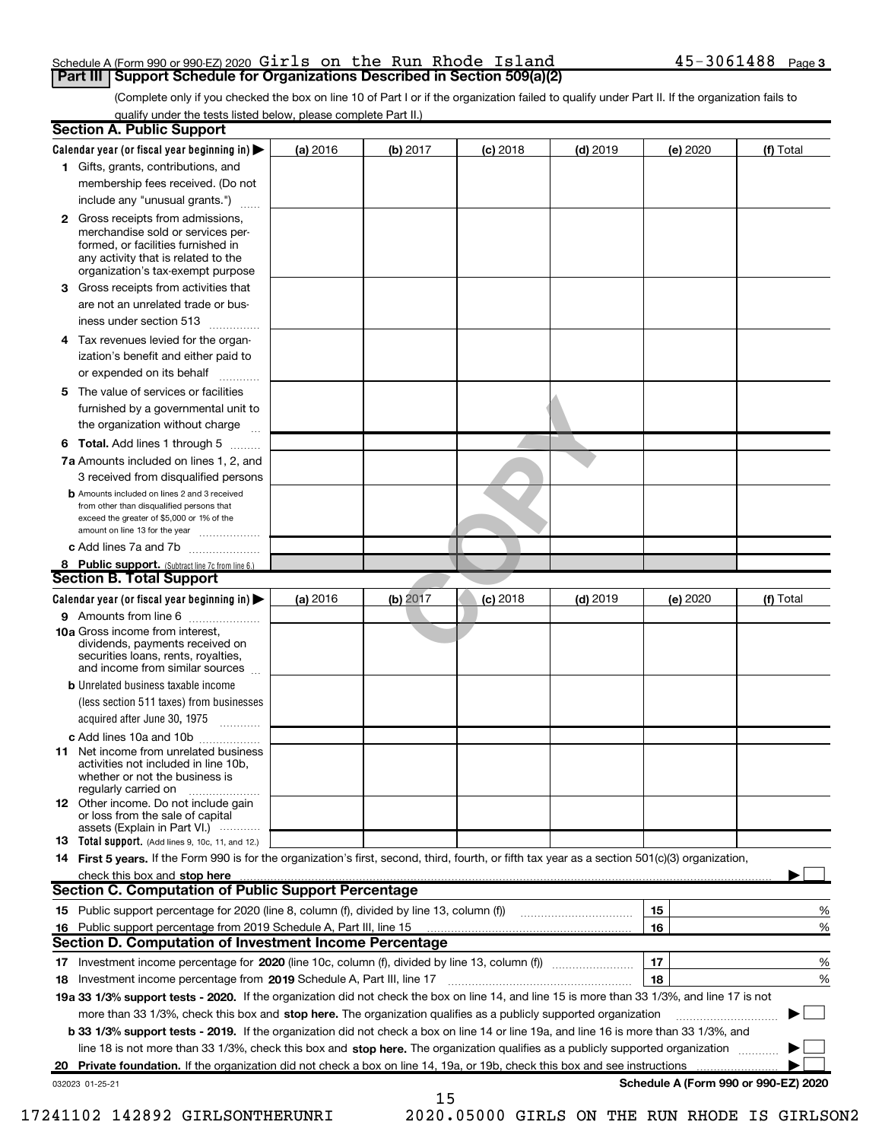#### Schedule A (Form 990 or 990-EZ) 2020  $\verb|Girls|$  on the Run Rhode Island  $\verb|45-3061488|$   $\verb|Page|$ **Part III | Support Schedule for Organizations Described in Section 509(a)(2)**

(Complete only if you checked the box on line 10 of Part I or if the organization failed to qualify under Part II. If the organization fails to qualify under the tests listed below, please complete Part II.)

|    | <b>Section A. Public Support</b>                                                                                                                                                                |          |          |            |            |                                      |           |
|----|-------------------------------------------------------------------------------------------------------------------------------------------------------------------------------------------------|----------|----------|------------|------------|--------------------------------------|-----------|
|    | Calendar year (or fiscal year beginning in) $\blacktriangleright$                                                                                                                               | (a) 2016 | (b) 2017 | $(c)$ 2018 | $(d)$ 2019 | (e) 2020                             | (f) Total |
|    | 1 Gifts, grants, contributions, and                                                                                                                                                             |          |          |            |            |                                      |           |
|    | membership fees received. (Do not                                                                                                                                                               |          |          |            |            |                                      |           |
|    | include any "unusual grants.")                                                                                                                                                                  |          |          |            |            |                                      |           |
|    | <b>2</b> Gross receipts from admissions,<br>merchandise sold or services per-<br>formed, or facilities furnished in<br>any activity that is related to the<br>organization's tax-exempt purpose |          |          |            |            |                                      |           |
| З  | Gross receipts from activities that                                                                                                                                                             |          |          |            |            |                                      |           |
|    | are not an unrelated trade or bus-                                                                                                                                                              |          |          |            |            |                                      |           |
|    | iness under section 513                                                                                                                                                                         |          |          |            |            |                                      |           |
|    | 4 Tax revenues levied for the organ-<br>ization's benefit and either paid to                                                                                                                    |          |          |            |            |                                      |           |
|    | or expended on its behalf                                                                                                                                                                       |          |          |            |            |                                      |           |
| 5. | The value of services or facilities                                                                                                                                                             |          |          |            |            |                                      |           |
|    | furnished by a governmental unit to                                                                                                                                                             |          |          |            |            |                                      |           |
|    | the organization without charge                                                                                                                                                                 |          |          |            |            |                                      |           |
|    | <b>6 Total.</b> Add lines 1 through 5 $\ldots$                                                                                                                                                  |          |          |            |            |                                      |           |
|    | 7a Amounts included on lines 1, 2, and                                                                                                                                                          |          |          |            |            |                                      |           |
|    | 3 received from disqualified persons                                                                                                                                                            |          |          |            |            |                                      |           |
|    | <b>b</b> Amounts included on lines 2 and 3 received<br>from other than disqualified persons that<br>exceed the greater of \$5,000 or 1% of the<br>amount on line 13 for the year                |          |          |            |            |                                      |           |
|    | c Add lines 7a and 7b                                                                                                                                                                           |          |          |            |            |                                      |           |
|    | 8 Public support. (Subtract line 7c from line 6.)                                                                                                                                               |          |          |            |            |                                      |           |
|    | <b>Section B. Total Support</b>                                                                                                                                                                 |          |          |            |            |                                      |           |
|    | Calendar year (or fiscal year beginning in) $\blacktriangleright$                                                                                                                               | (a) 2016 | (b) 2017 | $(c)$ 2018 | $(d)$ 2019 | (e) 2020                             | (f) Total |
|    | 9 Amounts from line 6                                                                                                                                                                           |          |          |            |            |                                      |           |
|    | 10a Gross income from interest,<br>dividends, payments received on<br>securities loans, rents, royalties,<br>and income from similar sources                                                    |          |          |            |            |                                      |           |
|    | <b>b</b> Unrelated business taxable income                                                                                                                                                      |          |          |            |            |                                      |           |
|    | (less section 511 taxes) from businesses                                                                                                                                                        |          |          |            |            |                                      |           |
|    | acquired after June 30, 1975                                                                                                                                                                    |          |          |            |            |                                      |           |
|    | c Add lines 10a and 10b                                                                                                                                                                         |          |          |            |            |                                      |           |
|    | <b>11</b> Net income from unrelated business<br>activities not included in line 10b,<br>whether or not the business is<br>regularly carried on                                                  |          |          |            |            |                                      |           |
|    | <b>12</b> Other income. Do not include gain<br>or loss from the sale of capital<br>assets (Explain in Part VI.)                                                                                 |          |          |            |            |                                      |           |
|    | <b>13</b> Total support. (Add lines 9, 10c, 11, and 12.)                                                                                                                                        |          |          |            |            |                                      |           |
|    | 14 First 5 years. If the Form 990 is for the organization's first, second, third, fourth, or fifth tax year as a section 501(c)(3) organization,                                                |          |          |            |            |                                      |           |
|    | check this box and stop here                                                                                                                                                                    |          |          |            |            |                                      |           |
|    | <b>Section C. Computation of Public Support Percentage</b>                                                                                                                                      |          |          |            |            |                                      |           |
|    | 15 Public support percentage for 2020 (line 8, column (f), divided by line 13, column (f))                                                                                                      |          |          |            |            | 15                                   | %         |
|    | 16 Public support percentage from 2019 Schedule A, Part III, line 15                                                                                                                            |          |          |            |            | 16                                   | %         |
|    | <b>Section D. Computation of Investment Income Percentage</b>                                                                                                                                   |          |          |            |            |                                      |           |
|    |                                                                                                                                                                                                 |          |          |            |            | 17                                   | %         |
|    | 18 Investment income percentage from 2019 Schedule A, Part III, line 17                                                                                                                         |          |          |            |            | 18                                   | %         |
|    | 19a 33 1/3% support tests - 2020. If the organization did not check the box on line 14, and line 15 is more than 33 1/3%, and line 17 is not                                                    |          |          |            |            |                                      |           |
|    | more than 33 1/3%, check this box and stop here. The organization qualifies as a publicly supported organization                                                                                |          |          |            |            |                                      |           |
|    | b 33 1/3% support tests - 2019. If the organization did not check a box on line 14 or line 19a, and line 16 is more than 33 1/3%, and                                                           |          |          |            |            |                                      |           |
|    | line 18 is not more than 33 1/3%, check this box and stop here. The organization qualifies as a publicly supported organization                                                                 |          |          |            |            |                                      |           |
|    | 20 Private foundation. If the organization did not check a box on line 14, 19a, or 19b, check this box and see instructions                                                                     |          |          |            |            |                                      |           |
|    | 032023 01-25-21                                                                                                                                                                                 |          | 15       |            |            | Schedule A (Form 990 or 990-EZ) 2020 |           |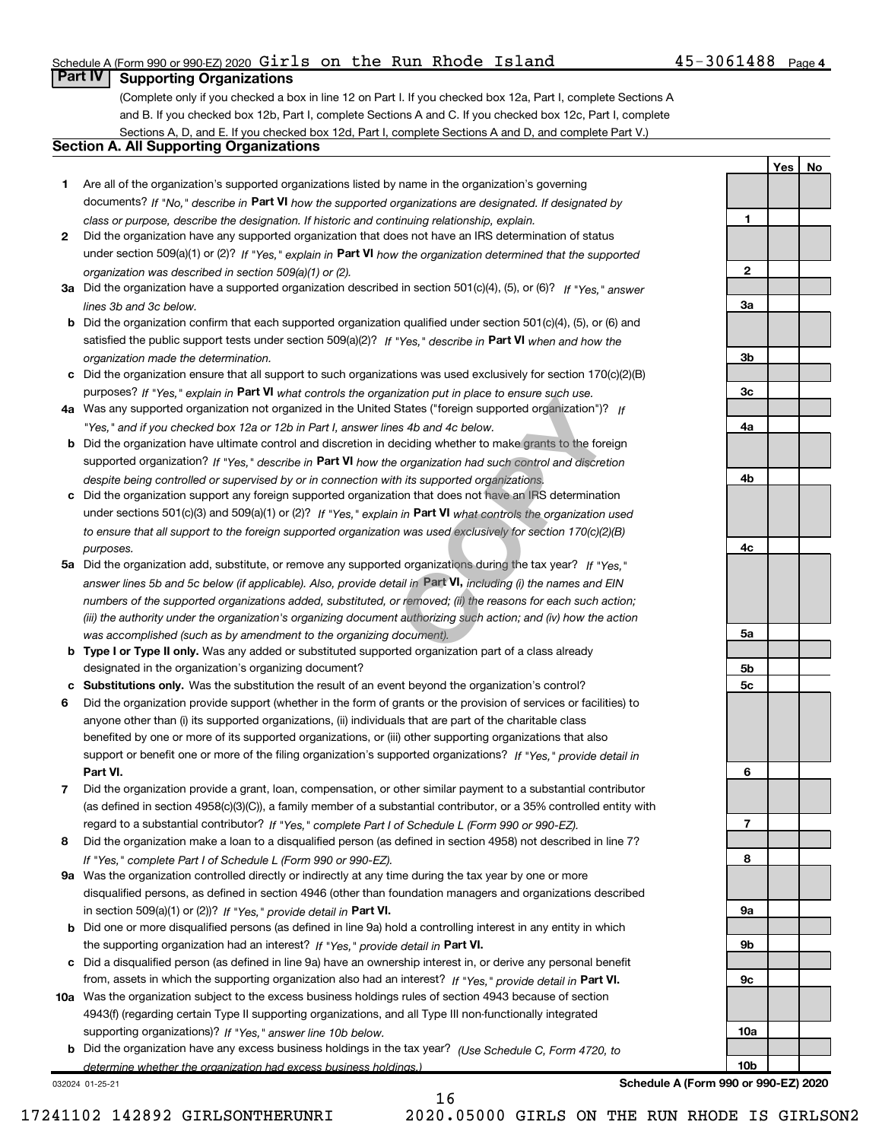### Schedule A (Form 990 or 990-EZ) 2020  $\verb|Girls|$  on the Run Rhode Island  $\verb|45-3061488|$   $\verb|Page|$

### **Part IV | Supporting Organizations**

(Complete only if you checked a box in line 12 on Part I. If you checked box 12a, Part I, complete Sections A and B. If you checked box 12b, Part I, complete Sections A and C. If you checked box 12c, Part I, complete Sections A, D, and E. If you checked box 12d, Part I, complete Sections A and D, and complete Part V.)

### Section A. All Supporting Organizations

- 1 Are all of the organization's supported organizations listed by name in the organization's governing documents? If "No," describe in Part VI how the supported organizations are designated. If designated by class or purpose, describe the designation. If historic and continuing relationship, explain.
- 2 Did the organization have any supported organization that does not have an IRS determination of status under section 509(a)(1) or (2)? If "Yes," explain in Part VI how the organization determined that the supported organization was described in section 509(a)(1) or (2).
- 3a Did the organization have a supported organization described in section 501(c)(4), (5), or (6)? If "Yes," answer lines 3b and 3c below.
- b Did the organization confirm that each supported organization qualified under section 501(c)(4), (5), or (6) and satisfied the public support tests under section 509(a)(2)? If "Yes," describe in Part VI when and how the organization made the determination.
- c Did the organization ensure that all support to such organizations was used exclusively for section 170(c)(2)(B) purposes? If "Yes," explain in Part VI what controls the organization put in place to ensure such use.
- 4a Was any supported organization not organized in the United States ("foreign supported organization")? If "Yes," and if you checked box 12a or 12b in Part I, answer lines 4b and 4c below.
- b Did the organization have ultimate control and discretion in deciding whether to make grants to the foreign supported organization? If "Yes," describe in Part VI how the organization had such control and discretion despite being controlled or supervised by or in connection with its supported organizations.
- c Did the organization support any foreign supported organization that does not have an IRS determination under sections 501(c)(3) and 509(a)(1) or (2)? If "Yes," explain in Part VI what controls the organization used to ensure that all support to the foreign supported organization was used exclusively for section 170(c)(2)(B) purposes.
- 5a Did the organization add, substitute, or remove any supported organizations during the tax year? If "Yes," answer lines 5b and 5c below (if applicable). Also, provide detail in Part VI, including (i) the names and EIN numbers of the supported organizations added, substituted, or removed; (ii) the reasons for each such action; (iii) the authority under the organization's organizing document authorizing such action; and (iv) how the action was accomplished (such as by amendment to the organizing document). mization put in piace to ensure such use.<br>
States ("foreign supported organization")? If<br>
thes 4b and 4c below.<br>
deciding whether to make grants to the foreign<br>
e organization had such control and discretion<br>
tin its supp
- **b Type I or Type II only.** Was any added or substituted supported organization part of a class already designated in the organization's organizing document?
- c Substitutions only. Was the substitution the result of an event beyond the organization's control?
- 6 Did the organization provide support (whether in the form of grants or the provision of services or facilities) to Part VI. support or benefit one or more of the filing organization's supported organizations? If "Yes," provide detail in anyone other than (i) its supported organizations, (ii) individuals that are part of the charitable class benefited by one or more of its supported organizations, or (iii) other supporting organizations that also
- 7 Did the organization provide a grant, loan, compensation, or other similar payment to a substantial contributor regard to a substantial contributor? If "Yes," complete Part I of Schedule L (Form 990 or 990-EZ). (as defined in section 4958(c)(3)(C)), a family member of a substantial contributor, or a 35% controlled entity with
- 8 Did the organization make a loan to a disqualified person (as defined in section 4958) not described in line 7? If "Yes," complete Part I of Schedule L (Form 990 or 990-EZ).
- 9a Was the organization controlled directly or indirectly at any time during the tax year by one or more in section 509(a)(1) or (2))? If "Yes," provide detail in Part VI. disqualified persons, as defined in section 4946 (other than foundation managers and organizations described
- b Did one or more disqualified persons (as defined in line 9a) hold a controlling interest in any entity in which the supporting organization had an interest? If "Yes," provide detail in Part VI.
- c Did a disqualified person (as defined in line 9a) have an ownership interest in, or derive any personal benefit from, assets in which the supporting organization also had an interest? If "Yes," provide detail in Part VI.
- 10a Was the organization subject to the excess business holdings rules of section 4943 because of section supporting organizations)? If "Yes," answer line 10b below. 4943(f) (regarding certain Type II supporting organizations, and all Type III non-functionally integrated
- **b** Did the organization have any excess business holdings in the tax year? (Use Schedule C, Form 4720, to determine whether the organization had excess business holdings.)

032024 01-25-21

Schedule A (Form 990 or 990-EZ) 2020

Yes | No



16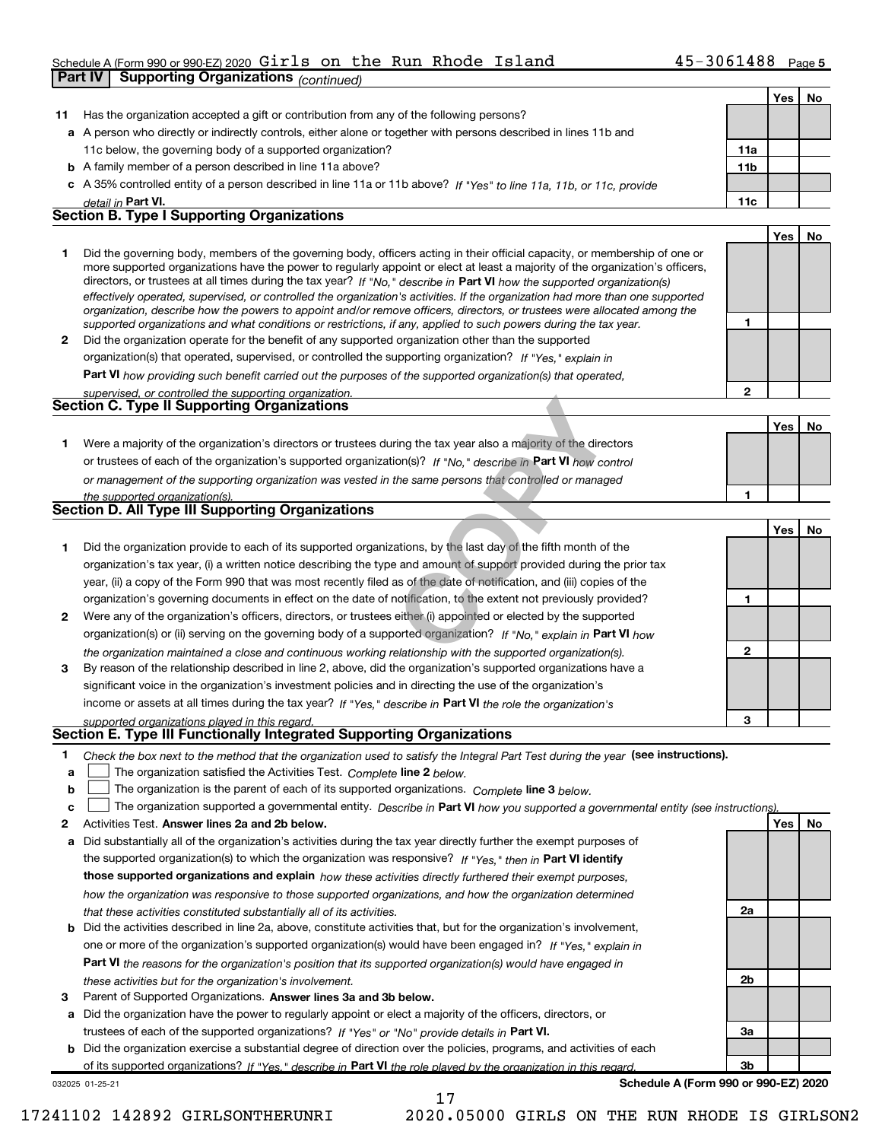#### Schedule A (Form 990 or 990-EZ) 2020  $G1r1s$  on the Run Rhode Island  $45-3061488$  Page Girls on the Run Rhode Island 45-3061488

Part IV | Supporting Organizations (continued)

|    |                                                                                                                                                                                                                                                            |              | Yes <sub>1</sub> | No |
|----|------------------------------------------------------------------------------------------------------------------------------------------------------------------------------------------------------------------------------------------------------------|--------------|------------------|----|
| 11 | Has the organization accepted a gift or contribution from any of the following persons?                                                                                                                                                                    |              |                  |    |
|    | a A person who directly or indirectly controls, either alone or together with persons described in lines 11b and                                                                                                                                           |              |                  |    |
|    | 11c below, the governing body of a supported organization?                                                                                                                                                                                                 | 11a          |                  |    |
|    | <b>b</b> A family member of a person described in line 11a above?                                                                                                                                                                                          | 11b          |                  |    |
|    | c A 35% controlled entity of a person described in line 11a or 11b above? If "Yes" to line 11a, 11b, or 11c, provide                                                                                                                                       |              |                  |    |
|    | detail in Part VI.                                                                                                                                                                                                                                         | 11c          |                  |    |
|    | <b>Section B. Type I Supporting Organizations</b>                                                                                                                                                                                                          |              |                  |    |
|    |                                                                                                                                                                                                                                                            |              | Yes              | No |
| 1  | Did the governing body, members of the governing body, officers acting in their official capacity, or membership of one or                                                                                                                                 |              |                  |    |
|    | more supported organizations have the power to regularly appoint or elect at least a majority of the organization's officers,                                                                                                                              |              |                  |    |
|    | directors, or trustees at all times during the tax year? If "No," describe in Part VI how the supported organization(s)                                                                                                                                    |              |                  |    |
|    | effectively operated, supervised, or controlled the organization's activities. If the organization had more than one supported<br>organization, describe how the powers to appoint and/or remove officers, directors, or trustees were allocated among the |              |                  |    |
|    | supported organizations and what conditions or restrictions, if any, applied to such powers during the tax year.                                                                                                                                           | 1            |                  |    |
| 2  | Did the organization operate for the benefit of any supported organization other than the supported                                                                                                                                                        |              |                  |    |
|    | organization(s) that operated, supervised, or controlled the supporting organization? If "Yes," explain in                                                                                                                                                 |              |                  |    |
|    | Part VI how providing such benefit carried out the purposes of the supported organization(s) that operated,                                                                                                                                                |              |                  |    |
|    | supervised, or controlled the supporting organization.                                                                                                                                                                                                     | $\mathbf{2}$ |                  |    |
|    | <b>Section C. Type II Supporting Organizations</b>                                                                                                                                                                                                         |              |                  |    |
|    |                                                                                                                                                                                                                                                            |              | Yes              | No |
| 1  | Were a majority of the organization's directors or trustees during the tax year also a majority of the directors                                                                                                                                           |              |                  |    |
|    | or trustees of each of the organization's supported organization(s)? If "No," describe in Part VI how control                                                                                                                                              |              |                  |    |
|    |                                                                                                                                                                                                                                                            |              |                  |    |
|    | or management of the supporting organization was vested in the same persons that controlled or managed                                                                                                                                                     | 1            |                  |    |
|    | the supported organization(s).<br>Section D. All Type III Supporting Organizations                                                                                                                                                                         |              |                  |    |
|    |                                                                                                                                                                                                                                                            |              | Yes              | No |
| 1  | Did the organization provide to each of its supported organizations, by the last day of the fifth month of the                                                                                                                                             |              |                  |    |
|    | organization's tax year, (i) a written notice describing the type and amount of support provided during the prior tax                                                                                                                                      |              |                  |    |
|    | year, (ii) a copy of the Form 990 that was most recently filed as of the date of notification, and (iii) copies of the                                                                                                                                     |              |                  |    |
|    | organization's governing documents in effect on the date of notification, to the extent not previously provided?                                                                                                                                           | 1            |                  |    |
| 2  |                                                                                                                                                                                                                                                            |              |                  |    |
|    | Were any of the organization's officers, directors, or trustees either (i) appointed or elected by the supported                                                                                                                                           |              |                  |    |
|    | organization(s) or (ii) serving on the governing body of a supported organization? If "No," explain in Part VI how                                                                                                                                         |              |                  |    |
|    | the organization maintained a close and continuous working relationship with the supported organization(s).                                                                                                                                                | $\mathbf{2}$ |                  |    |
| 3  | By reason of the relationship described in line 2, above, did the organization's supported organizations have a                                                                                                                                            |              |                  |    |
|    | significant voice in the organization's investment policies and in directing the use of the organization's                                                                                                                                                 |              |                  |    |
|    | income or assets at all times during the tax year? If "Yes," describe in Part VI the role the organization's                                                                                                                                               |              |                  |    |
|    | supported organizations played in this regard.<br>Section E. Type III Functionally Integrated Supporting Organizations                                                                                                                                     | 3            |                  |    |
|    |                                                                                                                                                                                                                                                            |              |                  |    |
| 1  | Check the box next to the method that the organization used to satisfy the Integral Part Test during the year (see instructions).                                                                                                                          |              |                  |    |
| a  | The organization satisfied the Activities Test. Complete line 2 below.                                                                                                                                                                                     |              |                  |    |
| b  | The organization is the parent of each of its supported organizations. Complete line 3 below.                                                                                                                                                              |              |                  |    |
| c  | The organization supported a governmental entity. Describe in Part VI how you supported a governmental entity (see instructions)                                                                                                                           |              |                  |    |
| 2  | Activities Test. Answer lines 2a and 2b below.                                                                                                                                                                                                             |              | Yes              | No |
| а  | Did substantially all of the organization's activities during the tax year directly further the exempt purposes of                                                                                                                                         |              |                  |    |
|    | the supported organization(s) to which the organization was responsive? If "Yes," then in Part VI identify                                                                                                                                                 |              |                  |    |
|    | those supported organizations and explain how these activities directly furthered their exempt purposes,                                                                                                                                                   |              |                  |    |
|    | how the organization was responsive to those supported organizations, and how the organization determined                                                                                                                                                  |              |                  |    |
|    | that these activities constituted substantially all of its activities.                                                                                                                                                                                     | 2a           |                  |    |
| b  | Did the activities described in line 2a, above, constitute activities that, but for the organization's involvement,                                                                                                                                        |              |                  |    |
|    | one or more of the organization's supported organization(s) would have been engaged in? If "Yes," explain in                                                                                                                                               |              |                  |    |
|    | Part VI the reasons for the organization's position that its supported organization(s) would have engaged in                                                                                                                                               |              |                  |    |
|    | these activities but for the organization's involvement.                                                                                                                                                                                                   | 2b           |                  |    |
| з  | Parent of Supported Organizations. Answer lines 3a and 3b below.                                                                                                                                                                                           |              |                  |    |
| a  | Did the organization have the power to regularly appoint or elect a majority of the officers, directors, or                                                                                                                                                |              |                  |    |
|    | trustees of each of the supported organizations? If "Yes" or "No" provide details in Part VI.                                                                                                                                                              | За           |                  |    |
| b  | Did the organization exercise a substantial degree of direction over the policies, programs, and activities of each                                                                                                                                        |              |                  |    |
|    | of its supported organizations? If "Yes," describe in Part VI the role played by the organization in this regard.                                                                                                                                          | 3b           |                  |    |
|    | Schedule A (Form 990 or 990-EZ) 2020<br>032025 01-25-21                                                                                                                                                                                                    |              |                  |    |

17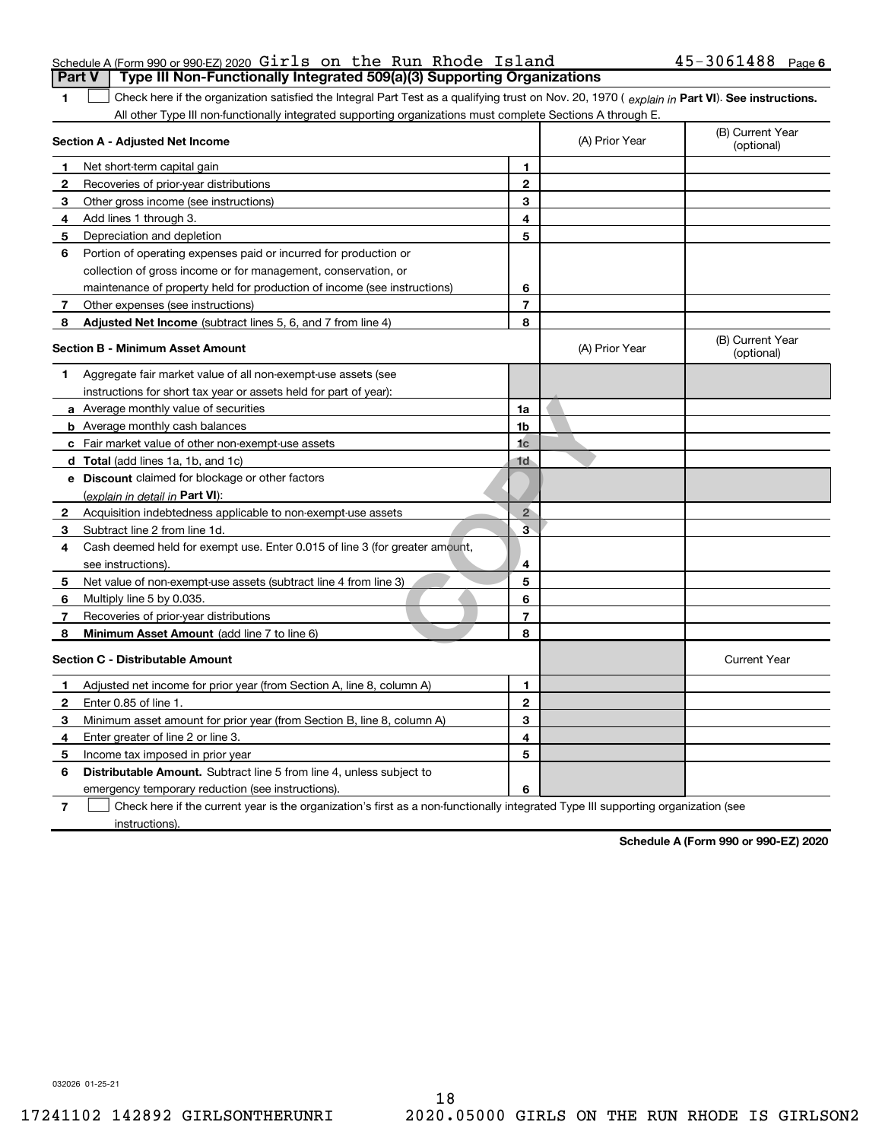| Schedule A (Form 990 or 990-EZ) 2020 Girls on the Run Rhode Island                      |  |  | $45 - 3061488$ Page 6 |  |
|-----------------------------------------------------------------------------------------|--|--|-----------------------|--|
| <b>Part V</b>   Type III Non-Functionally Integrated 509(a)(3) Supporting Organizations |  |  |                       |  |

Check here if the organization satisfied the Integral Part Test as a qualifying trust on Nov. 20, 1970 ( explain in Part VI). See instructions. All other Type III non-functionally integrated supporting organizations must complete Sections A through E.

|              | Section A - Adjusted Net Income                                                                                                   |                         | (A) Prior Year | (B) Current Year<br>(optional) |
|--------------|-----------------------------------------------------------------------------------------------------------------------------------|-------------------------|----------------|--------------------------------|
| 1            | Net short-term capital gain                                                                                                       | 1                       |                |                                |
| 2            | Recoveries of prior-year distributions                                                                                            | $\mathbf{2}$            |                |                                |
| 3            | Other gross income (see instructions)                                                                                             | 3                       |                |                                |
| 4            | Add lines 1 through 3.                                                                                                            | 4                       |                |                                |
| 5            | Depreciation and depletion                                                                                                        | 5                       |                |                                |
| 6            | Portion of operating expenses paid or incurred for production or                                                                  |                         |                |                                |
|              | collection of gross income or for management, conservation, or                                                                    |                         |                |                                |
|              | maintenance of property held for production of income (see instructions)                                                          | 6                       |                |                                |
| 7            | Other expenses (see instructions)                                                                                                 | $\overline{7}$          |                |                                |
| 8            | Adjusted Net Income (subtract lines 5, 6, and 7 from line 4)                                                                      | 8                       |                |                                |
|              | <b>Section B - Minimum Asset Amount</b>                                                                                           |                         | (A) Prior Year | (B) Current Year<br>(optional) |
| 1            | Aggregate fair market value of all non-exempt-use assets (see                                                                     |                         |                |                                |
|              | instructions for short tax year or assets held for part of year):                                                                 |                         |                |                                |
|              | <b>a</b> Average monthly value of securities                                                                                      | 1a                      |                |                                |
|              | <b>b</b> Average monthly cash balances                                                                                            | 1b                      |                |                                |
|              | c Fair market value of other non-exempt-use assets                                                                                | 1 <sub>c</sub>          |                |                                |
|              | d Total (add lines 1a, 1b, and 1c)                                                                                                | 1d                      |                |                                |
|              | e Discount claimed for blockage or other factors                                                                                  |                         |                |                                |
|              | (explain in detail in Part VI):                                                                                                   |                         |                |                                |
| $\mathbf{2}$ | Acquisition indebtedness applicable to non-exempt-use assets                                                                      | $2^{\circ}$             |                |                                |
| 3            | Subtract line 2 from line 1d.                                                                                                     | $\overline{\mathbf{3}}$ |                |                                |
| 4            | Cash deemed held for exempt use. Enter 0.015 of line 3 (for greater amount,                                                       |                         |                |                                |
|              | see instructions)                                                                                                                 | 4                       |                |                                |
| 5            | Net value of non-exempt-use assets (subtract line 4 from line 3)                                                                  | 5                       |                |                                |
| 6            | Multiply line 5 by 0.035.                                                                                                         | 6                       |                |                                |
| 7            | Recoveries of prior-year distributions                                                                                            | $\overline{7}$          |                |                                |
| 8            | <b>Minimum Asset Amount</b> (add line 7 to line 6)                                                                                | 8                       |                |                                |
|              | <b>Section C - Distributable Amount</b>                                                                                           |                         |                | <b>Current Year</b>            |
| 1            | Adjusted net income for prior year (from Section A, line 8, column A)                                                             | 1                       |                |                                |
| 2            | Enter 0.85 of line 1.                                                                                                             | $\mathbf 2$             |                |                                |
| 3            | Minimum asset amount for prior year (from Section B, line 8, column A)                                                            | 3                       |                |                                |
| 4            | Enter greater of line 2 or line 3.                                                                                                | 4                       |                |                                |
| 5            | Income tax imposed in prior year                                                                                                  | 5                       |                |                                |
| 6            | <b>Distributable Amount.</b> Subtract line 5 from line 4, unless subject to                                                       |                         |                |                                |
|              | emergency temporary reduction (see instructions).                                                                                 | 6                       |                |                                |
| 7            | Check here if the current year is the organization's first as a non-functionally integrated Type III supporting organization (see |                         |                |                                |

instructions).

Schedule A (Form 990 or 990-EZ) 2020

032026 01-25-21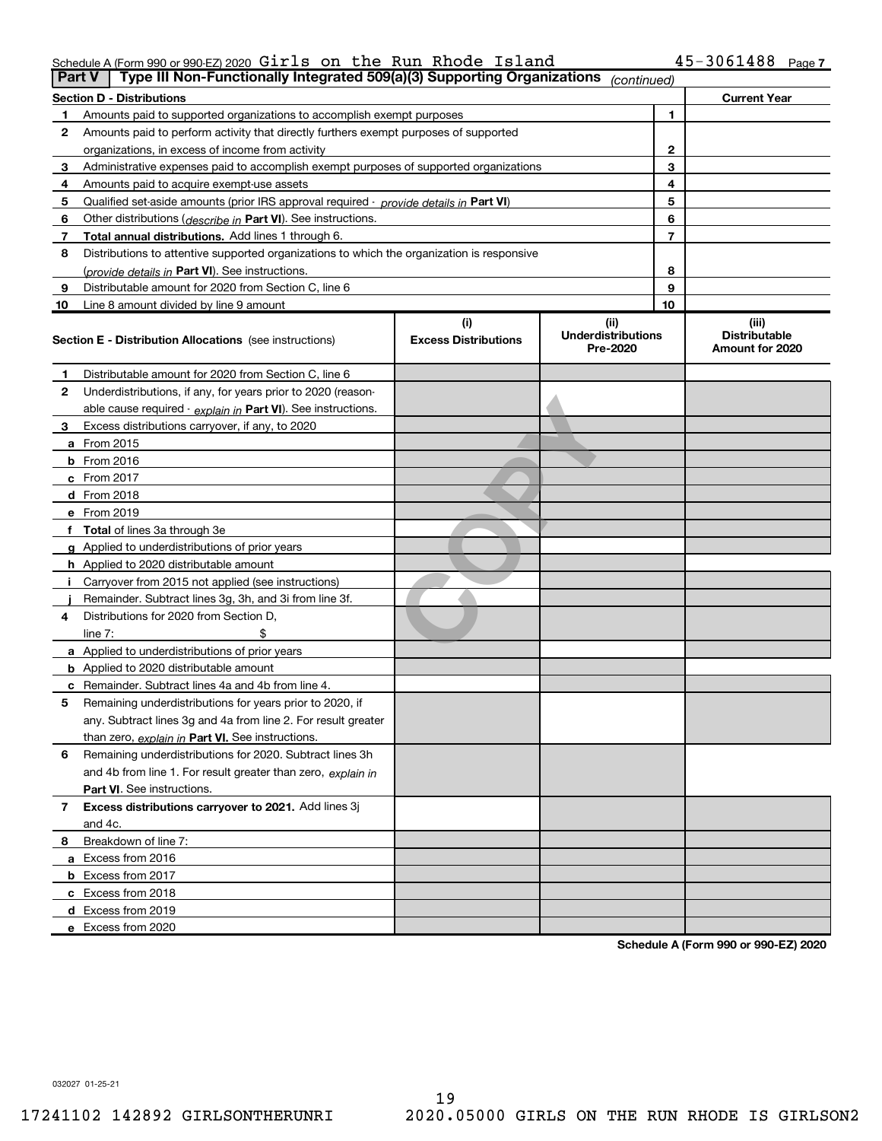### Schedule A (Form 990 or 990-EZ) 2020  $\verb|Girls|$  on the Run Rhode Island  $\verb|45-3061488|$   $\verb|Page|$

| <b>Part V</b> | Type III Non-Functionally Integrated 509(a)(3) Supporting Organizations                    |                                    | (continued)                                    |                                                  |
|---------------|--------------------------------------------------------------------------------------------|------------------------------------|------------------------------------------------|--------------------------------------------------|
|               | Section D - Distributions                                                                  |                                    |                                                | <b>Current Year</b>                              |
|               | Amounts paid to supported organizations to accomplish exempt purposes                      |                                    | 1                                              |                                                  |
| 2             | Amounts paid to perform activity that directly furthers exempt purposes of supported       |                                    |                                                |                                                  |
|               | organizations, in excess of income from activity                                           | 2                                  |                                                |                                                  |
| з             | Administrative expenses paid to accomplish exempt purposes of supported organizations      | 3                                  |                                                |                                                  |
| 4             | Amounts paid to acquire exempt-use assets                                                  | 4                                  |                                                |                                                  |
| 5             | Qualified set-aside amounts (prior IRS approval required - provide details in Part VI)     |                                    | 5                                              |                                                  |
| 6             | Other distributions ( <i>describe in</i> Part VI). See instructions.                       | 6                                  |                                                |                                                  |
| 7             | <b>Total annual distributions.</b> Add lines 1 through 6.                                  | $\overline{7}$                     |                                                |                                                  |
| 8             | Distributions to attentive supported organizations to which the organization is responsive |                                    |                                                |                                                  |
|               | (provide details in Part VI). See instructions.                                            | 8                                  |                                                |                                                  |
| 9             | Distributable amount for 2020 from Section C, line 6                                       |                                    | 9                                              |                                                  |
| 10            | Line 8 amount divided by line 9 amount                                                     |                                    | 10                                             |                                                  |
|               | <b>Section E - Distribution Allocations</b> (see instructions)                             | (i)<br><b>Excess Distributions</b> | (iii)<br><b>Underdistributions</b><br>Pre-2020 | (iii)<br><b>Distributable</b><br>Amount for 2020 |
| 1             | Distributable amount for 2020 from Section C, line 6                                       |                                    |                                                |                                                  |
| 2             | Underdistributions, if any, for years prior to 2020 (reason-                               |                                    |                                                |                                                  |
|               | able cause required - explain in Part VI). See instructions.                               |                                    |                                                |                                                  |
| з             | Excess distributions carryover, if any, to 2020                                            |                                    |                                                |                                                  |
|               | <b>a</b> From 2015                                                                         |                                    |                                                |                                                  |
|               | <b>b</b> From 2016                                                                         |                                    |                                                |                                                  |
|               | $c$ From 2017                                                                              |                                    |                                                |                                                  |
|               | <b>d</b> From 2018                                                                         |                                    |                                                |                                                  |
|               | e From 2019                                                                                |                                    |                                                |                                                  |
|               | f Total of lines 3a through 3e                                                             |                                    |                                                |                                                  |
|               | <b>g</b> Applied to underdistributions of prior years                                      |                                    |                                                |                                                  |
|               | <b>h</b> Applied to 2020 distributable amount                                              |                                    |                                                |                                                  |
|               | Carryover from 2015 not applied (see instructions)                                         |                                    |                                                |                                                  |
|               | Remainder. Subtract lines 3g, 3h, and 3i from line 3f.                                     |                                    |                                                |                                                  |
| 4             | Distributions for 2020 from Section D,                                                     |                                    |                                                |                                                  |
|               | line $7:$                                                                                  |                                    |                                                |                                                  |
|               | a Applied to underdistributions of prior years                                             |                                    |                                                |                                                  |
|               | <b>b</b> Applied to 2020 distributable amount                                              |                                    |                                                |                                                  |
|               | c Remainder. Subtract lines 4a and 4b from line 4.                                         |                                    |                                                |                                                  |
| 5             | Remaining underdistributions for years prior to 2020, if                                   |                                    |                                                |                                                  |
|               | any. Subtract lines 3g and 4a from line 2. For result greater                              |                                    |                                                |                                                  |
|               | than zero, explain in Part VI. See instructions.                                           |                                    |                                                |                                                  |
| 6             | Remaining underdistributions for 2020. Subtract lines 3h                                   |                                    |                                                |                                                  |
|               | and 4b from line 1. For result greater than zero, explain in                               |                                    |                                                |                                                  |
|               | Part VI. See instructions.                                                                 |                                    |                                                |                                                  |
| 7             | Excess distributions carryover to 2021. Add lines 3j                                       |                                    |                                                |                                                  |
|               | and 4c.                                                                                    |                                    |                                                |                                                  |
| 8             | Breakdown of line 7:                                                                       |                                    |                                                |                                                  |
|               | a Excess from 2016                                                                         |                                    |                                                |                                                  |
|               | <b>b</b> Excess from 2017                                                                  |                                    |                                                |                                                  |
|               | c Excess from 2018                                                                         |                                    |                                                |                                                  |
|               | d Excess from 2019                                                                         |                                    |                                                |                                                  |
|               | e Excess from 2020                                                                         |                                    |                                                |                                                  |

Schedule A (Form 990 or 990-EZ) 2020

032027 01-25-21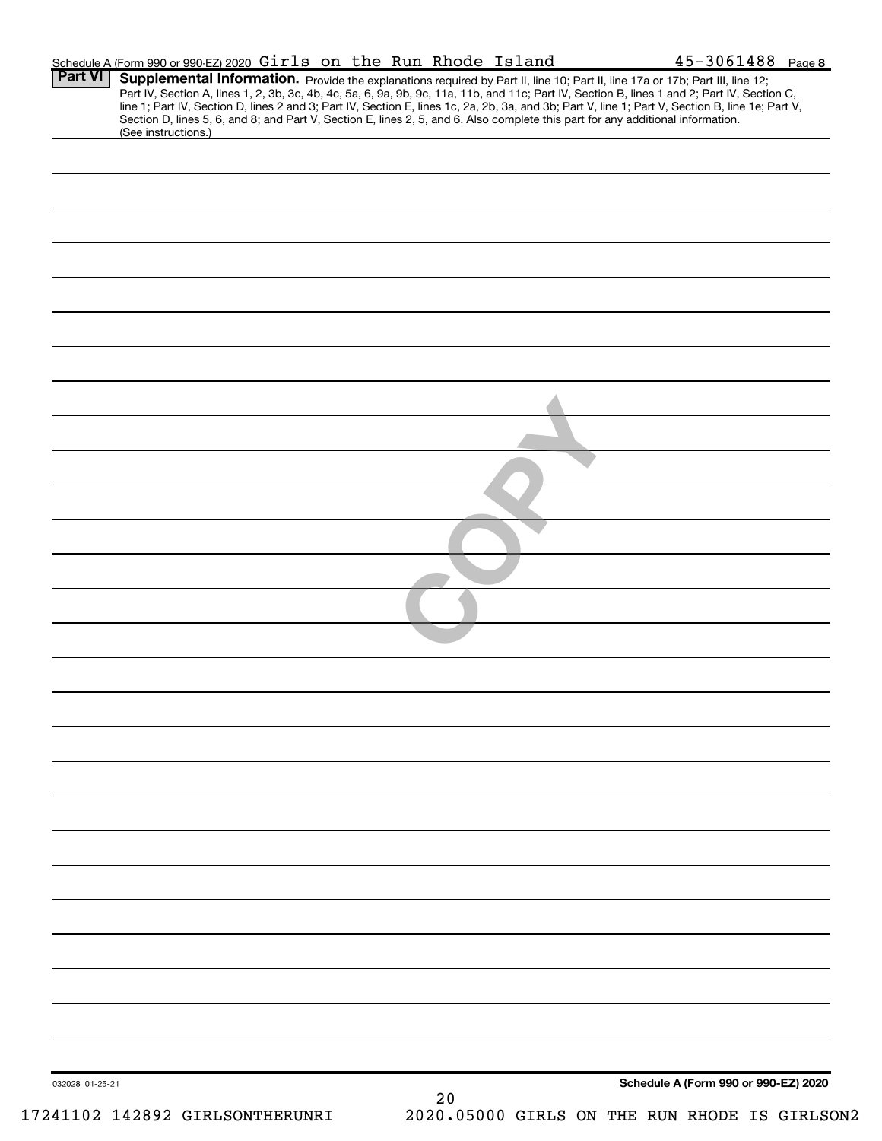| <b>Part VI</b>  | Schedule A (Form 990 or 990-EZ) 2020 Girls on the Run Rhode Island |  |  |  | 45-3061488 Page 8                                                                                                                                                                                                                                                                                                                                                                                                                                                                                                                                                    |
|-----------------|--------------------------------------------------------------------|--|--|--|----------------------------------------------------------------------------------------------------------------------------------------------------------------------------------------------------------------------------------------------------------------------------------------------------------------------------------------------------------------------------------------------------------------------------------------------------------------------------------------------------------------------------------------------------------------------|
|                 |                                                                    |  |  |  | Supplemental Information. Provide the explanations required by Part II, line 10; Part II, line 17a or 17b; Part III, line 12;<br>Part IV, Section A, lines 1, 2, 3b, 3c, 4b, 4c, 5a, 6, 9a, 9b, 9c, 11a, 11b, and 11c; Part IV, Section B, lines 1 and 2; Part IV, Section C,<br>line 1; Part IV, Section D, lines 2 and 3; Part IV, Section E, lines 1c, 2a, 2b, 3a, and 3b; Part V, line 1; Part V, Section B, line 1e; Part V,<br>Section D, lines 5, 6, and 8; and Part V, Section E, lines 2, 5, and 6. Also complete this part for any additional information. |
|                 | (See instructions.)                                                |  |  |  |                                                                                                                                                                                                                                                                                                                                                                                                                                                                                                                                                                      |
|                 |                                                                    |  |  |  |                                                                                                                                                                                                                                                                                                                                                                                                                                                                                                                                                                      |
|                 |                                                                    |  |  |  |                                                                                                                                                                                                                                                                                                                                                                                                                                                                                                                                                                      |
|                 |                                                                    |  |  |  |                                                                                                                                                                                                                                                                                                                                                                                                                                                                                                                                                                      |
|                 |                                                                    |  |  |  |                                                                                                                                                                                                                                                                                                                                                                                                                                                                                                                                                                      |
|                 |                                                                    |  |  |  |                                                                                                                                                                                                                                                                                                                                                                                                                                                                                                                                                                      |
|                 |                                                                    |  |  |  |                                                                                                                                                                                                                                                                                                                                                                                                                                                                                                                                                                      |
|                 |                                                                    |  |  |  |                                                                                                                                                                                                                                                                                                                                                                                                                                                                                                                                                                      |
|                 |                                                                    |  |  |  |                                                                                                                                                                                                                                                                                                                                                                                                                                                                                                                                                                      |
|                 |                                                                    |  |  |  |                                                                                                                                                                                                                                                                                                                                                                                                                                                                                                                                                                      |
|                 |                                                                    |  |  |  |                                                                                                                                                                                                                                                                                                                                                                                                                                                                                                                                                                      |
|                 |                                                                    |  |  |  |                                                                                                                                                                                                                                                                                                                                                                                                                                                                                                                                                                      |
|                 |                                                                    |  |  |  |                                                                                                                                                                                                                                                                                                                                                                                                                                                                                                                                                                      |
|                 |                                                                    |  |  |  |                                                                                                                                                                                                                                                                                                                                                                                                                                                                                                                                                                      |
|                 |                                                                    |  |  |  |                                                                                                                                                                                                                                                                                                                                                                                                                                                                                                                                                                      |
|                 |                                                                    |  |  |  |                                                                                                                                                                                                                                                                                                                                                                                                                                                                                                                                                                      |
|                 |                                                                    |  |  |  |                                                                                                                                                                                                                                                                                                                                                                                                                                                                                                                                                                      |
|                 |                                                                    |  |  |  |                                                                                                                                                                                                                                                                                                                                                                                                                                                                                                                                                                      |
|                 |                                                                    |  |  |  |                                                                                                                                                                                                                                                                                                                                                                                                                                                                                                                                                                      |
|                 |                                                                    |  |  |  |                                                                                                                                                                                                                                                                                                                                                                                                                                                                                                                                                                      |
|                 |                                                                    |  |  |  |                                                                                                                                                                                                                                                                                                                                                                                                                                                                                                                                                                      |
|                 |                                                                    |  |  |  |                                                                                                                                                                                                                                                                                                                                                                                                                                                                                                                                                                      |
|                 |                                                                    |  |  |  |                                                                                                                                                                                                                                                                                                                                                                                                                                                                                                                                                                      |
|                 |                                                                    |  |  |  |                                                                                                                                                                                                                                                                                                                                                                                                                                                                                                                                                                      |
|                 |                                                                    |  |  |  |                                                                                                                                                                                                                                                                                                                                                                                                                                                                                                                                                                      |
|                 |                                                                    |  |  |  |                                                                                                                                                                                                                                                                                                                                                                                                                                                                                                                                                                      |
|                 |                                                                    |  |  |  |                                                                                                                                                                                                                                                                                                                                                                                                                                                                                                                                                                      |
|                 |                                                                    |  |  |  |                                                                                                                                                                                                                                                                                                                                                                                                                                                                                                                                                                      |
|                 |                                                                    |  |  |  |                                                                                                                                                                                                                                                                                                                                                                                                                                                                                                                                                                      |
|                 |                                                                    |  |  |  |                                                                                                                                                                                                                                                                                                                                                                                                                                                                                                                                                                      |
|                 |                                                                    |  |  |  |                                                                                                                                                                                                                                                                                                                                                                                                                                                                                                                                                                      |
|                 |                                                                    |  |  |  |                                                                                                                                                                                                                                                                                                                                                                                                                                                                                                                                                                      |
|                 |                                                                    |  |  |  |                                                                                                                                                                                                                                                                                                                                                                                                                                                                                                                                                                      |
|                 |                                                                    |  |  |  |                                                                                                                                                                                                                                                                                                                                                                                                                                                                                                                                                                      |
|                 |                                                                    |  |  |  |                                                                                                                                                                                                                                                                                                                                                                                                                                                                                                                                                                      |
|                 |                                                                    |  |  |  |                                                                                                                                                                                                                                                                                                                                                                                                                                                                                                                                                                      |
|                 |                                                                    |  |  |  |                                                                                                                                                                                                                                                                                                                                                                                                                                                                                                                                                                      |
|                 |                                                                    |  |  |  |                                                                                                                                                                                                                                                                                                                                                                                                                                                                                                                                                                      |
|                 |                                                                    |  |  |  |                                                                                                                                                                                                                                                                                                                                                                                                                                                                                                                                                                      |
|                 |                                                                    |  |  |  |                                                                                                                                                                                                                                                                                                                                                                                                                                                                                                                                                                      |
|                 |                                                                    |  |  |  |                                                                                                                                                                                                                                                                                                                                                                                                                                                                                                                                                                      |
|                 |                                                                    |  |  |  |                                                                                                                                                                                                                                                                                                                                                                                                                                                                                                                                                                      |
| 032028 01-25-21 |                                                                    |  |  |  | Schedule A (Form 990 or 990-EZ) 2020                                                                                                                                                                                                                                                                                                                                                                                                                                                                                                                                 |
|                 |                                                                    |  |  |  |                                                                                                                                                                                                                                                                                                                                                                                                                                                                                                                                                                      |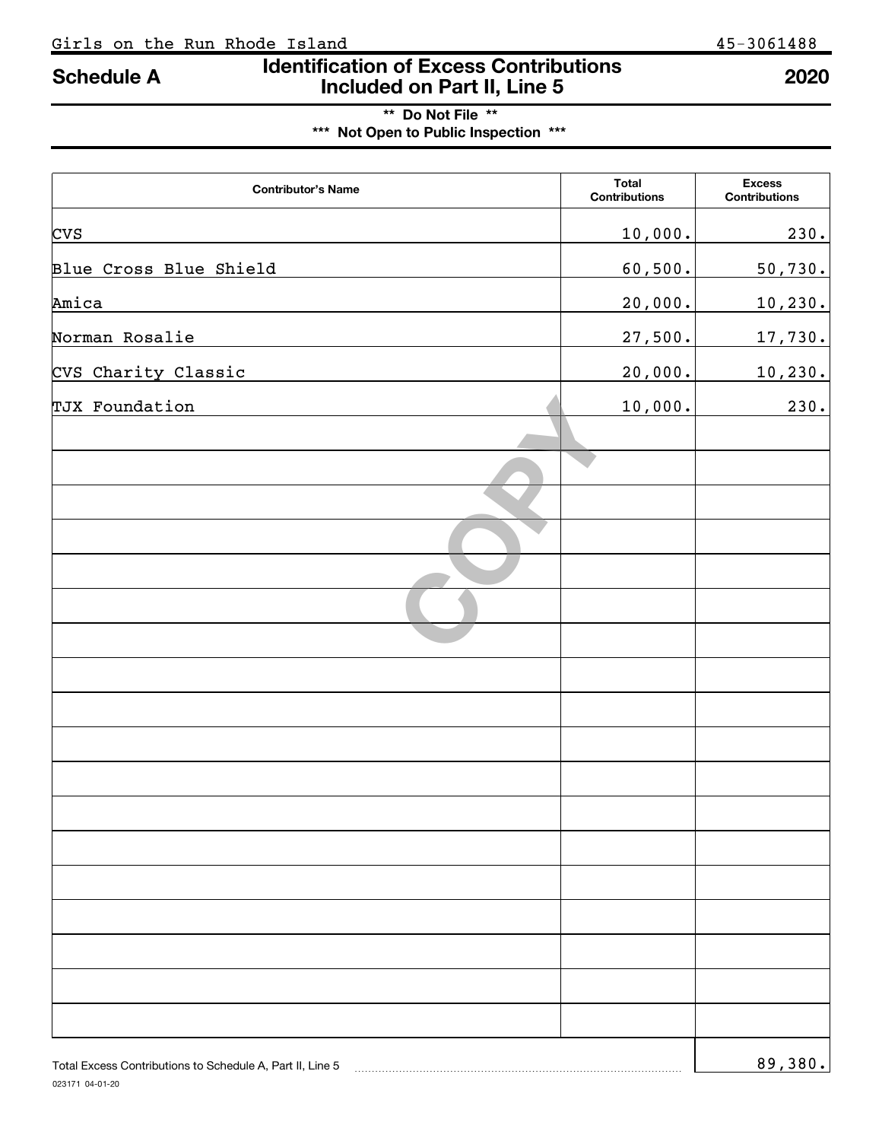# \*\* Do Not File \*\* \*\*\* Not Open to Public Inspection \*\*\*

| <b>Contributor's Name</b>                                 | Total<br><b>Contributions</b> | <b>Excess</b><br><b>Contributions</b> |
|-----------------------------------------------------------|-------------------------------|---------------------------------------|
| <b>CVS</b>                                                | 10,000.                       | 230.                                  |
| Blue Cross Blue Shield                                    | 60,500.                       | 50,730.                               |
| Amica                                                     | 20,000.                       | 10,230.                               |
| Norman Rosalie                                            | 27,500.                       | 17,730.                               |
| CVS Charity Classic                                       | 20,000.                       | 10, 230.                              |
| TJX Foundation                                            | 10,000.                       | 230.                                  |
|                                                           |                               |                                       |
|                                                           |                               |                                       |
|                                                           |                               |                                       |
|                                                           |                               |                                       |
|                                                           |                               |                                       |
|                                                           |                               |                                       |
|                                                           |                               |                                       |
|                                                           |                               |                                       |
|                                                           |                               |                                       |
|                                                           |                               |                                       |
|                                                           |                               |                                       |
|                                                           |                               |                                       |
|                                                           |                               |                                       |
|                                                           |                               |                                       |
|                                                           |                               |                                       |
|                                                           |                               |                                       |
|                                                           |                               |                                       |
| Total Excess Contributions to Schedule A, Part II, Line 5 |                               | 89,380.                               |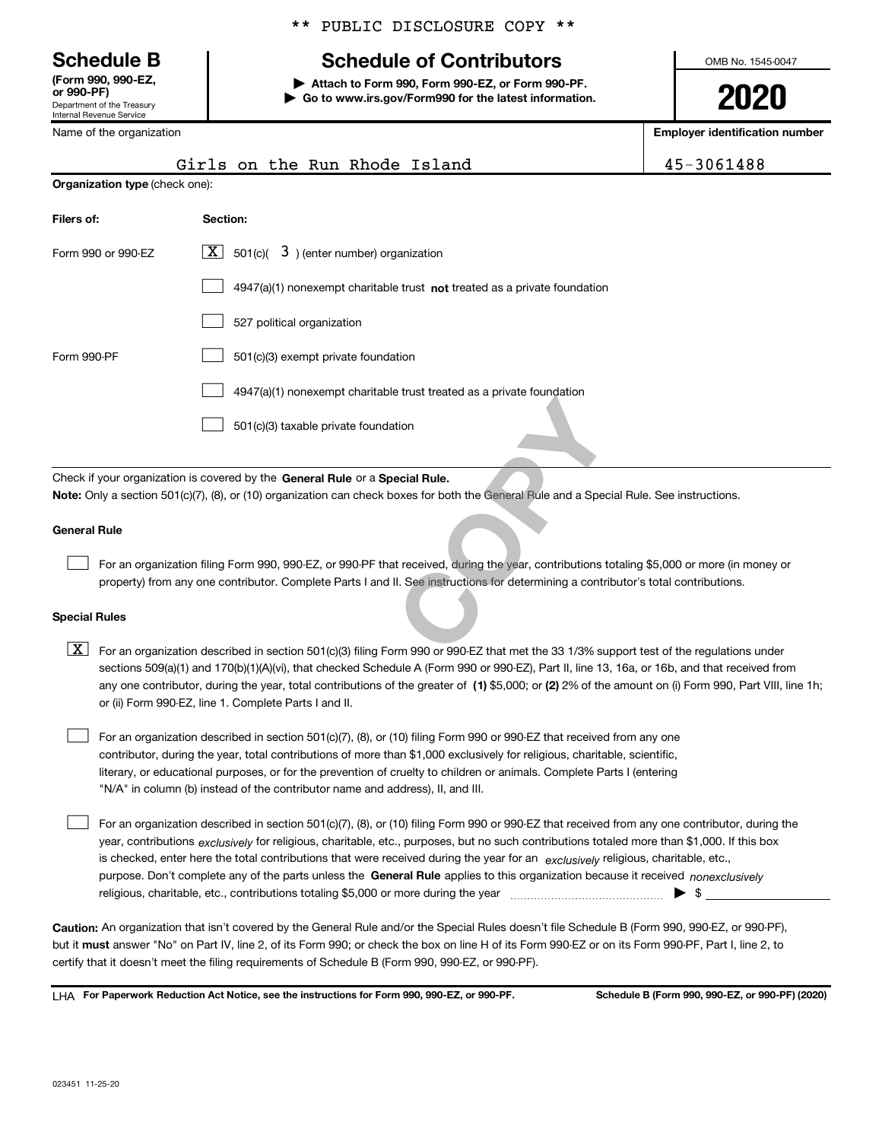Department of the Treasury Internal Revenue Service (Form 990, 990-EZ,

### \*\* PUBLIC DISCLOSURE COPY \*\*

# Schedule B The Schedule of Contributors

Attach to Form 990, Form 990-EZ, or Form 990-PF. | Go to www.irs.gov/Form990 for the latest information. OMB No. 1545-0047

2020

| Name of the organization       |                                                                                                                                                                                                                                                                                                                                                                                                                                                                                                           | <b>Employer identification number</b> |  |  |  |  |
|--------------------------------|-----------------------------------------------------------------------------------------------------------------------------------------------------------------------------------------------------------------------------------------------------------------------------------------------------------------------------------------------------------------------------------------------------------------------------------------------------------------------------------------------------------|---------------------------------------|--|--|--|--|
|                                | Girls on the Run Rhode Island                                                                                                                                                                                                                                                                                                                                                                                                                                                                             | 45-3061488                            |  |  |  |  |
| Organization type (check one): |                                                                                                                                                                                                                                                                                                                                                                                                                                                                                                           |                                       |  |  |  |  |
| Filers of:                     | Section:                                                                                                                                                                                                                                                                                                                                                                                                                                                                                                  |                                       |  |  |  |  |
| Form 990 or 990-EZ             | $\lfloor x \rfloor$<br>501(c)( $3$ ) (enter number) organization                                                                                                                                                                                                                                                                                                                                                                                                                                          |                                       |  |  |  |  |
|                                | $4947(a)(1)$ nonexempt charitable trust not treated as a private foundation                                                                                                                                                                                                                                                                                                                                                                                                                               |                                       |  |  |  |  |
|                                | 527 political organization                                                                                                                                                                                                                                                                                                                                                                                                                                                                                |                                       |  |  |  |  |
| Form 990-PF                    | 501(c)(3) exempt private foundation                                                                                                                                                                                                                                                                                                                                                                                                                                                                       |                                       |  |  |  |  |
|                                | 4947(a)(1) nonexempt charitable trust treated as a private foundation                                                                                                                                                                                                                                                                                                                                                                                                                                     |                                       |  |  |  |  |
|                                | 501(c)(3) taxable private foundation                                                                                                                                                                                                                                                                                                                                                                                                                                                                      |                                       |  |  |  |  |
|                                | Check if your organization is covered by the General Rule or a Special Rule.                                                                                                                                                                                                                                                                                                                                                                                                                              |                                       |  |  |  |  |
|                                | Note: Only a section 501(c)(7), (8), or (10) organization can check boxes for both the General Rule and a Special Rule. See instructions.                                                                                                                                                                                                                                                                                                                                                                 |                                       |  |  |  |  |
| <b>General Rule</b>            |                                                                                                                                                                                                                                                                                                                                                                                                                                                                                                           |                                       |  |  |  |  |
|                                | For an organization filing Form 990, 990-EZ, or 990-PF that received, during the year, contributions totaling \$5,000 or more (in money or<br>property) from any one contributor. Complete Parts I and II. See instructions for determining a contributor's total contributions.                                                                                                                                                                                                                          |                                       |  |  |  |  |
| <b>Special Rules</b>           |                                                                                                                                                                                                                                                                                                                                                                                                                                                                                                           |                                       |  |  |  |  |
| X                              | For an organization described in section 501(c)(3) filing Form 990 or 990-EZ that met the 33 1/3% support test of the regulations under<br>sections 509(a)(1) and 170(b)(1)(A)(vi), that checked Schedule A (Form 990 or 990-EZ), Part II, line 13, 16a, or 16b, and that received from<br>any one contributor, during the year, total contributions of the greater of (1) \$5,000; or (2) 2% of the amount on (i) Form 990, Part VIII, line 1h;<br>or (ii) Form 990-EZ, line 1. Complete Parts I and II. |                                       |  |  |  |  |
|                                | For an organization described in section 501(c)(7), (8), or (10) filing Form 990 or 990-EZ that received from any one<br>contributor, during the year, total contributions of more than \$1,000 exclusively for religious, charitable, scientific,                                                                                                                                                                                                                                                        |                                       |  |  |  |  |
|                                | literary, or educational purposes, or for the prevention of cruelty to children or animals. Complete Parts I (entering                                                                                                                                                                                                                                                                                                                                                                                    |                                       |  |  |  |  |

year, contributions *exclusively* for religious, charitable, etc., purposes, but no such contributions totaled more than \$1,000. If this box is checked, enter here the total contributions that were received during the year for an exclusively religious, charitable, etc., For an organization described in section 501(c)(7), (8), or (10) filing Form 990 or 990-EZ that received from any one contributor, during the

purpose. Don't complete any of the parts unless the General Rule applies to this organization because it received nonexclusively religious, charitable, etc., contributions totaling \$5,000 or more during the year  $\ldots$  $\ldots$  $\ldots$  $\ldots$  $\ldots$  $\ldots$ 

Caution: An organization that isn't covered by the General Rule and/or the Special Rules doesn't file Schedule B (Form 990, 990-EZ, or 990-PF), but it must answer "No" on Part IV, line 2, of its Form 990; or check the box on line H of its Form 990-EZ or on its Form 990-PF, Part I, line 2, to certify that it doesn't meet the filing requirements of Schedule B (Form 990, 990-EZ, or 990-PF).

LHA For Paperwork Reduction Act Notice, see the instructions for Form 990, 990-EZ, or 990-PF. Schedule B (Form 990, 990-EZ, or 990-PF) (2020)

"N/A" in column (b) instead of the contributor name and address), II, and III.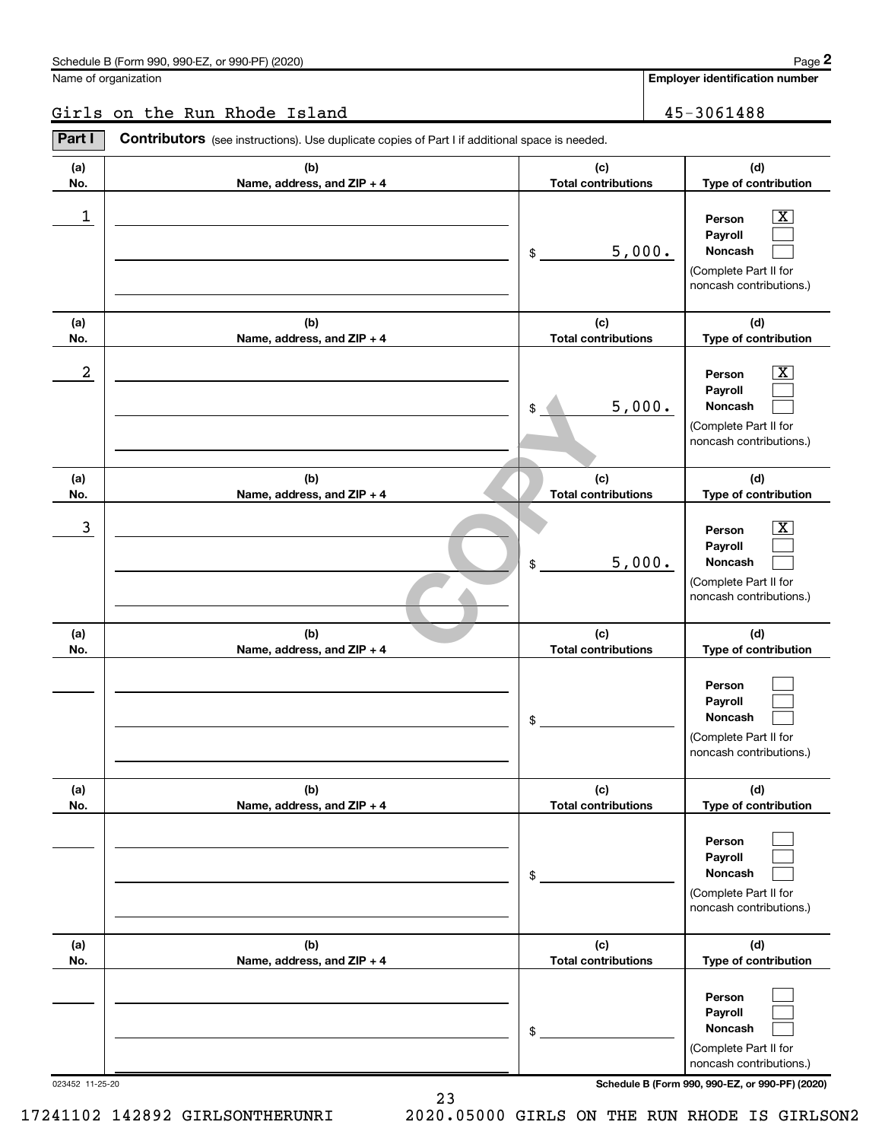Employer identification number

### Girls on the Run Rhode Island 45-3061488

(a) No. (b) Name, address, and ZIP + 4 (c) Total contributions (d) Type of contribution Person Payroll Noncash (a) No. (b) Name, address, and ZIP + 4 (c) Total contributions (d) Type of contribution Person Payroll Noncash (a) No. (b) Name, address, and ZIP + 4 (c) Total contributions (d) Type of contribution Person Payroll Noncash (a) No. (b) Name, address, and ZIP + 4 (c) Total contributions (d) Type of contribution Person Payroll Noncash (a) No. (b) Name, address, and ZIP + 4 (c) Total contributions (d) Type of contribution Person Payroll Noncash (a) No. (b) Name, address, and ZIP + 4 (c) Total contributions (d) Type of contribution Person Payroll Noncash Part I Contributors (see instructions). Use duplicate copies of Part I if additional space is needed. \$ (Complete Part II for noncash contributions.) \$ (Complete Part II for noncash contributions.) \$ (Complete Part II for noncash contributions.) \$ (Complete Part II for noncash contributions.) \$ (Complete Part II for noncash contributions.) \$ (Complete Part II for noncash contributions.)  $\vert X \vert$  $\sim 10^{-11}$  $\sim 10^{-11}$  $\boxed{\text{X}}$  $\sim 10^{-11}$  $\sim 10^{-11}$  $\vert X \vert$  $\sim 10^{-11}$  $\sim 10^{-11}$  $\sim 10^{-11}$  $\sim 10^{-11}$  $\sim 10^{-11}$  $\sim 10^{-11}$  $\sim 10^{-11}$  $\sim 10^{-11}$  $\sim 10^{-11}$  $\sim 10^{-11}$  $\sim 10^{-11}$  $\begin{tabular}{c|c} \hline & $5$ , $000$. \\\hline \hline \hline (c) & Total contributions \\\hline \hline \end{tabular}$  $\frac{1}{2}$  Person  $\frac{1}{2}$ 5,000.  $2$  Person  $\overline{\text{X}}$ 5,000.  $\overline{3}$  Person  $\overline{X}$ 5,000.

023452 11-25-20 Schedule B (Form 990, 990-EZ, or 990-PF) (2020)

23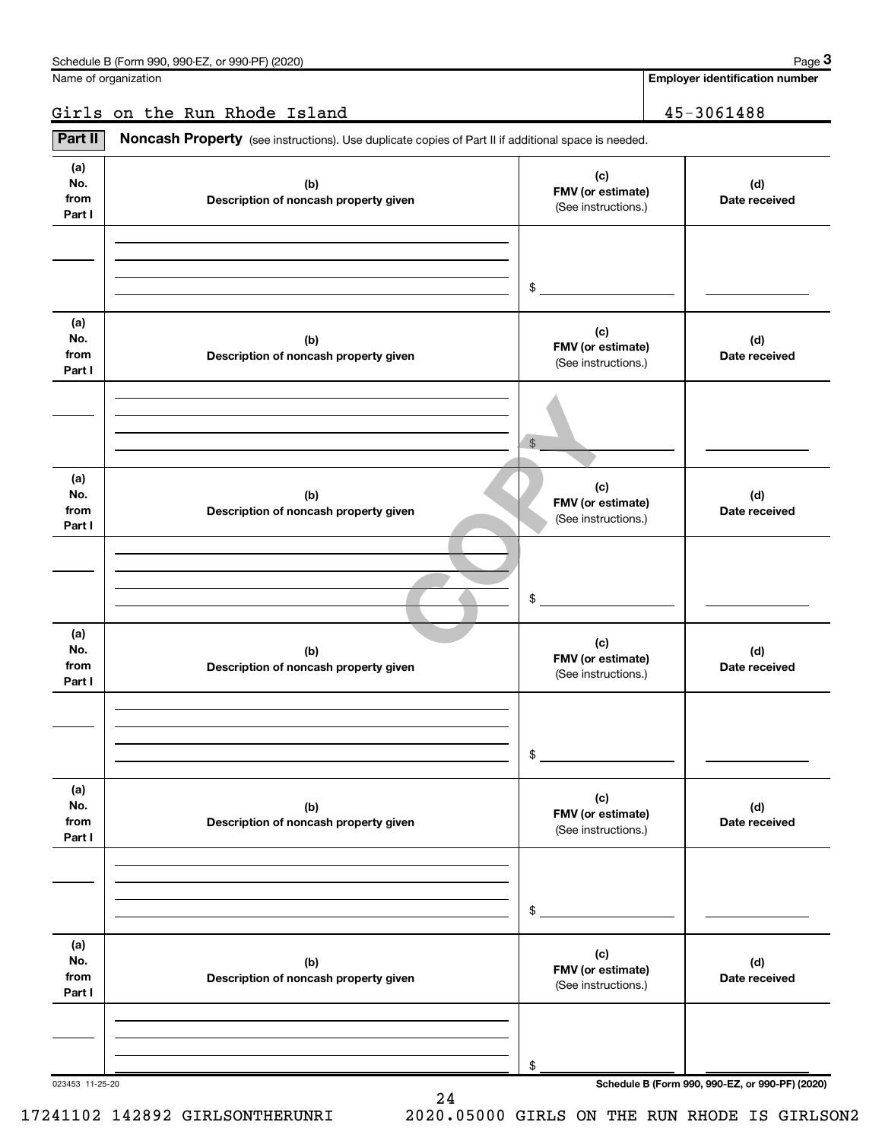Employer identification number

Girls on the Run Rhode Island 45-3061488

| Part II                      | Noncash Property (see instructions). Use duplicate copies of Part II if additional space is needed. |                                                 |                      |
|------------------------------|-----------------------------------------------------------------------------------------------------|-------------------------------------------------|----------------------|
| (a)<br>No.<br>from<br>Part I | (b)<br>Description of noncash property given                                                        | (c)<br>FMV (or estimate)<br>(See instructions.) | (d)<br>Date received |
|                              |                                                                                                     | \$                                              |                      |
| (a)<br>No.<br>from<br>Part I | (b)<br>Description of noncash property given                                                        | (c)<br>FMV (or estimate)<br>(See instructions.) | (d)<br>Date received |
|                              |                                                                                                     | $$\mathbb{S}$$                                  |                      |
| (a)<br>No.<br>from<br>Part I | (b)<br>Description of noncash property given                                                        | (c)<br>FMV (or estimate)<br>(See instructions.) | (d)<br>Date received |
|                              |                                                                                                     | \$                                              |                      |
| (a)<br>No.<br>from<br>Part I | (b)<br>Description of noncash property given                                                        | (c)<br>FMV (or estimate)<br>(See instructions.) | (d)<br>Date received |
|                              |                                                                                                     | \$                                              |                      |
| (a)<br>No.<br>from<br>Part I | (b)<br>Description of noncash property given                                                        | (c)<br>FMV (or estimate)<br>(See instructions.) | (d)<br>Date received |
|                              |                                                                                                     | \$                                              |                      |
| (a)<br>No.<br>from<br>Part I | (b)<br>Description of noncash property given                                                        | (c)<br>FMV (or estimate)<br>(See instructions.) | (d)<br>Date received |
|                              |                                                                                                     |                                                 |                      |
|                              |                                                                                                     | \$                                              |                      |

24

023453 11-25-20 Schedule B (Form 990, 990-EZ, or 990-PF) (2020)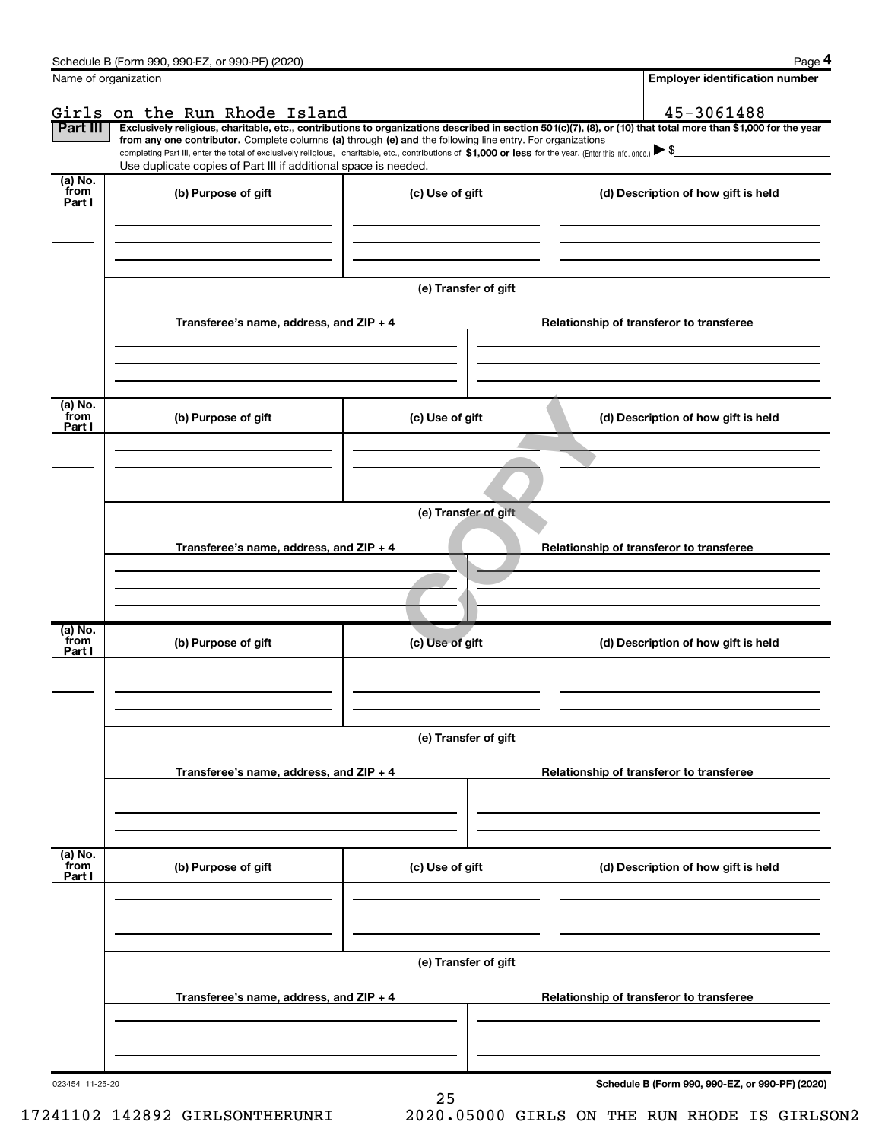| Name of organization        |                                                                                                                                                                                                                                                                                                                                               |                      | <b>Employer identification number</b>                                                                                                                          |
|-----------------------------|-----------------------------------------------------------------------------------------------------------------------------------------------------------------------------------------------------------------------------------------------------------------------------------------------------------------------------------------------|----------------------|----------------------------------------------------------------------------------------------------------------------------------------------------------------|
|                             | Girls on the Run Rhode Island                                                                                                                                                                                                                                                                                                                 |                      | 45-3061488                                                                                                                                                     |
| <b>Part III</b>             | from any one contributor. Complete columns (a) through (e) and the following line entry. For organizations<br>completing Part III, enter the total of exclusively religious, charitable, etc., contributions of \$1,000 or less for the year. (Enter this info. once.) \\$<br>Use duplicate copies of Part III if additional space is needed. |                      | Exclusively religious, charitable, etc., contributions to organizations described in section 501(c)(7), (8), or (10) that total more than \$1,000 for the year |
| (a) No.<br>from<br>Part I   | (b) Purpose of gift                                                                                                                                                                                                                                                                                                                           | (c) Use of gift      | (d) Description of how gift is held                                                                                                                            |
|                             | Transferee's name, address, and $ZIP + 4$                                                                                                                                                                                                                                                                                                     | (e) Transfer of gift | Relationship of transferor to transferee                                                                                                                       |
| (a) No.<br>from<br>Part I   | (b) Purpose of gift                                                                                                                                                                                                                                                                                                                           | (c) Use of gift      | (d) Description of how gift is held                                                                                                                            |
|                             |                                                                                                                                                                                                                                                                                                                                               |                      |                                                                                                                                                                |
|                             | Transferee's name, address, and ZIP + 4                                                                                                                                                                                                                                                                                                       | (e) Transfer of gift | Relationship of transferor to transferee                                                                                                                       |
| (a) No.<br>from<br>Part I   | (b) Purpose of gift                                                                                                                                                                                                                                                                                                                           | (c) Use of gift      | (d) Description of how gift is held                                                                                                                            |
|                             |                                                                                                                                                                                                                                                                                                                                               |                      |                                                                                                                                                                |
|                             | Transferee's name, address, and $ZIP + 4$                                                                                                                                                                                                                                                                                                     | (e) Transfer of gift | Relationship of transferor to transferee                                                                                                                       |
| $(a)$ No.<br>from<br>Part I | (b) Purpose of gift                                                                                                                                                                                                                                                                                                                           | (c) Use of gift      | (d) Description of how gift is held                                                                                                                            |
|                             | Transferee's name, address, and $ZIP + 4$                                                                                                                                                                                                                                                                                                     | (e) Transfer of gift | Relationship of transferor to transferee                                                                                                                       |
|                             |                                                                                                                                                                                                                                                                                                                                               |                      |                                                                                                                                                                |

25

023454 11-25-20

Schedule B (Form 990, 990-EZ, or 990-PF) (2020)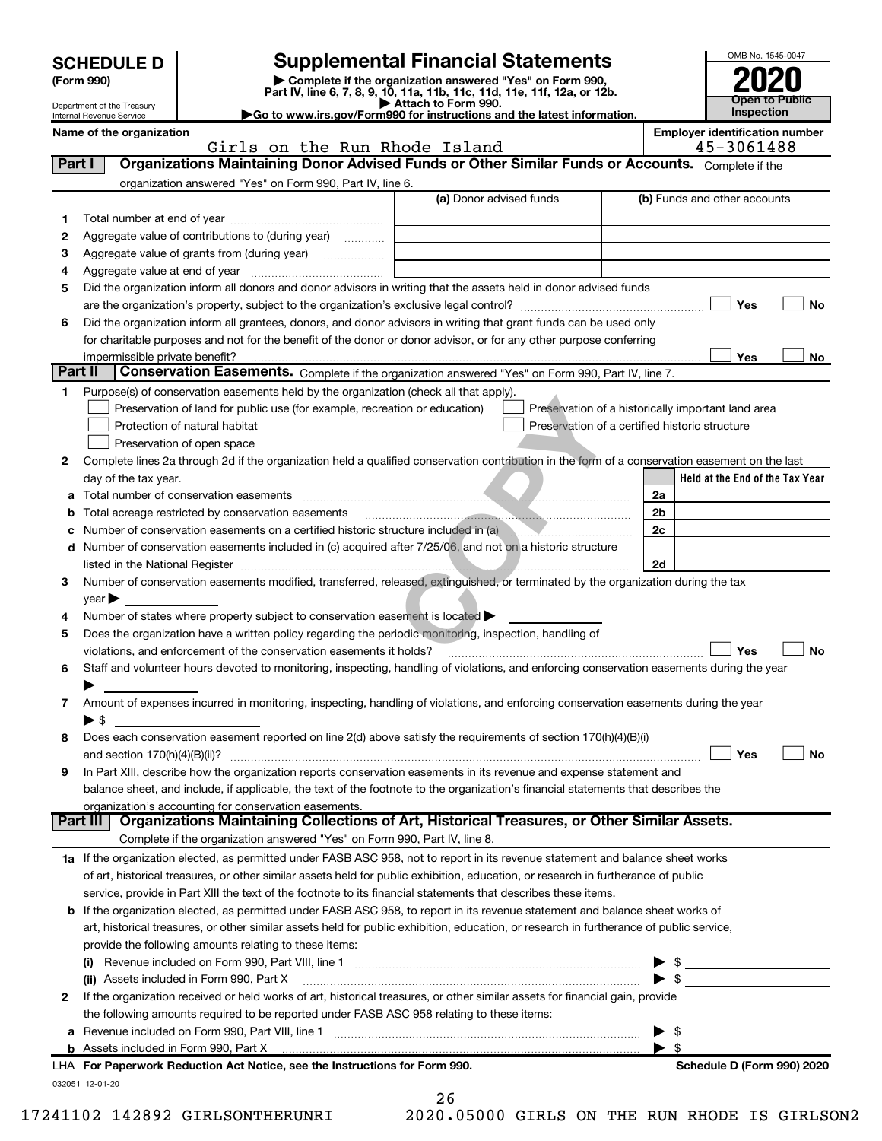| <b>Supplemental Financial Statements</b><br><b>SCHEDULE D</b><br>Complete if the organization answered "Yes" on Form 990,<br>(Form 990)<br>Part IV, line 6, 7, 8, 9, 10, 11a, 11b, 11c, 11d, 11e, 11f, 12a, or 12b.<br>Attach to Form 990.<br>Department of the Treasury<br>Go to www.irs.gov/Form990 for instructions and the latest information.<br>Internal Revenue Service |                                                                                   |                         |  |  | OMB No. 1545-0047<br><b>Open to Public</b><br><b>Inspection</b> |  |
|--------------------------------------------------------------------------------------------------------------------------------------------------------------------------------------------------------------------------------------------------------------------------------------------------------------------------------------------------------------------------------|-----------------------------------------------------------------------------------|-------------------------|--|--|-----------------------------------------------------------------|--|
| Name of the organization                                                                                                                                                                                                                                                                                                                                                       |                                                                                   |                         |  |  | <b>Employer identification numi</b>                             |  |
| Girls on the Run Rhode Island                                                                                                                                                                                                                                                                                                                                                  |                                                                                   |                         |  |  | 45-3061488                                                      |  |
|                                                                                                                                                                                                                                                                                                                                                                                |                                                                                   |                         |  |  |                                                                 |  |
| Part I                                                                                                                                                                                                                                                                                                                                                                         | Organizations Maintaining Donor Advised Funds or Other Similar Funds or Accounts. |                         |  |  | Complete if the                                                 |  |
|                                                                                                                                                                                                                                                                                                                                                                                | organization answered "Yes" on Form 990, Part IV, line 6.                         |                         |  |  |                                                                 |  |
|                                                                                                                                                                                                                                                                                                                                                                                |                                                                                   | (a) Donor advised funds |  |  | (b) Funds and other accounts                                    |  |
|                                                                                                                                                                                                                                                                                                                                                                                | Total number at end of year                                                       |                         |  |  |                                                                 |  |
| 2                                                                                                                                                                                                                                                                                                                                                                              | Aggregate value of contributions to (during year)<br>.                            |                         |  |  |                                                                 |  |
| 3                                                                                                                                                                                                                                                                                                                                                                              | Aggregate value of grants from (during year)<br>.                                 |                         |  |  |                                                                 |  |
| Aggregate value at end of year<br>4                                                                                                                                                                                                                                                                                                                                            |                                                                                   |                         |  |  |                                                                 |  |

# OMB No. 1545-0047 **Open to Public** Inspection

Employer identification number

| Organizations Maintaining Donor Advised Funds or Other Similar Funds or Accounts. Complete if the<br>Part I<br>organization answered "Yes" on Form 990, Part IV, line 6.<br>(a) Donor advised funds<br>(b) Funds and other accounts<br>1<br>Aggregate value of contributions to (during year)<br>2<br>з<br>4<br>Did the organization inform all donors and donor advisors in writing that the assets held in donor advised funds<br>5<br>Yes<br>No<br>Did the organization inform all grantees, donors, and donor advisors in writing that grant funds can be used only<br>6<br>for charitable purposes and not for the benefit of the donor or donor advisor, or for any other purpose conferring<br>impermissible private benefit?<br>Yes<br>No<br>Part II<br>Conservation Easements. Complete if the organization answered "Yes" on Form 990, Part IV, line 7.<br>Purpose(s) of conservation easements held by the organization (check all that apply).<br>1<br>Preservation of land for public use (for example, recreation or education)<br>Preservation of a historically important land area<br>Protection of natural habitat<br>Preservation of a certified historic structure<br>Preservation of open space<br>Complete lines 2a through 2d if the organization held a qualified conservation contribution in the form of a conservation easement on the last<br>2<br>Held at the End of the Tax Year<br>day of the tax year.<br>Total number of conservation easements<br>2a<br>а<br>2b<br>Total acreage restricted by conservation easements<br>b<br>2c<br>Number of conservation easements on a certified historic structure included in (a)<br>Number of conservation easements included in (c) acquired after 7/25/06, and not on a historic structure<br>d<br>2d<br>Number of conservation easements modified, transferred, released, extinguished, or terminated by the organization during the tax<br>3<br>year<br>Number of states where property subject to conservation easement is located ><br>4<br>Does the organization have a written policy regarding the periodic monitoring, inspection, handling of<br>5<br>Yes<br>No<br>violations, and enforcement of the conservation easements it holds?<br>Staff and volunteer hours devoted to monitoring, inspecting, handling of violations, and enforcing conservation easements during the year<br>6<br>Amount of expenses incurred in monitoring, inspecting, handling of violations, and enforcing conservation easements during the year<br>7<br>$\blacktriangleright$ \$<br>Does each conservation easement reported on line 2(d) above satisfy the requirements of section 170(h)(4)(B)(i)<br>8<br>Yes<br>No<br>and section $170(h)(4)(B)(ii)?$<br>In Part XIII, describe how the organization reports conservation easements in its revenue and expense statement and<br>9<br>balance sheet, and include, if applicable, the text of the footnote to the organization's financial statements that describes the<br><u>organization's accounting for conservation easements.</u><br>Organizations Maintaining Collections of Art, Historical Treasures, or Other Similar Assets.<br>Part III<br>Complete if the organization answered "Yes" on Form 990, Part IV, line 8.<br>1a If the organization elected, as permitted under FASB ASC 958, not to report in its revenue statement and balance sheet works<br>of art, historical treasures, or other similar assets held for public exhibition, education, or research in furtherance of public<br>service, provide in Part XIII the text of the footnote to its financial statements that describes these items.<br>If the organization elected, as permitted under FASB ASC 958, to report in its revenue statement and balance sheet works of<br>b<br>art, historical treasures, or other similar assets held for public exhibition, education, or research in furtherance of public service,<br>provide the following amounts relating to these items:<br>\$<br>$\frac{1}{2}$<br>(ii) Assets included in Form 990, Part X<br>If the organization received or held works of art, historical treasures, or other similar assets for financial gain, provide<br>2<br>the following amounts required to be reported under FASB ASC 958 relating to these items:<br>\$<br>а<br>\$<br><b>b</b> Assets included in Form 990, Part X<br>LHA For Paperwork Reduction Act Notice, see the Instructions for Form 990.<br>Schedule D (Form 990) 2020 | Girls on the Run Rhode Island | 45-3061488 |
|----------------------------------------------------------------------------------------------------------------------------------------------------------------------------------------------------------------------------------------------------------------------------------------------------------------------------------------------------------------------------------------------------------------------------------------------------------------------------------------------------------------------------------------------------------------------------------------------------------------------------------------------------------------------------------------------------------------------------------------------------------------------------------------------------------------------------------------------------------------------------------------------------------------------------------------------------------------------------------------------------------------------------------------------------------------------------------------------------------------------------------------------------------------------------------------------------------------------------------------------------------------------------------------------------------------------------------------------------------------------------------------------------------------------------------------------------------------------------------------------------------------------------------------------------------------------------------------------------------------------------------------------------------------------------------------------------------------------------------------------------------------------------------------------------------------------------------------------------------------------------------------------------------------------------------------------------------------------------------------------------------------------------------------------------------------------------------------------------------------------------------------------------------------------------------------------------------------------------------------------------------------------------------------------------------------------------------------------------------------------------------------------------------------------------------------------------------------------------------------------------------------------------------------------------------------------------------------------------------------------------------------------------------------------------------------------------------------------------------------------------------------------------------------------------------------------------------------------------------------------------------------------------------------------------------------------------------------------------------------------------------------------------------------------------------------------------------------------------------------------------------------------------------------------------------------------------------------------------------------------------------------------------------------------------------------------------------------------------------------------------------------------------------------------------------------------------------------------------------------------------------------------------------------------------------------------------------------------------------------------------------------------------------------------------------------------------------------------------------------------------------------------------------------------------------------------------------------------------------------------------------------------------------------------------------------------------------------------------------------------------------------------------------------------------------------------------------------------------------------------------------------------------------------------------------------------------------------------------------------------------------------------------------------------------------------------------------------------------------------------------------------------------------------------------------------------------------------------------|-------------------------------|------------|
|                                                                                                                                                                                                                                                                                                                                                                                                                                                                                                                                                                                                                                                                                                                                                                                                                                                                                                                                                                                                                                                                                                                                                                                                                                                                                                                                                                                                                                                                                                                                                                                                                                                                                                                                                                                                                                                                                                                                                                                                                                                                                                                                                                                                                                                                                                                                                                                                                                                                                                                                                                                                                                                                                                                                                                                                                                                                                                                                                                                                                                                                                                                                                                                                                                                                                                                                                                                                                                                                                                                                                                                                                                                                                                                                                                                                                                                                                                                                                                                                                                                                                                                                                                                                                                                                                                                                                                                                                                                                            |                               |            |
|                                                                                                                                                                                                                                                                                                                                                                                                                                                                                                                                                                                                                                                                                                                                                                                                                                                                                                                                                                                                                                                                                                                                                                                                                                                                                                                                                                                                                                                                                                                                                                                                                                                                                                                                                                                                                                                                                                                                                                                                                                                                                                                                                                                                                                                                                                                                                                                                                                                                                                                                                                                                                                                                                                                                                                                                                                                                                                                                                                                                                                                                                                                                                                                                                                                                                                                                                                                                                                                                                                                                                                                                                                                                                                                                                                                                                                                                                                                                                                                                                                                                                                                                                                                                                                                                                                                                                                                                                                                                            |                               |            |
|                                                                                                                                                                                                                                                                                                                                                                                                                                                                                                                                                                                                                                                                                                                                                                                                                                                                                                                                                                                                                                                                                                                                                                                                                                                                                                                                                                                                                                                                                                                                                                                                                                                                                                                                                                                                                                                                                                                                                                                                                                                                                                                                                                                                                                                                                                                                                                                                                                                                                                                                                                                                                                                                                                                                                                                                                                                                                                                                                                                                                                                                                                                                                                                                                                                                                                                                                                                                                                                                                                                                                                                                                                                                                                                                                                                                                                                                                                                                                                                                                                                                                                                                                                                                                                                                                                                                                                                                                                                                            |                               |            |
|                                                                                                                                                                                                                                                                                                                                                                                                                                                                                                                                                                                                                                                                                                                                                                                                                                                                                                                                                                                                                                                                                                                                                                                                                                                                                                                                                                                                                                                                                                                                                                                                                                                                                                                                                                                                                                                                                                                                                                                                                                                                                                                                                                                                                                                                                                                                                                                                                                                                                                                                                                                                                                                                                                                                                                                                                                                                                                                                                                                                                                                                                                                                                                                                                                                                                                                                                                                                                                                                                                                                                                                                                                                                                                                                                                                                                                                                                                                                                                                                                                                                                                                                                                                                                                                                                                                                                                                                                                                                            |                               |            |
|                                                                                                                                                                                                                                                                                                                                                                                                                                                                                                                                                                                                                                                                                                                                                                                                                                                                                                                                                                                                                                                                                                                                                                                                                                                                                                                                                                                                                                                                                                                                                                                                                                                                                                                                                                                                                                                                                                                                                                                                                                                                                                                                                                                                                                                                                                                                                                                                                                                                                                                                                                                                                                                                                                                                                                                                                                                                                                                                                                                                                                                                                                                                                                                                                                                                                                                                                                                                                                                                                                                                                                                                                                                                                                                                                                                                                                                                                                                                                                                                                                                                                                                                                                                                                                                                                                                                                                                                                                                                            |                               |            |
|                                                                                                                                                                                                                                                                                                                                                                                                                                                                                                                                                                                                                                                                                                                                                                                                                                                                                                                                                                                                                                                                                                                                                                                                                                                                                                                                                                                                                                                                                                                                                                                                                                                                                                                                                                                                                                                                                                                                                                                                                                                                                                                                                                                                                                                                                                                                                                                                                                                                                                                                                                                                                                                                                                                                                                                                                                                                                                                                                                                                                                                                                                                                                                                                                                                                                                                                                                                                                                                                                                                                                                                                                                                                                                                                                                                                                                                                                                                                                                                                                                                                                                                                                                                                                                                                                                                                                                                                                                                                            |                               |            |
|                                                                                                                                                                                                                                                                                                                                                                                                                                                                                                                                                                                                                                                                                                                                                                                                                                                                                                                                                                                                                                                                                                                                                                                                                                                                                                                                                                                                                                                                                                                                                                                                                                                                                                                                                                                                                                                                                                                                                                                                                                                                                                                                                                                                                                                                                                                                                                                                                                                                                                                                                                                                                                                                                                                                                                                                                                                                                                                                                                                                                                                                                                                                                                                                                                                                                                                                                                                                                                                                                                                                                                                                                                                                                                                                                                                                                                                                                                                                                                                                                                                                                                                                                                                                                                                                                                                                                                                                                                                                            |                               |            |
|                                                                                                                                                                                                                                                                                                                                                                                                                                                                                                                                                                                                                                                                                                                                                                                                                                                                                                                                                                                                                                                                                                                                                                                                                                                                                                                                                                                                                                                                                                                                                                                                                                                                                                                                                                                                                                                                                                                                                                                                                                                                                                                                                                                                                                                                                                                                                                                                                                                                                                                                                                                                                                                                                                                                                                                                                                                                                                                                                                                                                                                                                                                                                                                                                                                                                                                                                                                                                                                                                                                                                                                                                                                                                                                                                                                                                                                                                                                                                                                                                                                                                                                                                                                                                                                                                                                                                                                                                                                                            |                               |            |
|                                                                                                                                                                                                                                                                                                                                                                                                                                                                                                                                                                                                                                                                                                                                                                                                                                                                                                                                                                                                                                                                                                                                                                                                                                                                                                                                                                                                                                                                                                                                                                                                                                                                                                                                                                                                                                                                                                                                                                                                                                                                                                                                                                                                                                                                                                                                                                                                                                                                                                                                                                                                                                                                                                                                                                                                                                                                                                                                                                                                                                                                                                                                                                                                                                                                                                                                                                                                                                                                                                                                                                                                                                                                                                                                                                                                                                                                                                                                                                                                                                                                                                                                                                                                                                                                                                                                                                                                                                                                            |                               |            |
|                                                                                                                                                                                                                                                                                                                                                                                                                                                                                                                                                                                                                                                                                                                                                                                                                                                                                                                                                                                                                                                                                                                                                                                                                                                                                                                                                                                                                                                                                                                                                                                                                                                                                                                                                                                                                                                                                                                                                                                                                                                                                                                                                                                                                                                                                                                                                                                                                                                                                                                                                                                                                                                                                                                                                                                                                                                                                                                                                                                                                                                                                                                                                                                                                                                                                                                                                                                                                                                                                                                                                                                                                                                                                                                                                                                                                                                                                                                                                                                                                                                                                                                                                                                                                                                                                                                                                                                                                                                                            |                               |            |
|                                                                                                                                                                                                                                                                                                                                                                                                                                                                                                                                                                                                                                                                                                                                                                                                                                                                                                                                                                                                                                                                                                                                                                                                                                                                                                                                                                                                                                                                                                                                                                                                                                                                                                                                                                                                                                                                                                                                                                                                                                                                                                                                                                                                                                                                                                                                                                                                                                                                                                                                                                                                                                                                                                                                                                                                                                                                                                                                                                                                                                                                                                                                                                                                                                                                                                                                                                                                                                                                                                                                                                                                                                                                                                                                                                                                                                                                                                                                                                                                                                                                                                                                                                                                                                                                                                                                                                                                                                                                            |                               |            |
|                                                                                                                                                                                                                                                                                                                                                                                                                                                                                                                                                                                                                                                                                                                                                                                                                                                                                                                                                                                                                                                                                                                                                                                                                                                                                                                                                                                                                                                                                                                                                                                                                                                                                                                                                                                                                                                                                                                                                                                                                                                                                                                                                                                                                                                                                                                                                                                                                                                                                                                                                                                                                                                                                                                                                                                                                                                                                                                                                                                                                                                                                                                                                                                                                                                                                                                                                                                                                                                                                                                                                                                                                                                                                                                                                                                                                                                                                                                                                                                                                                                                                                                                                                                                                                                                                                                                                                                                                                                                            |                               |            |
|                                                                                                                                                                                                                                                                                                                                                                                                                                                                                                                                                                                                                                                                                                                                                                                                                                                                                                                                                                                                                                                                                                                                                                                                                                                                                                                                                                                                                                                                                                                                                                                                                                                                                                                                                                                                                                                                                                                                                                                                                                                                                                                                                                                                                                                                                                                                                                                                                                                                                                                                                                                                                                                                                                                                                                                                                                                                                                                                                                                                                                                                                                                                                                                                                                                                                                                                                                                                                                                                                                                                                                                                                                                                                                                                                                                                                                                                                                                                                                                                                                                                                                                                                                                                                                                                                                                                                                                                                                                                            |                               |            |
|                                                                                                                                                                                                                                                                                                                                                                                                                                                                                                                                                                                                                                                                                                                                                                                                                                                                                                                                                                                                                                                                                                                                                                                                                                                                                                                                                                                                                                                                                                                                                                                                                                                                                                                                                                                                                                                                                                                                                                                                                                                                                                                                                                                                                                                                                                                                                                                                                                                                                                                                                                                                                                                                                                                                                                                                                                                                                                                                                                                                                                                                                                                                                                                                                                                                                                                                                                                                                                                                                                                                                                                                                                                                                                                                                                                                                                                                                                                                                                                                                                                                                                                                                                                                                                                                                                                                                                                                                                                                            |                               |            |
|                                                                                                                                                                                                                                                                                                                                                                                                                                                                                                                                                                                                                                                                                                                                                                                                                                                                                                                                                                                                                                                                                                                                                                                                                                                                                                                                                                                                                                                                                                                                                                                                                                                                                                                                                                                                                                                                                                                                                                                                                                                                                                                                                                                                                                                                                                                                                                                                                                                                                                                                                                                                                                                                                                                                                                                                                                                                                                                                                                                                                                                                                                                                                                                                                                                                                                                                                                                                                                                                                                                                                                                                                                                                                                                                                                                                                                                                                                                                                                                                                                                                                                                                                                                                                                                                                                                                                                                                                                                                            |                               |            |
|                                                                                                                                                                                                                                                                                                                                                                                                                                                                                                                                                                                                                                                                                                                                                                                                                                                                                                                                                                                                                                                                                                                                                                                                                                                                                                                                                                                                                                                                                                                                                                                                                                                                                                                                                                                                                                                                                                                                                                                                                                                                                                                                                                                                                                                                                                                                                                                                                                                                                                                                                                                                                                                                                                                                                                                                                                                                                                                                                                                                                                                                                                                                                                                                                                                                                                                                                                                                                                                                                                                                                                                                                                                                                                                                                                                                                                                                                                                                                                                                                                                                                                                                                                                                                                                                                                                                                                                                                                                                            |                               |            |
|                                                                                                                                                                                                                                                                                                                                                                                                                                                                                                                                                                                                                                                                                                                                                                                                                                                                                                                                                                                                                                                                                                                                                                                                                                                                                                                                                                                                                                                                                                                                                                                                                                                                                                                                                                                                                                                                                                                                                                                                                                                                                                                                                                                                                                                                                                                                                                                                                                                                                                                                                                                                                                                                                                                                                                                                                                                                                                                                                                                                                                                                                                                                                                                                                                                                                                                                                                                                                                                                                                                                                                                                                                                                                                                                                                                                                                                                                                                                                                                                                                                                                                                                                                                                                                                                                                                                                                                                                                                                            |                               |            |
|                                                                                                                                                                                                                                                                                                                                                                                                                                                                                                                                                                                                                                                                                                                                                                                                                                                                                                                                                                                                                                                                                                                                                                                                                                                                                                                                                                                                                                                                                                                                                                                                                                                                                                                                                                                                                                                                                                                                                                                                                                                                                                                                                                                                                                                                                                                                                                                                                                                                                                                                                                                                                                                                                                                                                                                                                                                                                                                                                                                                                                                                                                                                                                                                                                                                                                                                                                                                                                                                                                                                                                                                                                                                                                                                                                                                                                                                                                                                                                                                                                                                                                                                                                                                                                                                                                                                                                                                                                                                            |                               |            |
|                                                                                                                                                                                                                                                                                                                                                                                                                                                                                                                                                                                                                                                                                                                                                                                                                                                                                                                                                                                                                                                                                                                                                                                                                                                                                                                                                                                                                                                                                                                                                                                                                                                                                                                                                                                                                                                                                                                                                                                                                                                                                                                                                                                                                                                                                                                                                                                                                                                                                                                                                                                                                                                                                                                                                                                                                                                                                                                                                                                                                                                                                                                                                                                                                                                                                                                                                                                                                                                                                                                                                                                                                                                                                                                                                                                                                                                                                                                                                                                                                                                                                                                                                                                                                                                                                                                                                                                                                                                                            |                               |            |
|                                                                                                                                                                                                                                                                                                                                                                                                                                                                                                                                                                                                                                                                                                                                                                                                                                                                                                                                                                                                                                                                                                                                                                                                                                                                                                                                                                                                                                                                                                                                                                                                                                                                                                                                                                                                                                                                                                                                                                                                                                                                                                                                                                                                                                                                                                                                                                                                                                                                                                                                                                                                                                                                                                                                                                                                                                                                                                                                                                                                                                                                                                                                                                                                                                                                                                                                                                                                                                                                                                                                                                                                                                                                                                                                                                                                                                                                                                                                                                                                                                                                                                                                                                                                                                                                                                                                                                                                                                                                            |                               |            |
|                                                                                                                                                                                                                                                                                                                                                                                                                                                                                                                                                                                                                                                                                                                                                                                                                                                                                                                                                                                                                                                                                                                                                                                                                                                                                                                                                                                                                                                                                                                                                                                                                                                                                                                                                                                                                                                                                                                                                                                                                                                                                                                                                                                                                                                                                                                                                                                                                                                                                                                                                                                                                                                                                                                                                                                                                                                                                                                                                                                                                                                                                                                                                                                                                                                                                                                                                                                                                                                                                                                                                                                                                                                                                                                                                                                                                                                                                                                                                                                                                                                                                                                                                                                                                                                                                                                                                                                                                                                                            |                               |            |
|                                                                                                                                                                                                                                                                                                                                                                                                                                                                                                                                                                                                                                                                                                                                                                                                                                                                                                                                                                                                                                                                                                                                                                                                                                                                                                                                                                                                                                                                                                                                                                                                                                                                                                                                                                                                                                                                                                                                                                                                                                                                                                                                                                                                                                                                                                                                                                                                                                                                                                                                                                                                                                                                                                                                                                                                                                                                                                                                                                                                                                                                                                                                                                                                                                                                                                                                                                                                                                                                                                                                                                                                                                                                                                                                                                                                                                                                                                                                                                                                                                                                                                                                                                                                                                                                                                                                                                                                                                                                            |                               |            |
|                                                                                                                                                                                                                                                                                                                                                                                                                                                                                                                                                                                                                                                                                                                                                                                                                                                                                                                                                                                                                                                                                                                                                                                                                                                                                                                                                                                                                                                                                                                                                                                                                                                                                                                                                                                                                                                                                                                                                                                                                                                                                                                                                                                                                                                                                                                                                                                                                                                                                                                                                                                                                                                                                                                                                                                                                                                                                                                                                                                                                                                                                                                                                                                                                                                                                                                                                                                                                                                                                                                                                                                                                                                                                                                                                                                                                                                                                                                                                                                                                                                                                                                                                                                                                                                                                                                                                                                                                                                                            |                               |            |
|                                                                                                                                                                                                                                                                                                                                                                                                                                                                                                                                                                                                                                                                                                                                                                                                                                                                                                                                                                                                                                                                                                                                                                                                                                                                                                                                                                                                                                                                                                                                                                                                                                                                                                                                                                                                                                                                                                                                                                                                                                                                                                                                                                                                                                                                                                                                                                                                                                                                                                                                                                                                                                                                                                                                                                                                                                                                                                                                                                                                                                                                                                                                                                                                                                                                                                                                                                                                                                                                                                                                                                                                                                                                                                                                                                                                                                                                                                                                                                                                                                                                                                                                                                                                                                                                                                                                                                                                                                                                            |                               |            |
|                                                                                                                                                                                                                                                                                                                                                                                                                                                                                                                                                                                                                                                                                                                                                                                                                                                                                                                                                                                                                                                                                                                                                                                                                                                                                                                                                                                                                                                                                                                                                                                                                                                                                                                                                                                                                                                                                                                                                                                                                                                                                                                                                                                                                                                                                                                                                                                                                                                                                                                                                                                                                                                                                                                                                                                                                                                                                                                                                                                                                                                                                                                                                                                                                                                                                                                                                                                                                                                                                                                                                                                                                                                                                                                                                                                                                                                                                                                                                                                                                                                                                                                                                                                                                                                                                                                                                                                                                                                                            |                               |            |
|                                                                                                                                                                                                                                                                                                                                                                                                                                                                                                                                                                                                                                                                                                                                                                                                                                                                                                                                                                                                                                                                                                                                                                                                                                                                                                                                                                                                                                                                                                                                                                                                                                                                                                                                                                                                                                                                                                                                                                                                                                                                                                                                                                                                                                                                                                                                                                                                                                                                                                                                                                                                                                                                                                                                                                                                                                                                                                                                                                                                                                                                                                                                                                                                                                                                                                                                                                                                                                                                                                                                                                                                                                                                                                                                                                                                                                                                                                                                                                                                                                                                                                                                                                                                                                                                                                                                                                                                                                                                            |                               |            |
|                                                                                                                                                                                                                                                                                                                                                                                                                                                                                                                                                                                                                                                                                                                                                                                                                                                                                                                                                                                                                                                                                                                                                                                                                                                                                                                                                                                                                                                                                                                                                                                                                                                                                                                                                                                                                                                                                                                                                                                                                                                                                                                                                                                                                                                                                                                                                                                                                                                                                                                                                                                                                                                                                                                                                                                                                                                                                                                                                                                                                                                                                                                                                                                                                                                                                                                                                                                                                                                                                                                                                                                                                                                                                                                                                                                                                                                                                                                                                                                                                                                                                                                                                                                                                                                                                                                                                                                                                                                                            |                               |            |
|                                                                                                                                                                                                                                                                                                                                                                                                                                                                                                                                                                                                                                                                                                                                                                                                                                                                                                                                                                                                                                                                                                                                                                                                                                                                                                                                                                                                                                                                                                                                                                                                                                                                                                                                                                                                                                                                                                                                                                                                                                                                                                                                                                                                                                                                                                                                                                                                                                                                                                                                                                                                                                                                                                                                                                                                                                                                                                                                                                                                                                                                                                                                                                                                                                                                                                                                                                                                                                                                                                                                                                                                                                                                                                                                                                                                                                                                                                                                                                                                                                                                                                                                                                                                                                                                                                                                                                                                                                                                            |                               |            |
|                                                                                                                                                                                                                                                                                                                                                                                                                                                                                                                                                                                                                                                                                                                                                                                                                                                                                                                                                                                                                                                                                                                                                                                                                                                                                                                                                                                                                                                                                                                                                                                                                                                                                                                                                                                                                                                                                                                                                                                                                                                                                                                                                                                                                                                                                                                                                                                                                                                                                                                                                                                                                                                                                                                                                                                                                                                                                                                                                                                                                                                                                                                                                                                                                                                                                                                                                                                                                                                                                                                                                                                                                                                                                                                                                                                                                                                                                                                                                                                                                                                                                                                                                                                                                                                                                                                                                                                                                                                                            |                               |            |
|                                                                                                                                                                                                                                                                                                                                                                                                                                                                                                                                                                                                                                                                                                                                                                                                                                                                                                                                                                                                                                                                                                                                                                                                                                                                                                                                                                                                                                                                                                                                                                                                                                                                                                                                                                                                                                                                                                                                                                                                                                                                                                                                                                                                                                                                                                                                                                                                                                                                                                                                                                                                                                                                                                                                                                                                                                                                                                                                                                                                                                                                                                                                                                                                                                                                                                                                                                                                                                                                                                                                                                                                                                                                                                                                                                                                                                                                                                                                                                                                                                                                                                                                                                                                                                                                                                                                                                                                                                                                            |                               |            |
|                                                                                                                                                                                                                                                                                                                                                                                                                                                                                                                                                                                                                                                                                                                                                                                                                                                                                                                                                                                                                                                                                                                                                                                                                                                                                                                                                                                                                                                                                                                                                                                                                                                                                                                                                                                                                                                                                                                                                                                                                                                                                                                                                                                                                                                                                                                                                                                                                                                                                                                                                                                                                                                                                                                                                                                                                                                                                                                                                                                                                                                                                                                                                                                                                                                                                                                                                                                                                                                                                                                                                                                                                                                                                                                                                                                                                                                                                                                                                                                                                                                                                                                                                                                                                                                                                                                                                                                                                                                                            |                               |            |
|                                                                                                                                                                                                                                                                                                                                                                                                                                                                                                                                                                                                                                                                                                                                                                                                                                                                                                                                                                                                                                                                                                                                                                                                                                                                                                                                                                                                                                                                                                                                                                                                                                                                                                                                                                                                                                                                                                                                                                                                                                                                                                                                                                                                                                                                                                                                                                                                                                                                                                                                                                                                                                                                                                                                                                                                                                                                                                                                                                                                                                                                                                                                                                                                                                                                                                                                                                                                                                                                                                                                                                                                                                                                                                                                                                                                                                                                                                                                                                                                                                                                                                                                                                                                                                                                                                                                                                                                                                                                            |                               |            |
|                                                                                                                                                                                                                                                                                                                                                                                                                                                                                                                                                                                                                                                                                                                                                                                                                                                                                                                                                                                                                                                                                                                                                                                                                                                                                                                                                                                                                                                                                                                                                                                                                                                                                                                                                                                                                                                                                                                                                                                                                                                                                                                                                                                                                                                                                                                                                                                                                                                                                                                                                                                                                                                                                                                                                                                                                                                                                                                                                                                                                                                                                                                                                                                                                                                                                                                                                                                                                                                                                                                                                                                                                                                                                                                                                                                                                                                                                                                                                                                                                                                                                                                                                                                                                                                                                                                                                                                                                                                                            |                               |            |
|                                                                                                                                                                                                                                                                                                                                                                                                                                                                                                                                                                                                                                                                                                                                                                                                                                                                                                                                                                                                                                                                                                                                                                                                                                                                                                                                                                                                                                                                                                                                                                                                                                                                                                                                                                                                                                                                                                                                                                                                                                                                                                                                                                                                                                                                                                                                                                                                                                                                                                                                                                                                                                                                                                                                                                                                                                                                                                                                                                                                                                                                                                                                                                                                                                                                                                                                                                                                                                                                                                                                                                                                                                                                                                                                                                                                                                                                                                                                                                                                                                                                                                                                                                                                                                                                                                                                                                                                                                                                            |                               |            |
|                                                                                                                                                                                                                                                                                                                                                                                                                                                                                                                                                                                                                                                                                                                                                                                                                                                                                                                                                                                                                                                                                                                                                                                                                                                                                                                                                                                                                                                                                                                                                                                                                                                                                                                                                                                                                                                                                                                                                                                                                                                                                                                                                                                                                                                                                                                                                                                                                                                                                                                                                                                                                                                                                                                                                                                                                                                                                                                                                                                                                                                                                                                                                                                                                                                                                                                                                                                                                                                                                                                                                                                                                                                                                                                                                                                                                                                                                                                                                                                                                                                                                                                                                                                                                                                                                                                                                                                                                                                                            |                               |            |
|                                                                                                                                                                                                                                                                                                                                                                                                                                                                                                                                                                                                                                                                                                                                                                                                                                                                                                                                                                                                                                                                                                                                                                                                                                                                                                                                                                                                                                                                                                                                                                                                                                                                                                                                                                                                                                                                                                                                                                                                                                                                                                                                                                                                                                                                                                                                                                                                                                                                                                                                                                                                                                                                                                                                                                                                                                                                                                                                                                                                                                                                                                                                                                                                                                                                                                                                                                                                                                                                                                                                                                                                                                                                                                                                                                                                                                                                                                                                                                                                                                                                                                                                                                                                                                                                                                                                                                                                                                                                            |                               |            |
|                                                                                                                                                                                                                                                                                                                                                                                                                                                                                                                                                                                                                                                                                                                                                                                                                                                                                                                                                                                                                                                                                                                                                                                                                                                                                                                                                                                                                                                                                                                                                                                                                                                                                                                                                                                                                                                                                                                                                                                                                                                                                                                                                                                                                                                                                                                                                                                                                                                                                                                                                                                                                                                                                                                                                                                                                                                                                                                                                                                                                                                                                                                                                                                                                                                                                                                                                                                                                                                                                                                                                                                                                                                                                                                                                                                                                                                                                                                                                                                                                                                                                                                                                                                                                                                                                                                                                                                                                                                                            |                               |            |
|                                                                                                                                                                                                                                                                                                                                                                                                                                                                                                                                                                                                                                                                                                                                                                                                                                                                                                                                                                                                                                                                                                                                                                                                                                                                                                                                                                                                                                                                                                                                                                                                                                                                                                                                                                                                                                                                                                                                                                                                                                                                                                                                                                                                                                                                                                                                                                                                                                                                                                                                                                                                                                                                                                                                                                                                                                                                                                                                                                                                                                                                                                                                                                                                                                                                                                                                                                                                                                                                                                                                                                                                                                                                                                                                                                                                                                                                                                                                                                                                                                                                                                                                                                                                                                                                                                                                                                                                                                                                            |                               |            |
|                                                                                                                                                                                                                                                                                                                                                                                                                                                                                                                                                                                                                                                                                                                                                                                                                                                                                                                                                                                                                                                                                                                                                                                                                                                                                                                                                                                                                                                                                                                                                                                                                                                                                                                                                                                                                                                                                                                                                                                                                                                                                                                                                                                                                                                                                                                                                                                                                                                                                                                                                                                                                                                                                                                                                                                                                                                                                                                                                                                                                                                                                                                                                                                                                                                                                                                                                                                                                                                                                                                                                                                                                                                                                                                                                                                                                                                                                                                                                                                                                                                                                                                                                                                                                                                                                                                                                                                                                                                                            |                               |            |
|                                                                                                                                                                                                                                                                                                                                                                                                                                                                                                                                                                                                                                                                                                                                                                                                                                                                                                                                                                                                                                                                                                                                                                                                                                                                                                                                                                                                                                                                                                                                                                                                                                                                                                                                                                                                                                                                                                                                                                                                                                                                                                                                                                                                                                                                                                                                                                                                                                                                                                                                                                                                                                                                                                                                                                                                                                                                                                                                                                                                                                                                                                                                                                                                                                                                                                                                                                                                                                                                                                                                                                                                                                                                                                                                                                                                                                                                                                                                                                                                                                                                                                                                                                                                                                                                                                                                                                                                                                                                            |                               |            |
|                                                                                                                                                                                                                                                                                                                                                                                                                                                                                                                                                                                                                                                                                                                                                                                                                                                                                                                                                                                                                                                                                                                                                                                                                                                                                                                                                                                                                                                                                                                                                                                                                                                                                                                                                                                                                                                                                                                                                                                                                                                                                                                                                                                                                                                                                                                                                                                                                                                                                                                                                                                                                                                                                                                                                                                                                                                                                                                                                                                                                                                                                                                                                                                                                                                                                                                                                                                                                                                                                                                                                                                                                                                                                                                                                                                                                                                                                                                                                                                                                                                                                                                                                                                                                                                                                                                                                                                                                                                                            |                               |            |
|                                                                                                                                                                                                                                                                                                                                                                                                                                                                                                                                                                                                                                                                                                                                                                                                                                                                                                                                                                                                                                                                                                                                                                                                                                                                                                                                                                                                                                                                                                                                                                                                                                                                                                                                                                                                                                                                                                                                                                                                                                                                                                                                                                                                                                                                                                                                                                                                                                                                                                                                                                                                                                                                                                                                                                                                                                                                                                                                                                                                                                                                                                                                                                                                                                                                                                                                                                                                                                                                                                                                                                                                                                                                                                                                                                                                                                                                                                                                                                                                                                                                                                                                                                                                                                                                                                                                                                                                                                                                            |                               |            |
|                                                                                                                                                                                                                                                                                                                                                                                                                                                                                                                                                                                                                                                                                                                                                                                                                                                                                                                                                                                                                                                                                                                                                                                                                                                                                                                                                                                                                                                                                                                                                                                                                                                                                                                                                                                                                                                                                                                                                                                                                                                                                                                                                                                                                                                                                                                                                                                                                                                                                                                                                                                                                                                                                                                                                                                                                                                                                                                                                                                                                                                                                                                                                                                                                                                                                                                                                                                                                                                                                                                                                                                                                                                                                                                                                                                                                                                                                                                                                                                                                                                                                                                                                                                                                                                                                                                                                                                                                                                                            |                               |            |
|                                                                                                                                                                                                                                                                                                                                                                                                                                                                                                                                                                                                                                                                                                                                                                                                                                                                                                                                                                                                                                                                                                                                                                                                                                                                                                                                                                                                                                                                                                                                                                                                                                                                                                                                                                                                                                                                                                                                                                                                                                                                                                                                                                                                                                                                                                                                                                                                                                                                                                                                                                                                                                                                                                                                                                                                                                                                                                                                                                                                                                                                                                                                                                                                                                                                                                                                                                                                                                                                                                                                                                                                                                                                                                                                                                                                                                                                                                                                                                                                                                                                                                                                                                                                                                                                                                                                                                                                                                                                            |                               |            |
|                                                                                                                                                                                                                                                                                                                                                                                                                                                                                                                                                                                                                                                                                                                                                                                                                                                                                                                                                                                                                                                                                                                                                                                                                                                                                                                                                                                                                                                                                                                                                                                                                                                                                                                                                                                                                                                                                                                                                                                                                                                                                                                                                                                                                                                                                                                                                                                                                                                                                                                                                                                                                                                                                                                                                                                                                                                                                                                                                                                                                                                                                                                                                                                                                                                                                                                                                                                                                                                                                                                                                                                                                                                                                                                                                                                                                                                                                                                                                                                                                                                                                                                                                                                                                                                                                                                                                                                                                                                                            |                               |            |
|                                                                                                                                                                                                                                                                                                                                                                                                                                                                                                                                                                                                                                                                                                                                                                                                                                                                                                                                                                                                                                                                                                                                                                                                                                                                                                                                                                                                                                                                                                                                                                                                                                                                                                                                                                                                                                                                                                                                                                                                                                                                                                                                                                                                                                                                                                                                                                                                                                                                                                                                                                                                                                                                                                                                                                                                                                                                                                                                                                                                                                                                                                                                                                                                                                                                                                                                                                                                                                                                                                                                                                                                                                                                                                                                                                                                                                                                                                                                                                                                                                                                                                                                                                                                                                                                                                                                                                                                                                                                            |                               |            |
|                                                                                                                                                                                                                                                                                                                                                                                                                                                                                                                                                                                                                                                                                                                                                                                                                                                                                                                                                                                                                                                                                                                                                                                                                                                                                                                                                                                                                                                                                                                                                                                                                                                                                                                                                                                                                                                                                                                                                                                                                                                                                                                                                                                                                                                                                                                                                                                                                                                                                                                                                                                                                                                                                                                                                                                                                                                                                                                                                                                                                                                                                                                                                                                                                                                                                                                                                                                                                                                                                                                                                                                                                                                                                                                                                                                                                                                                                                                                                                                                                                                                                                                                                                                                                                                                                                                                                                                                                                                                            |                               |            |
|                                                                                                                                                                                                                                                                                                                                                                                                                                                                                                                                                                                                                                                                                                                                                                                                                                                                                                                                                                                                                                                                                                                                                                                                                                                                                                                                                                                                                                                                                                                                                                                                                                                                                                                                                                                                                                                                                                                                                                                                                                                                                                                                                                                                                                                                                                                                                                                                                                                                                                                                                                                                                                                                                                                                                                                                                                                                                                                                                                                                                                                                                                                                                                                                                                                                                                                                                                                                                                                                                                                                                                                                                                                                                                                                                                                                                                                                                                                                                                                                                                                                                                                                                                                                                                                                                                                                                                                                                                                                            |                               |            |
|                                                                                                                                                                                                                                                                                                                                                                                                                                                                                                                                                                                                                                                                                                                                                                                                                                                                                                                                                                                                                                                                                                                                                                                                                                                                                                                                                                                                                                                                                                                                                                                                                                                                                                                                                                                                                                                                                                                                                                                                                                                                                                                                                                                                                                                                                                                                                                                                                                                                                                                                                                                                                                                                                                                                                                                                                                                                                                                                                                                                                                                                                                                                                                                                                                                                                                                                                                                                                                                                                                                                                                                                                                                                                                                                                                                                                                                                                                                                                                                                                                                                                                                                                                                                                                                                                                                                                                                                                                                                            |                               |            |
|                                                                                                                                                                                                                                                                                                                                                                                                                                                                                                                                                                                                                                                                                                                                                                                                                                                                                                                                                                                                                                                                                                                                                                                                                                                                                                                                                                                                                                                                                                                                                                                                                                                                                                                                                                                                                                                                                                                                                                                                                                                                                                                                                                                                                                                                                                                                                                                                                                                                                                                                                                                                                                                                                                                                                                                                                                                                                                                                                                                                                                                                                                                                                                                                                                                                                                                                                                                                                                                                                                                                                                                                                                                                                                                                                                                                                                                                                                                                                                                                                                                                                                                                                                                                                                                                                                                                                                                                                                                                            |                               |            |
|                                                                                                                                                                                                                                                                                                                                                                                                                                                                                                                                                                                                                                                                                                                                                                                                                                                                                                                                                                                                                                                                                                                                                                                                                                                                                                                                                                                                                                                                                                                                                                                                                                                                                                                                                                                                                                                                                                                                                                                                                                                                                                                                                                                                                                                                                                                                                                                                                                                                                                                                                                                                                                                                                                                                                                                                                                                                                                                                                                                                                                                                                                                                                                                                                                                                                                                                                                                                                                                                                                                                                                                                                                                                                                                                                                                                                                                                                                                                                                                                                                                                                                                                                                                                                                                                                                                                                                                                                                                                            |                               |            |
|                                                                                                                                                                                                                                                                                                                                                                                                                                                                                                                                                                                                                                                                                                                                                                                                                                                                                                                                                                                                                                                                                                                                                                                                                                                                                                                                                                                                                                                                                                                                                                                                                                                                                                                                                                                                                                                                                                                                                                                                                                                                                                                                                                                                                                                                                                                                                                                                                                                                                                                                                                                                                                                                                                                                                                                                                                                                                                                                                                                                                                                                                                                                                                                                                                                                                                                                                                                                                                                                                                                                                                                                                                                                                                                                                                                                                                                                                                                                                                                                                                                                                                                                                                                                                                                                                                                                                                                                                                                                            |                               |            |

032051 12-01-20

26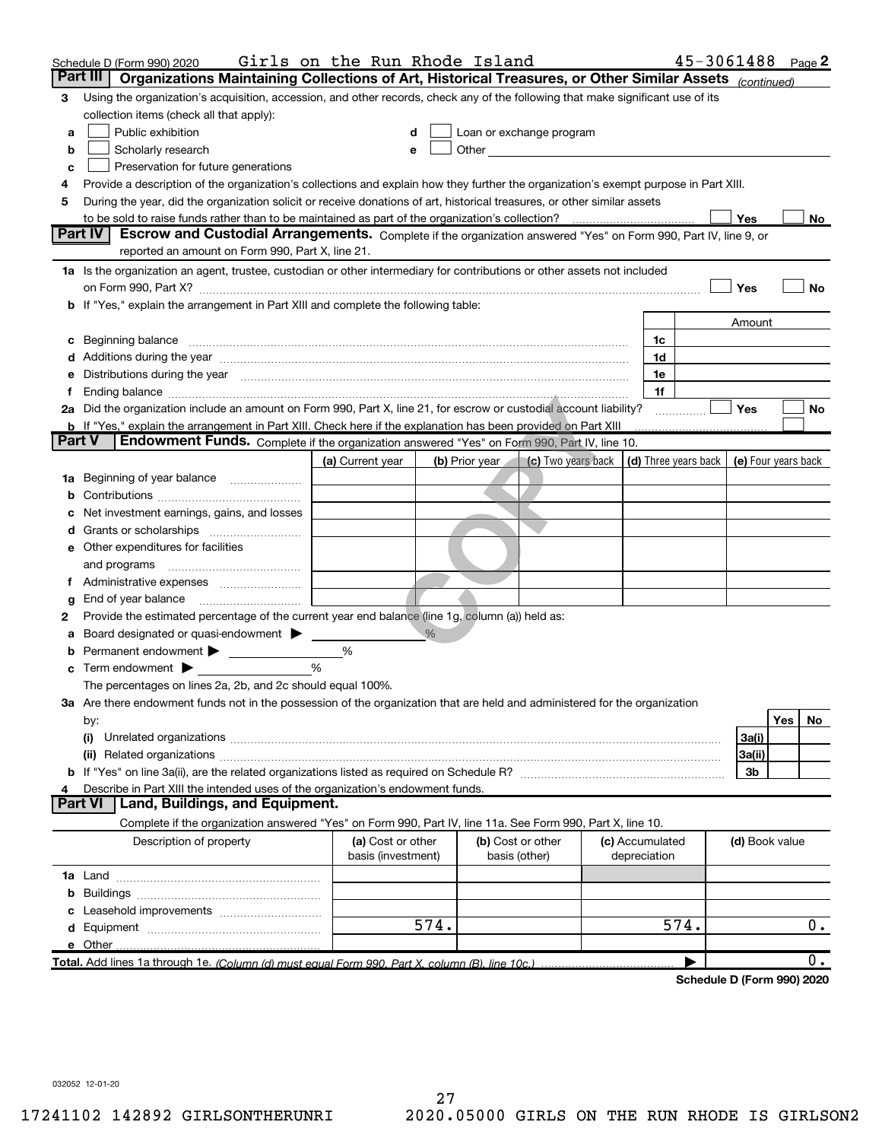|          | Schedule D (Form 990) 2020                                                                                                                                                                                                     | Girls on the Run Rhode Island |               |                |                                                         |  |                 | 45-3061488                  |                     |            | Page 2 |
|----------|--------------------------------------------------------------------------------------------------------------------------------------------------------------------------------------------------------------------------------|-------------------------------|---------------|----------------|---------------------------------------------------------|--|-----------------|-----------------------------|---------------------|------------|--------|
| Part III | Organizations Maintaining Collections of Art, Historical Treasures, or Other Similar Assets (continued)                                                                                                                        |                               |               |                |                                                         |  |                 |                             |                     |            |        |
| 3        | Using the organization's acquisition, accession, and other records, check any of the following that make significant use of its                                                                                                |                               |               |                |                                                         |  |                 |                             |                     |            |        |
|          | collection items (check all that apply):                                                                                                                                                                                       |                               |               |                |                                                         |  |                 |                             |                     |            |        |
| a        | Public exhibition                                                                                                                                                                                                              | d                             |               |                | Loan or exchange program                                |  |                 |                             |                     |            |        |
| b        | Scholarly research                                                                                                                                                                                                             | е                             |               |                |                                                         |  |                 |                             |                     |            |        |
| c        | Preservation for future generations                                                                                                                                                                                            |                               |               |                |                                                         |  |                 |                             |                     |            |        |
| 4        | Provide a description of the organization's collections and explain how they further the organization's exempt purpose in Part XIII.                                                                                           |                               |               |                |                                                         |  |                 |                             |                     |            |        |
| 5        | During the year, did the organization solicit or receive donations of art, historical treasures, or other similar assets                                                                                                       |                               |               |                |                                                         |  |                 |                             |                     |            |        |
|          | to be sold to raise funds rather than to be maintained as part of the organization's collection?                                                                                                                               |                               |               |                |                                                         |  |                 |                             | Yes                 |            | No     |
|          | <b>Part IV</b><br>Escrow and Custodial Arrangements. Complete if the organization answered "Yes" on Form 990, Part IV, line 9, or<br>reported an amount on Form 990, Part X, line 21.                                          |                               |               |                |                                                         |  |                 |                             |                     |            |        |
|          | 1a Is the organization an agent, trustee, custodian or other intermediary for contributions or other assets not included                                                                                                       |                               |               |                |                                                         |  |                 |                             |                     |            |        |
|          |                                                                                                                                                                                                                                |                               |               |                |                                                         |  |                 |                             | Yes                 |            | No     |
| b        | If "Yes," explain the arrangement in Part XIII and complete the following table:                                                                                                                                               |                               |               |                |                                                         |  |                 |                             |                     |            |        |
|          |                                                                                                                                                                                                                                |                               |               |                |                                                         |  |                 |                             | Amount              |            |        |
| с        | Beginning balance measurements and the contract of the contract of the contract of the contract of the contract of the contract of the contract of the contract of the contract of the contract of the contract of the contrac |                               |               |                |                                                         |  | 1c              |                             |                     |            |        |
|          | Additions during the year manufactured and an account of the year manufactured and account of the year manufactured and account of the year manufactured and account of the year manufactured and account of the year manufact |                               |               |                |                                                         |  | 1d              |                             |                     |            |        |
| е        | Distributions during the year manufactured and continuum and contact the year manufactured and contact the year                                                                                                                |                               |               |                |                                                         |  | 1e              |                             |                     |            |        |
| f        |                                                                                                                                                                                                                                |                               |               |                |                                                         |  | 1f              |                             |                     |            |        |
|          | 2a Did the organization include an amount on Form 990, Part X, line 21, for escrow or custodial account liability?                                                                                                             |                               |               |                |                                                         |  |                 |                             | Yes                 |            | No     |
|          | <b>b</b> If "Yes," explain the arrangement in Part XIII. Check here if the explanation has been provided on Part XIII                                                                                                          |                               |               |                |                                                         |  |                 |                             |                     |            |        |
| Part V   | <b>Endowment Funds.</b> Complete if the organization answered "Yes" on Form 990, Part IV, line 10.                                                                                                                             |                               |               |                |                                                         |  |                 |                             |                     |            |        |
|          |                                                                                                                                                                                                                                | (a) Current year              |               | (b) Prior year | (c) Two years back $\vert$ (d) Three years back $\vert$ |  |                 |                             | (e) Four years back |            |        |
| 1a       | Beginning of year balance                                                                                                                                                                                                      |                               |               |                |                                                         |  |                 |                             |                     |            |        |
| b        |                                                                                                                                                                                                                                |                               |               |                |                                                         |  |                 |                             |                     |            |        |
|          | Net investment earnings, gains, and losses                                                                                                                                                                                     |                               |               |                |                                                         |  |                 |                             |                     |            |        |
| d        |                                                                                                                                                                                                                                |                               |               |                |                                                         |  |                 |                             |                     |            |        |
|          | e Other expenditures for facilities                                                                                                                                                                                            |                               |               |                |                                                         |  |                 |                             |                     |            |        |
|          | and programs                                                                                                                                                                                                                   |                               |               |                |                                                         |  |                 |                             |                     |            |        |
|          |                                                                                                                                                                                                                                |                               |               |                |                                                         |  |                 |                             |                     |            |        |
| g        | End of year balance                                                                                                                                                                                                            |                               |               |                |                                                         |  |                 |                             |                     |            |        |
| 2        | Provide the estimated percentage of the current year end balance (line 1g, column (a)) held as:                                                                                                                                |                               |               |                |                                                         |  |                 |                             |                     |            |        |
| а        | Board designated or quasi-endowment >                                                                                                                                                                                          |                               | $\frac{0}{6}$ |                |                                                         |  |                 |                             |                     |            |        |
| b        | Permanent endowment                                                                                                                                                                                                            | %                             |               |                |                                                         |  |                 |                             |                     |            |        |
| c        | Term endowment $\blacktriangleright$                                                                                                                                                                                           | %                             |               |                |                                                         |  |                 |                             |                     |            |        |
|          | The percentages on lines 2a, 2b, and 2c should equal 100%.                                                                                                                                                                     |                               |               |                |                                                         |  |                 |                             |                     |            |        |
|          | 3a Are there endowment funds not in the possession of the organization that are held and administered for the organization                                                                                                     |                               |               |                |                                                         |  |                 |                             |                     | <b>Yes</b> |        |
|          | by:<br>(i)                                                                                                                                                                                                                     |                               |               |                |                                                         |  |                 |                             |                     |            | No     |
|          |                                                                                                                                                                                                                                |                               |               |                |                                                         |  |                 |                             | 3a(i)<br>3a(ii)     |            |        |
|          |                                                                                                                                                                                                                                |                               |               |                |                                                         |  |                 |                             | 3b                  |            |        |
|          | Describe in Part XIII the intended uses of the organization's endowment funds.                                                                                                                                                 |                               |               |                |                                                         |  |                 |                             |                     |            |        |
|          | <b>Part VI</b><br>Land, Buildings, and Equipment.                                                                                                                                                                              |                               |               |                |                                                         |  |                 |                             |                     |            |        |
|          | Complete if the organization answered "Yes" on Form 990, Part IV, line 11a. See Form 990, Part X, line 10.                                                                                                                     |                               |               |                |                                                         |  |                 |                             |                     |            |        |
|          | Description of property                                                                                                                                                                                                        | (a) Cost or other             |               |                | (b) Cost or other                                       |  | (c) Accumulated |                             | (d) Book value      |            |        |
|          |                                                                                                                                                                                                                                | basis (investment)            |               |                | basis (other)                                           |  | depreciation    |                             |                     |            |        |
|          |                                                                                                                                                                                                                                |                               |               |                |                                                         |  |                 |                             |                     |            |        |
| b        |                                                                                                                                                                                                                                |                               |               |                |                                                         |  |                 |                             |                     |            |        |
|          |                                                                                                                                                                                                                                |                               |               |                |                                                         |  |                 |                             |                     |            |        |
|          |                                                                                                                                                                                                                                |                               | 574.          |                |                                                         |  |                 | 574.                        |                     |            | $0$ .  |
|          | e Other                                                                                                                                                                                                                        |                               |               |                |                                                         |  |                 |                             |                     |            |        |
|          |                                                                                                                                                                                                                                |                               |               |                |                                                         |  |                 |                             |                     |            | 0.     |
|          |                                                                                                                                                                                                                                |                               |               |                |                                                         |  |                 | Cahadula D (Faunt 000) 0000 |                     |            |        |

Schedule D (Form 990) 2020

032052 12-01-20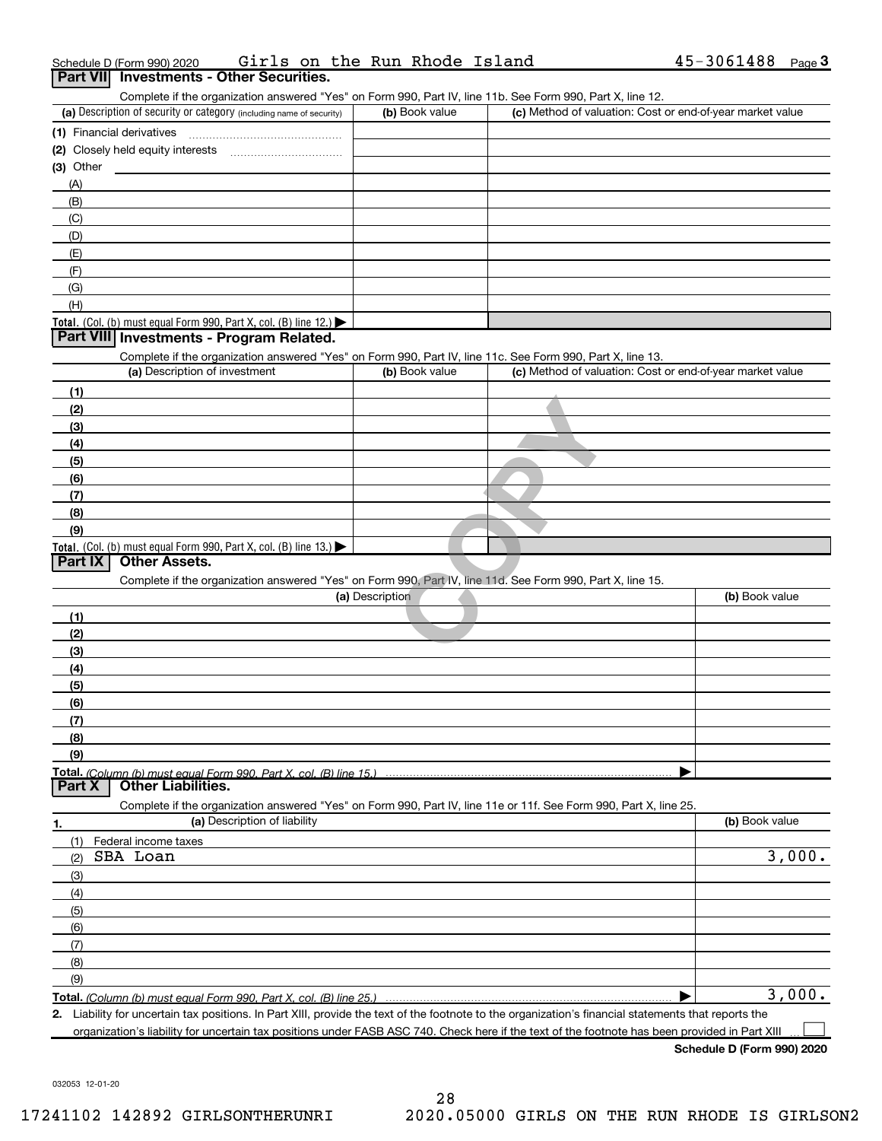|               | Schedule D (Form 990) 2020                                                                                                                           | Girls on the Run Rhode Island | $45 - 3061488$ Page 3                                     |
|---------------|------------------------------------------------------------------------------------------------------------------------------------------------------|-------------------------------|-----------------------------------------------------------|
|               | Part VII Investments - Other Securities.                                                                                                             |                               |                                                           |
|               | Complete if the organization answered "Yes" on Form 990, Part IV, line 11b. See Form 990, Part X, line 12.                                           |                               |                                                           |
|               | (a) Description of security or category (including name of security)                                                                                 | (b) Book value                | (c) Method of valuation: Cost or end-of-year market value |
|               |                                                                                                                                                      |                               |                                                           |
|               |                                                                                                                                                      |                               |                                                           |
| $(3)$ Other   |                                                                                                                                                      |                               |                                                           |
| (A)           |                                                                                                                                                      |                               |                                                           |
| (B)           |                                                                                                                                                      |                               |                                                           |
| (C)           |                                                                                                                                                      |                               |                                                           |
| (D)           |                                                                                                                                                      |                               |                                                           |
| (E)           |                                                                                                                                                      |                               |                                                           |
| (F)           |                                                                                                                                                      |                               |                                                           |
| (G)           |                                                                                                                                                      |                               |                                                           |
| (H)           |                                                                                                                                                      |                               |                                                           |
|               | Total. (Col. (b) must equal Form 990, Part X, col. (B) line $12$ .)                                                                                  |                               |                                                           |
|               | Part VIII Investments - Program Related.                                                                                                             |                               |                                                           |
|               | Complete if the organization answered "Yes" on Form 990, Part IV, line 11c. See Form 990, Part X, line 13.                                           |                               |                                                           |
|               | (a) Description of investment                                                                                                                        | (b) Book value                | (c) Method of valuation: Cost or end-of-year market value |
| (1)           |                                                                                                                                                      |                               |                                                           |
| (2)           |                                                                                                                                                      |                               |                                                           |
| (3)           |                                                                                                                                                      |                               |                                                           |
| (4)           |                                                                                                                                                      |                               |                                                           |
| (5)           |                                                                                                                                                      |                               |                                                           |
| (6)           |                                                                                                                                                      |                               |                                                           |
| (7)           |                                                                                                                                                      |                               |                                                           |
| (8)           |                                                                                                                                                      |                               |                                                           |
| (9)           |                                                                                                                                                      |                               |                                                           |
|               | Total. (Col. (b) must equal Form 990, Part X, col. (B) line $13.$                                                                                    |                               |                                                           |
| Part IX       | <b>Other Assets.</b>                                                                                                                                 |                               |                                                           |
|               | Complete if the organization answered "Yes" on Form 990, Part IV, line 11d. See Form 990, Part X, line 15.                                           |                               |                                                           |
|               |                                                                                                                                                      | (a) Description               | (b) Book value                                            |
| (1)           |                                                                                                                                                      |                               |                                                           |
| (2)           |                                                                                                                                                      |                               |                                                           |
| (3)           |                                                                                                                                                      |                               |                                                           |
| (4)           |                                                                                                                                                      |                               |                                                           |
| (5)           |                                                                                                                                                      |                               |                                                           |
| (6)           |                                                                                                                                                      |                               |                                                           |
| (7)           |                                                                                                                                                      |                               |                                                           |
| (8)           |                                                                                                                                                      |                               |                                                           |
| (9)           |                                                                                                                                                      |                               |                                                           |
|               | Total. (Column (b) must equal Form 990. Part X, col. (B) line 15.)                                                                                   |                               |                                                           |
| <b>Part X</b> | <b>Other Liabilities.</b>                                                                                                                            |                               |                                                           |
|               | Complete if the organization answered "Yes" on Form 990, Part IV, line 11e or 11f. See Form 990, Part X, line 25.                                    |                               |                                                           |
| 1.            | (a) Description of liability                                                                                                                         |                               | (b) Book value                                            |
| (1)           | Federal income taxes                                                                                                                                 |                               |                                                           |
| (2)           | SBA Loan                                                                                                                                             |                               | 3,000.                                                    |
| (3)           |                                                                                                                                                      |                               |                                                           |
| (4)           |                                                                                                                                                      |                               |                                                           |
| (5)           |                                                                                                                                                      |                               |                                                           |
| (6)           |                                                                                                                                                      |                               |                                                           |
| (7)           |                                                                                                                                                      |                               |                                                           |
| (8)           |                                                                                                                                                      |                               |                                                           |
| (9)           |                                                                                                                                                      |                               |                                                           |
|               |                                                                                                                                                      |                               | 3,000.                                                    |
|               | 2. Liability for uncertain tax positions. In Part XIII, provide the text of the footnote to the organization's financial statements that reports the |                               |                                                           |
|               | organization's liability for uncertain tax positions under FASB ASC 740. Check here if the text of the footnote has been provided in Part XIII       |                               |                                                           |

Schedule D (Form 990) 2020

032053 12-01-20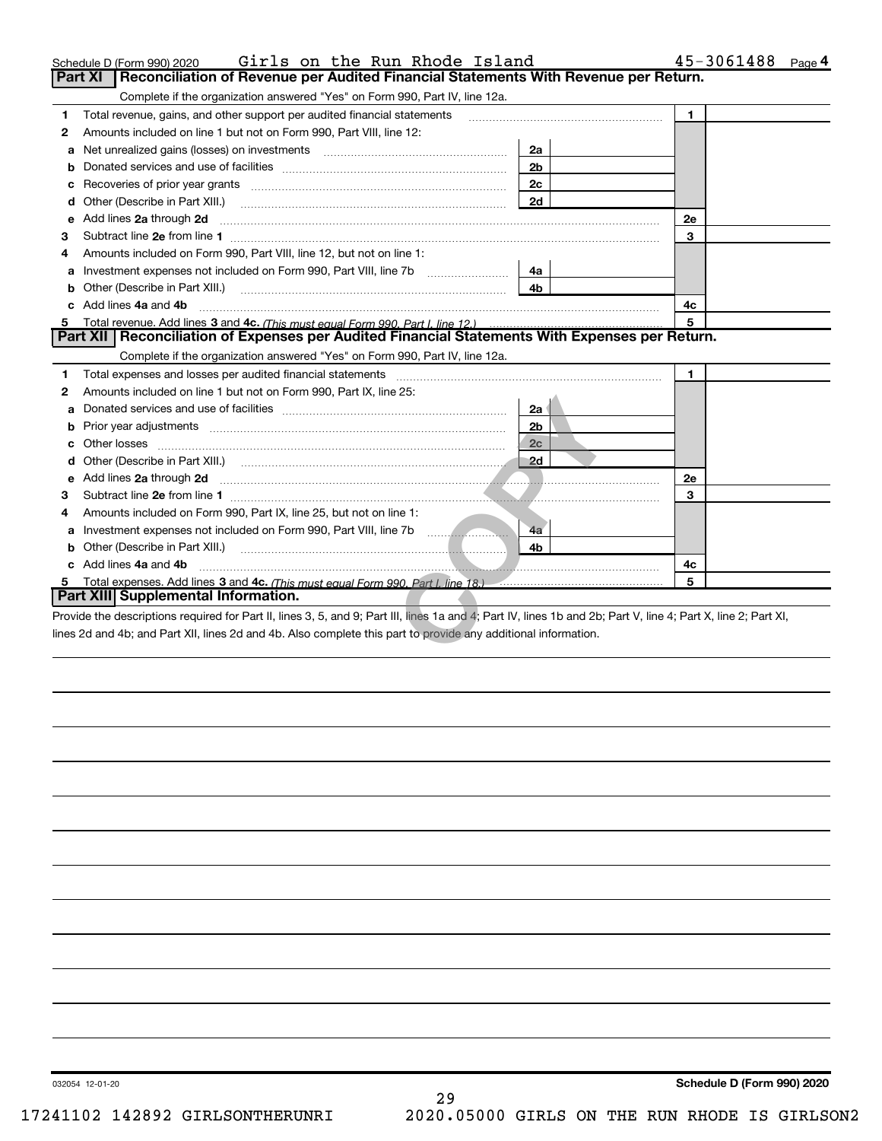|         | Girls on the Run Rhode Island<br>Schedule D (Form 990) 2020                                                                                                                                                                         |                | 45-3061488<br>Page 4 |
|---------|-------------------------------------------------------------------------------------------------------------------------------------------------------------------------------------------------------------------------------------|----------------|----------------------|
| Part XI | Reconciliation of Revenue per Audited Financial Statements With Revenue per Return.                                                                                                                                                 |                |                      |
|         | Complete if the organization answered "Yes" on Form 990, Part IV, line 12a.                                                                                                                                                         |                |                      |
| 1.      | Total revenue, gains, and other support per audited financial statements                                                                                                                                                            |                | 1                    |
| 2       | Amounts included on line 1 but not on Form 990, Part VIII, line 12:                                                                                                                                                                 |                |                      |
| a       |                                                                                                                                                                                                                                     | 2a             |                      |
|         |                                                                                                                                                                                                                                     | 2 <sub>b</sub> |                      |
|         |                                                                                                                                                                                                                                     | 2 <sub>c</sub> |                      |
| d       | Other (Describe in Part XIII.)                                                                                                                                                                                                      | 2d             |                      |
| е       | Add lines 2a through 2d <b>contained a contained a contained a contained a</b> contained a contained a contained a contained a contained a contained a contained a contained a contained a contained a contained a contained a cont |                | <b>2e</b>            |
| 3       |                                                                                                                                                                                                                                     |                | 3                    |
| 4       | Amounts included on Form 990, Part VIII, line 12, but not on line 1:                                                                                                                                                                |                |                      |
| a       | Investment expenses not included on Form 990, Part VIII, line 7b                                                                                                                                                                    | 4a             |                      |
|         | Other (Describe in Part XIII.) <b>COLOGIST: (2014)</b> (2014) <b>COLOGIST: (2014)</b> Other (Describe in Part XIII.)                                                                                                                | 4b             |                      |
|         | Add lines 4a and 4b                                                                                                                                                                                                                 |                | 4c                   |
| 5.      | Total revenue. Add lines 3 and 4c. (This must equal Form 990, Part I. line 12.)                                                                                                                                                     |                |                      |
|         | Part XII   Reconciliation of Expenses per Audited Financial Statements With Expenses per Return.                                                                                                                                    |                |                      |
|         | Complete if the organization answered "Yes" on Form 990, Part IV, line 12a.                                                                                                                                                         |                |                      |
| 1       | Total expenses and losses per audited financial statements [11] [12] contain an intervention and contain a statements [13] [13] and the statements [13] [13] and the statements [13] and the statements [13] and the statement      |                | $\mathbf{1}$         |
| 2       | Amounts included on line 1 but not on Form 990, Part IX, line 25:                                                                                                                                                                   |                |                      |
| a       |                                                                                                                                                                                                                                     | 2a 1           |                      |
| b       |                                                                                                                                                                                                                                     | 2 <sub>b</sub> |                      |
| c       |                                                                                                                                                                                                                                     | 2c             |                      |
| d       |                                                                                                                                                                                                                                     | $\Box$ 2d      |                      |
|         |                                                                                                                                                                                                                                     |                | <b>2e</b>            |
| з       |                                                                                                                                                                                                                                     |                | 3                    |
| 4       | Amounts included on Form 990, Part IX, line 25, but not on line 1:                                                                                                                                                                  |                |                      |
|         | Investment expenses not included on Form 990, Part VIII, line 7b [100]                                                                                                                                                              | 4a             |                      |
|         |                                                                                                                                                                                                                                     | 4b             |                      |
|         | c Add lines 4a and 4b                                                                                                                                                                                                               |                | 4с                   |
| 5.      |                                                                                                                                                                                                                                     |                | 5                    |
|         | Part XIII Supplemental Information.                                                                                                                                                                                                 |                |                      |
|         | Provide the descriptions required for Part II, lines 3, 5, and 9; Part III, lines 1a and 4; Part IV, lines 1b and 2b; Part V, line 4; Part X, line 2; Part XI,                                                                      |                |                      |
|         | lines 2d and 4b; and Part XII, lines 2d and 4b. Also complete this part to provide any additional information.                                                                                                                      |                |                      |
|         |                                                                                                                                                                                                                                     |                |                      |

032054 12-01-20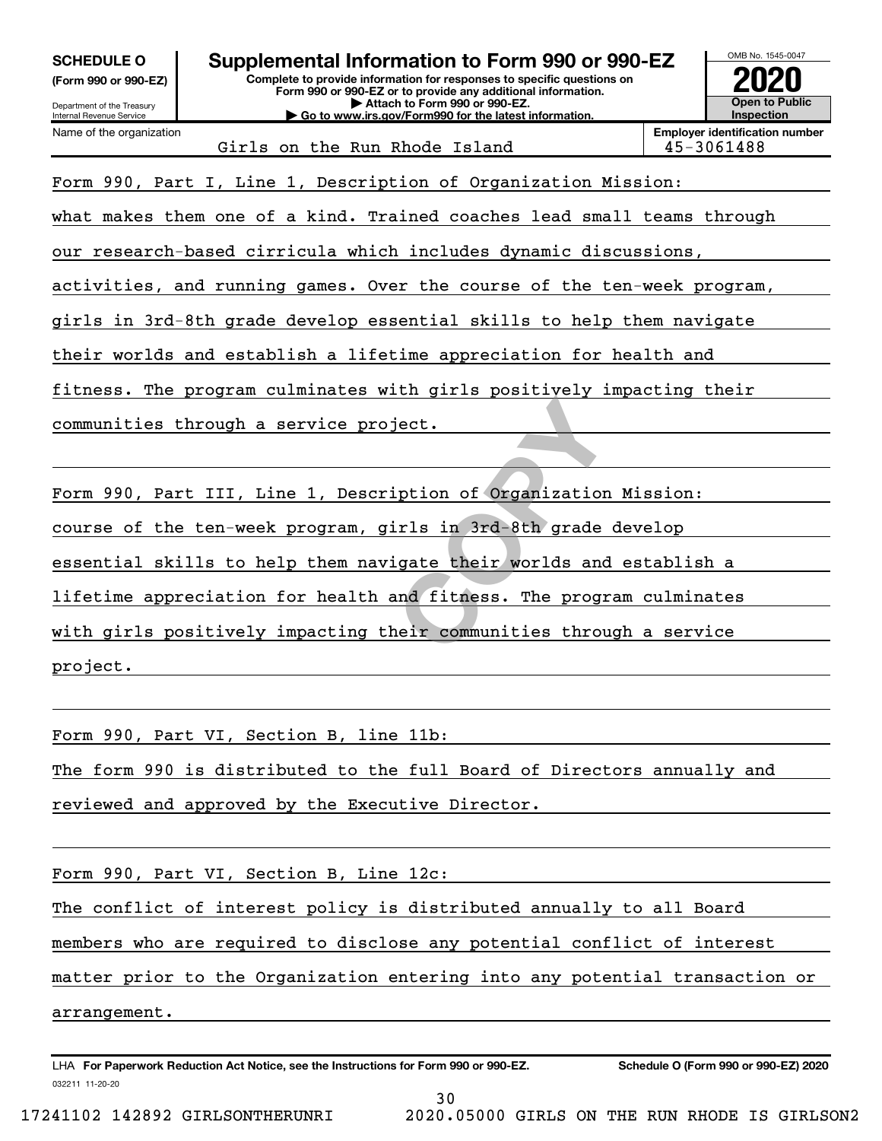| <b>SCHEDULE O</b>    |  |
|----------------------|--|
| (Form 990 or 990-EZ) |  |

# Supplemental Information to Form 990 or 990-EZ

Complete to provide information for responses to specific questions on Form 990 or 990-EZ or to provide any additional information. | Attach to Form 990 or 990-EZ. | Go to www.irs.gov/Form990 for the latest information.



Girls on the Run Rhode Island 45-3061488

Employer identification number

Form 990, Part I, Line 1, Description of Organization Mission:

what makes them one of a kind. Trained coaches lead small teams through

our research-based cirricula which includes dynamic discussions,

activities, and running games. Over the course of the ten-week program,

girls in 3rd-8th grade develop essential skills to help them navigate

their worlds and establish a lifetime appreciation for health and

fitness. The program culminates with girls positively impacting their

communities through a service project.

For the set of the set of the set of the set of the set of the set of the set of the set of the set of the set of the set of the set of the set of the set of the set of the set of the set of the set of the set of the set o Form 990, Part III, Line 1, Description of Organization Mission: course of the ten-week program, girls in 3rd-8th grade develop essential skills to help them navigate their worlds and establish a lifetime appreciation for health and fitness. The program culminates with girls positively impacting their communities through a service project.

Form 990, Part VI, Section B, line 11b:

The form 990 is distributed to the full Board of Directors annually and

reviewed and approved by the Executive Director.

Form 990, Part VI, Section B, Line 12c:

The conflict of interest policy is distributed annually to all Board

members who are required to disclose any potential conflict of interest

matter prior to the Organization entering into any potential transaction or

30

arrangement.

032211 11-20-20 LHA For Paperwork Reduction Act Notice, see the Instructions for Form 990 or 990-EZ. Schedule O (Form 990 or 990-EZ) 2020